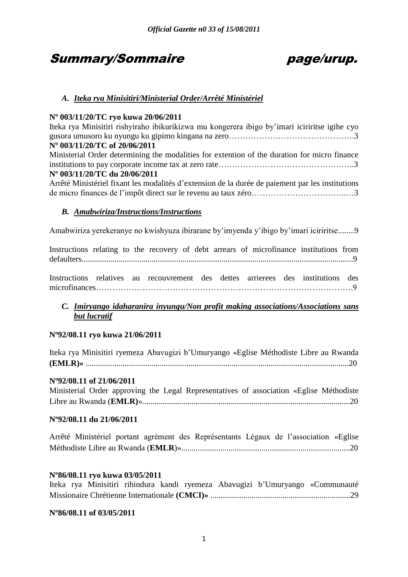# Summary/Sommaire page/urup.

# *A. Iteka rya Minisitiri/Ministerial Order/Arrêté Ministériel*

# **Nº 003/11/20/TC ryo kuwa 20/06/2011**

| Iteka rya Minisitiri rishyiraho ibikurikizwa mu kongerera ibigo by'imari iciriritse igihe cyo    |
|--------------------------------------------------------------------------------------------------|
|                                                                                                  |
| N° 003/11/20/TC of 20/06/2011                                                                    |
| Ministerial Order determining the modalities for extention of the duration for micro finance     |
|                                                                                                  |
| Nº 003/11/20/TC du 20/06/2011                                                                    |
| Arrêté Ministériel fixant les modalités d'extension de la durée de paiement par les institutions |

de micro finances de l"impôt direct sur le revenu au taux zéro……………………………..…3

# *B. Amabwiriza/Instructions/Instructions*

Amabwiriza yerekeranye no kwishyuza ibirarane by"imyenda y"ibigo by"imari iciriritse........9

Instructions relating to the recovery of debt arrears of microfinance institutions from defaulters....................................................................................................................................9

Instructions relatives au recouvrement des dettes arrierees des institutions des microfinances………………………………………………………………………………….9

# *C. Imiryango idaharanira inyungu/Non profit making associations/Associations sans but lucratif*

# **Nº92/08.11 ryo kuwa 21/06/2011**

| Iteka rya Minisitiri ryemeza Abavugizi b'Umuryango «Eglise Méthodiste Libre au Rwanda |  |  |  |  |
|---------------------------------------------------------------------------------------|--|--|--|--|
|                                                                                       |  |  |  |  |

# **Nº92/08.11 of 21/06/2011**

|  |  | Ministerial Order approving the Legal Representatives of association «Eglise Méthodiste |  |  |
|--|--|-----------------------------------------------------------------------------------------|--|--|
|  |  |                                                                                         |  |  |

# **Nº92/08.11 du 21/06/2011**

|  |  | Arrêté Ministériel portant agrément des Représentants Légaux de l'association «Eglise |  |  |
|--|--|---------------------------------------------------------------------------------------|--|--|
|  |  |                                                                                       |  |  |

# **Nº86/08.11 ryo kuwa 03/05/2011**

|  |  |  |  | Iteka rya Minisitiri rihindura kandi ryemeza Abavugizi b'Umuryango «Communauté      |
|--|--|--|--|-------------------------------------------------------------------------------------|
|  |  |  |  | Missionaire Chrétienne Internationale (CMCI) music music music music music music 29 |

# **Nº86/08.11 of 03/05/2011**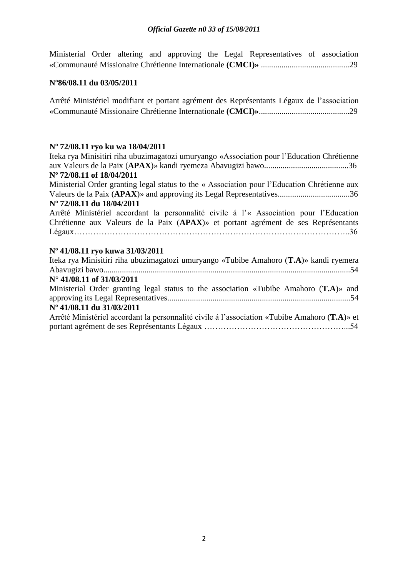Ministerial Order altering and approving the Legal Representatives of association «Communauté Missionaire Chrétienne Internationale **(CMCI)»** ...........................................29

# **Nº86/08.11 du 03/05/2011**

| Arrêté Ministériel modifiant et portant agrément des Représentants Légaux de l'association |  |  |
|--------------------------------------------------------------------------------------------|--|--|
|                                                                                            |  |  |

# **Nº 72/08.11 ryo ku wa 18/04/2011**

| Iteka rya Minisitiri riha ubuzimagatozi umuryango «Association pour l'Education Chrétienne    |
|-----------------------------------------------------------------------------------------------|
|                                                                                               |
| N° 72/08.11 of 18/04/2011                                                                     |
| Ministerial Order granting legal status to the « Association pour l'Education Chrétienne aux  |
|                                                                                               |
| Nº 72/08.11 du 18/04/2011                                                                     |
| Arrêté Ministériel accordant la personnalité civile à l'« Association pour l'Education        |
| Chrétienne aux Valeurs de la Paix (APAX)» et portant agrément de ses Représentants            |
|                                                                                               |
|                                                                                               |
|                                                                                               |
| Nº 41/08.11 ryo kuwa 31/03/2011                                                               |
| Iteka rya Minisitiri riha ubuzimagatozi umuryango «Tubibe Amahoro (T.A)» kandi ryemera        |
|                                                                                               |
| $N^{\circ}$ 41/08.11 of 31/03/2011                                                            |
| Ministerial Order granting legal status to the association «Tubibe Amahoro $(T.A)$ » and      |
|                                                                                               |
| Nº 41/08.11 du 31/03/2011                                                                     |
| Arrêté Ministériel accordant la personnalité civile à l'association «Tubibe Amahoro (T.A)» et |
|                                                                                               |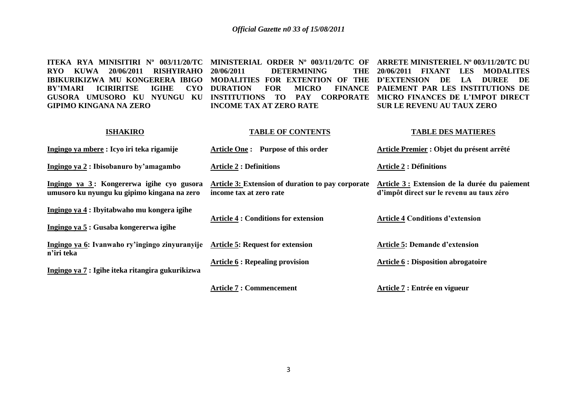**ITEKA RYA MINISITIRI Nº 003/11/20/TC MINISTERIAL ORDER Nº 003/11/20/TC OF ARRETE MINISTERIEL Nº 003/11/20/TC DU RYO KUWA 20/06/2011 RISHYIRAHO IBIKURIKIZWA MU KONGERERA IBIGO MODALITIES FOR EXTENTION OF THE D'EXTENSION DE LA DUREE DE**  BY'IMARI ICIRIRITSE IGIHE CYO DURATION FOR **GUSORA UMUSORO KU NYUNGU KU INSTITUTIONS TO PAY CORPORATE MICRO FINANCES DE L'IMPOT DIRECT GIPIMO KINGANA NA ZERO DETERMINING DURATION FOR MICRO FINANCE PAIEMENT PAR LES INSTITUTIONS DE INCOME TAX AT ZERO RATE 20/06/2011 FIXANT LES MODALITES SUR LE REVENU AU TAUX ZERO** 

#### **ISHAKIRO**

# **TABLE OF CONTENTS**

#### **TABLE DES MATIERES**

| Ingingo ya mbere : Icyo iri teka rigamije                                                | Article One: Purpose of this order                                           | Article Premier : Objet du présent arrêté                                                  |
|------------------------------------------------------------------------------------------|------------------------------------------------------------------------------|--------------------------------------------------------------------------------------------|
| Ingingo ya 2 : Ibisobanuro by'amagambo                                                   | <b>Article 2 : Definitions</b>                                               | <b>Article 2 : Définitions</b>                                                             |
| Ingingo ya 3: Kongererwa igihe cyo gusora<br>umusoro ku nyungu ku gipimo kingana na zero | Article 3: Extension of duration to pay corporate<br>income tax at zero rate | Article 3 : Extension de la durée du paiement<br>d'impôt direct sur le revenu au taux zéro |
| Ingingo ya 4 : Ibyitabwaho mu kongera igihe<br>Ingingo ya 5: Gusaba kongererwa igihe     | <b>Article 4 : Conditions for extension</b>                                  | <b>Article 4 Conditions d'extension</b>                                                    |
| Ingingo ya 6: Ivanwaho ry'ingingo zinyuranyije<br>n'iri teka                             | <b>Article 5: Request for extension</b>                                      | <b>Article 5: Demande d'extension</b>                                                      |
| Ingingo ya 7 : Igihe iteka ritangira gukurikizwa                                         | <b>Article 6 : Repealing provision</b>                                       | <b>Article 6 : Disposition abrogatoire</b>                                                 |

**Article 7 : Commencement**

**Article 7 : Entrée en vigueur**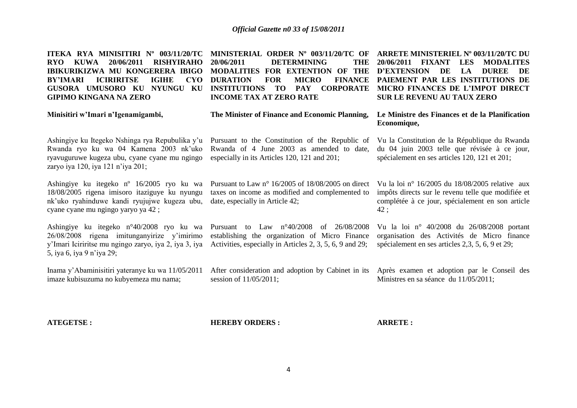**ITEKA RYA MINISITIRI Nº 003/11/20/TC MINISTERIAL ORDER Nº 003/11/20/TC OF ARRETE MINISTERIEL Nº 003/11/20/TC DU RYO KUWA 20/06/2011 RISHYIRAHO IBIKURIKIZWA MU KONGERERA IBIGO BY'IMARI ICIRIRITSE IGIHE GUSORA UMUSORO KU NYUNGU KU INSTITUTIONS TO PAY CORPORATE MICRO FINANCES DE L'IMPOT DIRECT GIPIMO KINGANA NA ZERO 20/06/2011 DETERMINING THE MODALITIES FOR EXTENTION OF THE D'EXTENSION DE LA DUREE DE CYO DURATION FOR MICRO INCOME TAX AT ZERO RATE 20/06/2011 FIXANT LES MODALITES**  FINANCE PAIEMENT PAR LES INSTITUTIONS DE **SUR LE REVENU AU TAUX ZERO**

**Minisitiri w'Imari n'Igenamigambi,**

**The Minister of Finance and Economic Planning,**

Ashingiye ku Itegeko Nshinga rya Repubulika y"u Rwanda ryo ku wa 04 Kamena 2003 nk"uko ryavuguruwe kugeza ubu, cyane cyane mu ngingo zaryo iya 120, iya 121 n'iya 201;

Ashingiye ku itegeko nº 16/2005 ryo ku wa 18/08/2005 rigena imisoro itaziguye ku nyungu nk"uko ryahinduwe kandi ryujujwe kugeza ubu, cyane cyane mu ngingo yaryo ya 42 ;

Ashingiye ku itegeko n°40/2008 ryo ku wa 26/08/2008 rigena imitunganyirize y"imirimo y"Imari Iciriritse mu ngingo zaryo, iya 2, iya 3, iya 5, iya 6, iya 9 n"iya 29;

Inama y"Abaminisitiri yateranye ku wa 11/05/2011 imaze kubisuzuma no kubyemeza mu nama;

Pursuant to the Constitution of the Republic of Rwanda of 4 June 2003 as amended to date, especially in its Articles 120, 121 and 201;

Pursuant to Law n° 16/2005 of 18/08/2005 on direct taxes on income as modified and complemented to date, especially in Article 42;

Pursuant to Law n°40/2008 of 26/08/2008 establishing the organization of Micro Finance Activities, especially in Articles 2, 3, 5, 6, 9 and 29;

After consideration and adoption by Cabinet in its session of 11/05/2011;

**Economique,**

**Le Ministre des Finances et de la Planification** 

Vu la Constitution de la République du Rwanda du 04 juin 2003 telle que révisée à ce jour, spécialement en ses articles 120, 121 et 201;

Vu la loi n° 16/2005 du 18/08/2005 relative aux impôts directs sur le revenu telle que modifiée et complétée à ce jour, spécialement en son article 42 ;

Vu la loi n° 40/2008 du 26/08/2008 portant organisation des Activités de Micro finance spécialement en ses articles 2,3, 5, 6, 9 et 29;

Après examen et adoption par le Conseil des Ministres en sa séance du 11/05/2011;

**ATEGETSE :**

**HEREBY ORDERS :**

**ARRETE :**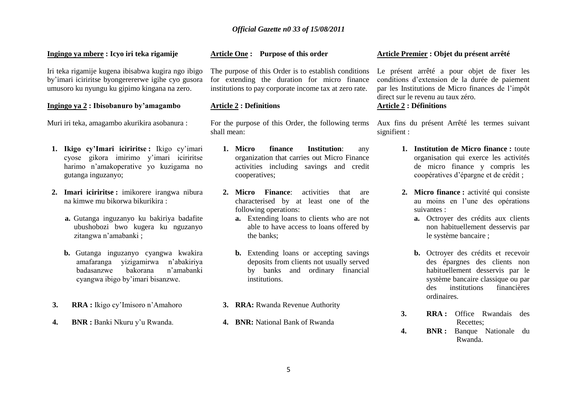# *Official Gazette n0 33 of 15/08/2011*

#### **Ingingo ya mbere : Icyo iri teka rigamije**

Iri teka rigamije kugena ibisabwa kugira ngo ibigo by"imari iciriritse byongerererwe igihe cyo gusora umusoro ku nyungu ku gipimo kingana na zero.

### **Ingingo ya 2 : Ibisobanuro by'amagambo**

Muri iri teka, amagambo akurikira asobanura :

- **1. Ikigo cy'Imari iciriritse :** Ikigo cy"imari cyose gikora imirimo y"imari iciriritse harimo n"amakoperative yo kuzigama no gutanga inguzanyo;
- **2. Imari iciriritse :** imikorere irangwa nibura na kimwe mu bikorwa bikurikira :
	- **a.** Gutanga inguzanyo ku bakiriya badafite ubushobozi bwo kugera ku nguzanyo zitangwa n"amabanki ;
	- **b.** Gutanga inguzanyo cyangwa kwakira amafaranga yizigamirwa n"abakiriya badasanzwe bakorana n"amabanki cyangwa ibigo by"imari bisanzwe.
- **3. RRA :** Ikigo cy"Imisoro n"Amahoro
- **4. BNR :** Banki Nkuru y"u Rwanda.

#### **Article One : Purpose of this order**

The purpose of this Order is to establish conditions for extending the duration for micro finance institutions to pay corporate income tax at zero rate.

#### **Article 2 : Definitions**

For the purpose of this Order, the following terms shall mean:

- **1. Micro finance Institution**: any organization that carries out Micro Finance activities including savings and credit cooperatives;
- **2. Micro Finance**: activities that are characterised by at least one of the following operations:
	- **a.** Extending loans to clients who are not able to have access to loans offered by the banks;
	- **b.** Extending loans or accepting savings deposits from clients not usually served by banks and ordinary financial institutions.
- **3. RRA:** Rwanda Revenue Authority
- **4. BNR:** National Bank of Rwanda

#### **Article Premier : Objet du présent arrêté**

Le présent arrêté a pour objet de fixer les conditions d"extension de la durée de paiement par les Institutions de Micro finances de l"impôt direct sur le revenu au taux zéro.

# **Article 2 : Définitions**

Aux fins du présent Arrêté les termes suivant signifient :

- **1. Institution de Micro finance :** toute organisation qui exerce les activités de micro finance y compris les coopératives d"épargne et de crédit ;
- **2. Micro finance :** activité qui consiste au moins en l"une des opérations suivantes :
	- **a.** Octroyer des crédits aux clients non habituellement desservis par le système bancaire ;
	- **b.** Octroyer des crédits et recevoir des épargnes des clients non habituellement desservis par le système bancaire classique ou par des institutions financières ordinaires.
- **3. RRA :** Office Rwandais des Recettes;
- **4. BNR :** Banque Nationale du Rwanda.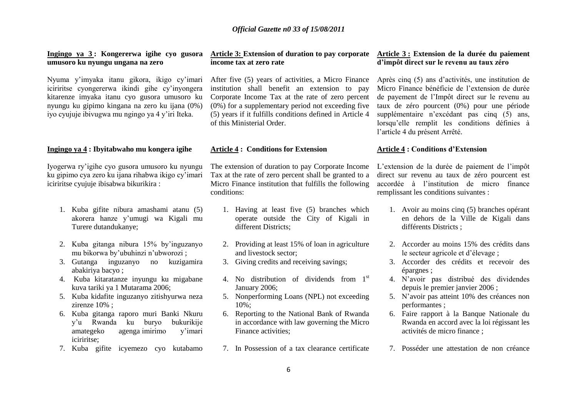#### **Ingingo ya 3 : Kongererwa igihe cyo gusora Article 3: Extension of duration to pay corporate Article 3 : Extension de la durée du paiement umusoro ku nyungu ungana na zero**

Nyuma y"imyaka itanu gikora, ikigo cy"imari iciriritse cyongererwa ikindi gihe cy"inyongera kitarenze imyaka itanu cyo gusora umusoro ku nyungu ku gipimo kingana na zero ku ijana (0%) iyo cyujuje ibivugwa mu ngingo ya 4 y"iri Iteka.

#### **Ingingo ya 4 : Ibyitabwaho mu kongera igihe**

Iyogerwa ry"igihe cyo gusora umusoro ku nyungu ku gipimo cya zero ku ijana rihabwa ikigo cy"imari iciriritse cyujuje ibisabwa bikurikira :

- 1. Kuba gifite nibura amashami atanu (5) akorera hanze y"umugi wa Kigali mu Turere dutandukanye;
- 2. Kuba gitanga nibura 15% by"inguzanyo mu bikorwa by"ubuhinzi n"ubworozi ;
- 3. Gutanga inguzanyo no kuzigamira abakiriya bacyo ;
- 4. Kuba kitaratanze inyungu ku migabane kuva tariki ya 1 Mutarama 2006;
- 5. Kuba kidafite inguzanyo zitishyurwa neza zirenze 10% ;
- 6. Kuba gitanga raporo muri Banki Nkuru y"u Rwanda ku buryo bukurikije amategeko agenga imirimo y"imari iciriritse;
- 7. Kuba gifite icyemezo cyo kutabamo

# **income tax at zero rate**

After five (5) years of activities, a Micro Finance institution shall benefit an extension to pay Corporate Income Tax at the rate of zero percent (0%) for a supplementary period not exceeding five (5) years if it fulfills conditions defined in Article 4 of this Ministerial Order.

#### **Article 4 : Conditions for Extension**

The extension of duration to pay Corporate Income Tax at the rate of zero percent shall be granted to a Micro Finance institution that fulfills the following conditions:

- 1. Having at least five (5) branches which operate outside the City of Kigali in different Districts;
- 2. Providing at least 15% of loan in agriculture and livestock sector;
- 3. Giving credits and receiving savings;
- 4. No distribution of dividends from 1st January 2006;
- 5. Nonperforming Loans (NPL) not exceeding 10%;
- 6. Reporting to the National Bank of Rwanda in accordance with law governing the Micro Finance activities;
- 7. In Possession of a tax clearance certificate

# **d'impôt direct sur le revenu au taux zéro**

Après cinq (5) ans d"activités, une institution de Micro Finance bénéficie de l"extension de durée de payement de l"Impôt direct sur le revenu au taux de zéro pourcent (0%) pour une période supplémentaire n'excédant pas cinq (5) ans, lorsqu"elle remplit les conditions définies à l"article 4 du présent Arrêté.

#### **Article 4 : Conditions d'Extension**

L"extension de la durée de paiement de l"impôt direct sur revenu au taux de zéro pourcent est accordée à l"institution de micro finance remplissant les conditions suivantes :

- 1. Avoir au moins cinq (5) branches opérant en dehors de la Ville de Kigali dans différents Districts ;
- 2. Accorder au moins 15% des crédits dans le secteur agricole et d"élevage ;
- 3. Accorder des crédits et recevoir des épargnes ;
- 4. N"avoir pas distribué des dividendes depuis le premier janvier 2006 ;
- 5. N"avoir pas atteint 10% des créances non performantes ;
- 6. Faire rapport à la Banque Nationale du Rwanda en accord avec la loi régissant les activités de micro finance ;
- 7. Posséder une attestation de non créance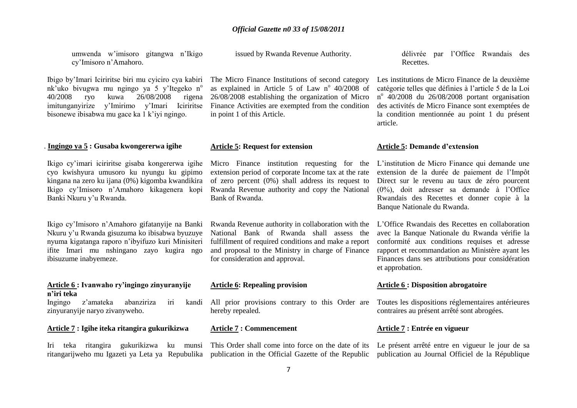umwenda w"imisoro gitangwa n"Ikigo cy"Imisoro n"Amahoro.

Ibigo by"Imari Iciriritse biri mu cyiciro cya kabiri nk'uko bivugwa mu ngingo ya 5 y'Itegeko n<sup>o</sup> 40/2008 ryo kuwa 26/08/2008 rigena imitunganyirize y"Imirimo y"Imari Iciriritse bisonewe ibisabwa mu gace ka 1 k"iyi ngingo.

# . **Ingingo ya 5 : Gusaba kwongererwa igihe**

Ikigo cy"imari iciriritse gisaba kongererwa igihe cyo kwishyura umusoro ku nyungu ku gipimo kingana na zero ku ijana (0%) kigomba kwandikira Ikigo cy"Imisoro n"Amahoro kikagenera kopi Banki Nkuru y"u Rwanda.

Ikigo cy"Imisoro n"Amahoro gifatanyije na Banki Nkuru y"u Rwanda gisuzuma ko ibisabwa byuzuye nyuma kigatanga raporo n"ibyifuzo kuri Minisiteri ifite Imari mu nshingano zayo kugira ngo ibisuzume inabyemeze.

### **Article 6 : Ivanwaho ry'ingingo zinyuranyije n'iri teka**

Ingingo z'amateka abanziriza iri zinyuranyije naryo zivanyweho.

#### **Article 7 : Igihe iteka ritangira gukurikizwa**

Iri teka ritangira gukurikizwa ku munsi

issued by Rwanda Revenue Authority.

The Micro Finance Institutions of second category as explained in Article 5 of Law  $n^{\circ}$  40/2008 of 26/08/2008 establishing the organization of Micro Finance Activities are exempted from the condition in point 1 of this Article.

#### **Article 5: Request for extension**

Micro Finance institution requesting for the extension period of corporate Income tax at the rate of zero percent (0%) shall address its request to Rwanda Revenue authority and copy the National Bank of Rwanda.

Rwanda Revenue authority in collaboration with the National Bank of Rwanda shall assess the fulfillment of required conditions and make a report and proposal to the Ministry in charge of Finance for consideration and approval.

#### **Article 6: Repealing provision**

All prior provisions contrary to this Order are hereby repealed.

#### **Article 7 : Commencement**

ritangarijweho mu Igazeti ya Leta ya Repubulika publication in the Official Gazette of the Republic This Order shall come into force on the date of its délivrée par l"Office Rwandais des **Recettes** 

Les institutions de Micro Finance de la deuxième catégorie telles que définies à l"article 5 de la Loi n o 40/2008 du 26/08/2008 portant organisation des activités de Micro Finance sont exemptées de la condition mentionnée au point 1 du présent article.

#### **Article 5: Demande d'extension**

L"institution de Micro Finance qui demande une extension de la durée de paiement de l"Impôt Direct sur le revenu au taux de zéro pourcent (0%), doit adresser sa demande à l"Office Rwandais des Recettes et donner copie à la Banque Nationale du Rwanda.

L"Office Rwandais des Recettes en collaboration avec la Banque Nationale du Rwanda vérifie la conformité aux conditions requises et adresse rapport et recommandation au Ministère ayant les Finances dans ses attributions pour considération et approbation.

#### **Article 6 : Disposition abrogatoire**

Toutes les dispositions réglementaires antérieures contraires au présent arrêté sont abrogées.

#### **Article 7 : Entrée en vigueur**

Le présent arrêté entre en vigueur le jour de sa publication au Journal Officiel de la République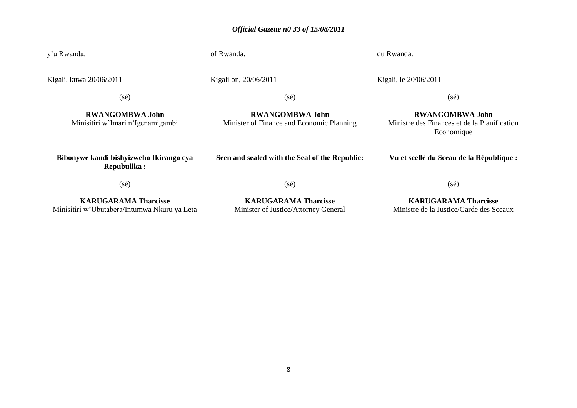# *Official Gazette n0 33 of 15/08/2011*

y"u Rwanda. of Rwanda. du Rwanda.

Kigali, kuwa 20/06/2011

Kigali on, 20/06/2011

Kigali, le 20/06/2011

(sé)

**RWANGOMBWA John** Minisitiri w"Imari n"Igenamigambi (sé)

**RWANGOMBWA John** Minister of Finance and Economic Planning

**RWANGOMBWA John** Ministre des Finances et de la Planification Economique

(sé)

**Bibonywe kandi bishyizweho Ikirango cya Repubulika :**

**Seen and sealed with the Seal of the Republic:**

**Vu et scellé du Sceau de la République :**

(sé)

**KARUGARAMA Tharcisse** Minisitiri w"Ubutabera/Intumwa Nkuru ya Leta

**KARUGARAMA Tharcisse** Minister of Justice**/**Attorney General

(sé)

**KARUGARAMA Tharcisse** Ministre de la Justice/Garde des Sceaux

(sé)

8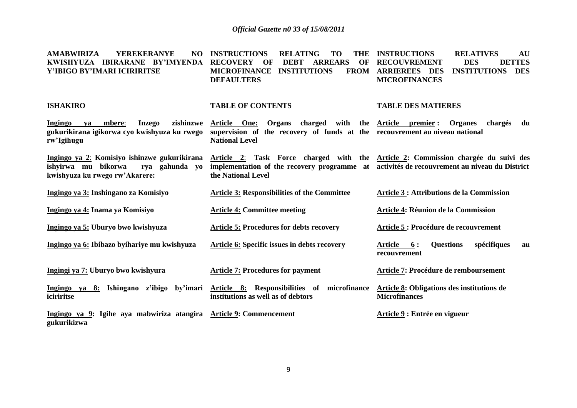**INSTRUCTIONS RELATING TO THE INSTRUCTIONS RELATIVES AU** 

**AMABWIRIZA YEREKERANYE** 

| KWISHYUZA IBIRARANE BY'IMYENDA<br>Y'IBIGO BY'IMARI ICIRIRITSE                                                           | <b>RECOVERY</b><br><b>DEBT</b><br><b>ARREARS</b><br>OF<br>OF<br><b>MICROFINANCE</b><br><b>INSTITUTIONS</b><br><b>FROM</b><br><b>DEFAULTERS</b>                                                         | <b>DES</b><br><b>DETTES</b><br><b>RECOUVREMENT</b><br><b>ARRIEREES DES</b><br><b>INSTITUTIONS</b><br><b>DES</b><br><b>MICROFINANCES</b> |
|-------------------------------------------------------------------------------------------------------------------------|--------------------------------------------------------------------------------------------------------------------------------------------------------------------------------------------------------|-----------------------------------------------------------------------------------------------------------------------------------------|
| <b>ISHAKIRO</b>                                                                                                         | <b>TABLE OF CONTENTS</b>                                                                                                                                                                               | <b>TABLE DES MATIERES</b>                                                                                                               |
| <b>Ingingo</b><br>mbere:<br><b>Inzego</b><br>va<br>gukurikirana igikorwa cyo kwishyuza ku rwego<br>rw'Igihugu           | zishinzwe Article One: Organs charged with the Article premier: Organes<br>supervision of the recovery of funds at the recouvrement au niveau national<br><b>National Level</b>                        | chargés<br>du                                                                                                                           |
| Ingingo ya 2: Komisiyo ishinzwe gukurikirana<br>ishyirwa mu bikorwa<br>rya gahunda yo<br>kwishyuza ku rwego rw'Akarere: | Article 2: Task Force charged with the Article 2: Commission chargée du suivi des<br>implementation of the recovery programme at activités de recouvrement au niveau du District<br>the National Level |                                                                                                                                         |
| Ingingo ya 3: Inshingano za Komisiyo                                                                                    | <b>Article 3: Responsibilities of the Committee</b>                                                                                                                                                    | <b>Article 3 : Attributions de la Commission</b>                                                                                        |
| Ingingo ya 4: Inama ya Komisiyo                                                                                         | <b>Article 4: Committee meeting</b>                                                                                                                                                                    | <b>Article 4: Réunion de la Commission</b>                                                                                              |
| Ingingo ya 5: Uburyo bwo kwishyuza                                                                                      | <b>Article 5: Procedures for debts recovery</b>                                                                                                                                                        | Article 5 : Procédure de recouvrement                                                                                                   |
| Ingingo ya 6: Ibibazo byihariye mu kwishyuza                                                                            | Article 6: Specific issues in debts recovery                                                                                                                                                           | <b>Questions</b><br>spécifiques<br>Article 6:<br>au<br>recouvrement                                                                     |
| Ingingi ya 7: Uburyo bwo kwishyura                                                                                      | <b>Article 7: Procedures for payment</b>                                                                                                                                                               | Article 7: Procédure de remboursement                                                                                                   |
| iciriritse                                                                                                              | Ingingo ya 8: Ishingano z'ibigo by'imari Article 8: Responsibilities of microfinance<br>institutions as well as of debtors                                                                             | Article 8: Obligations des institutions de<br><b>Microfinances</b>                                                                      |
| Ingingo ya 9: Igihe aya mabwiriza atangira Article 9: Commencement<br>gukurikizwa                                       |                                                                                                                                                                                                        | Article 9 : Entrée en vigueur                                                                                                           |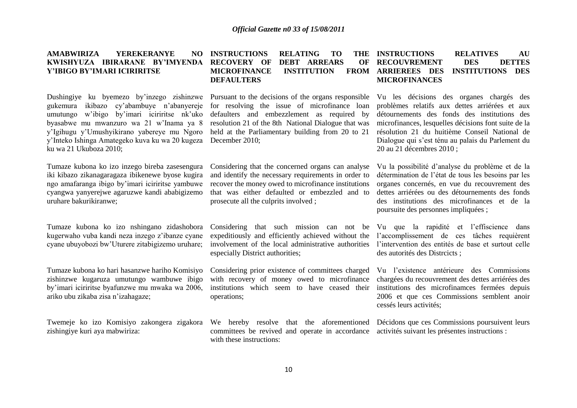#### **AMABWIRIZA YEREKERANYE KWISHYUZA IBIRARANE BY'IMYENDA Y'IBIGO BY'IMARI ICIRIRITSE NO INSTRUCTIONS RELATING TO RECOVERY OF DEBT ARREARS OF MICROFINANCE INSTITUTION FROM DEFAULTERS INSTRUCTIONS RELATIVES AU RECOUVREMENT DES DETTES ARRIEREES DES INSTITUTIONS DES MICROFINANCES**

gukemura ikibazo cy"abambuye n"abanyereje umutungo w"ibigo by"imari iciriritse nk"uko byasabwe mu mwanzuro wa 21 w"Inama ya 8 y"Igihugu y"Umushyikirano yabereye mu Ngoro y"Inteko Ishinga Amategeko kuva ku wa 20 kugeza ku wa 21 Ukuboza 2010;

Tumaze kubona ko izo inzego bireba zasesengura iki kibazo zikanagaragaza ibikenewe byose kugira ngo amafaranga ibigo by"imari iciriritse yambuwe cyangwa yanyerejwe agaruzwe kandi ababigizemo uruhare bakurikiranwe;

Tumaze kubona ko izo nshingano zidashobora kugerwaho vuba kandi neza inzego z"ibanze cyane cyane ubuyobozi bw"Uturere zitabigizemo uruhare;

Tumaze kubona ko hari hasanzwe hariho Komisiyo zishinzwe kugaruza umutungo wambuwe ibigo by"imari iciriritse byafunzwe mu mwaka wa 2006, ariko ubu zikaba zisa n"izahagaze;

Twemeje ko izo Komisiyo zakongera zigakora zishingiye kuri aya mabwiriza:

Dushingiye ku byemezo by'inzego zishinzwe Pursuant to the decisions of the organs responsible for resolving the issue of microfinance loan defaulters and embezzlement as required by resolution 21 of the 8th National Dialogue that was held at the Parliamentary building from 20 to 21 December 2010;

> Considering that the concerned organs can analyse and identify the necessary requirements in order to recover the money owed to microfinance institutions that was either defaulted or embezzled and to prosecute all the culprits involved ;

Considering that such mission can not be expeditiously and efficiently achieved without the involvement of the local administrative authorities especially District authorities;

Considering prior existence of committees charged with recovery of money owed to microfinance institutions which seem to have ceased their operations;

We hereby resolve that the aforementioned committees be revived and operate in accordance activités suivant les présentes instructions : with these instructions:

Vu les décisions des organes chargés des problèmes relatifs aux dettes arriérées et aux détournements des fonds des institutions des microfinances, lesquelles décisions font suite de la résolution 21 du huitième Conseil National de Dialogue qui s"est ténu au palais du Parlement du 20 au 21 décembres 2010 ;

Vu la possibilité d"analyse du problème et de la détermination de l"état de tous les besoins par les organes concernés, en vue du recouvrement des dettes arriérées ou des détournements des fonds des institutions des microfinances et de la poursuite des personnes impliquées ;

Vu que la rapidité et l"effiscience dans l"accomplissement de ces tâches requièrent l"intervention des entités de base et surtout celle des autorités des Distrcicts ;

Vu l"existence antérieure des Commissions chargées du recouvrement des dettes arriérées des institutions des microfinamces fermées depuis 2006 et que ces Commissions semblent anoir cessés leurs activités;

Décidons que ces Commissions poursuivent leurs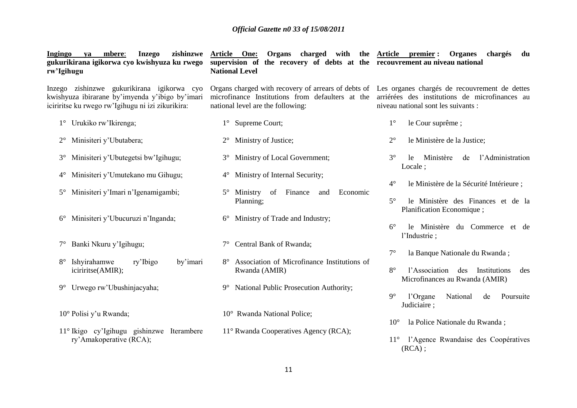| zishinzwe<br>Ingingo<br>mbere:<br><b>Inzego</b><br>va<br>gukurikirana igikorwa cyo kwishyuza ku rwego<br>rw'Igihugu                                | Article One:<br>Organs charged with the Article premier:<br>supervision of the recovery of debts at the recouvrement au niveau national<br><b>National Level</b>                           | <b>Organes</b><br>chargés<br>du                                                                                                               |
|----------------------------------------------------------------------------------------------------------------------------------------------------|--------------------------------------------------------------------------------------------------------------------------------------------------------------------------------------------|-----------------------------------------------------------------------------------------------------------------------------------------------|
| Inzego zishinzwe gukurikirana igikorwa cyo<br>kwishyuza ibirarane by'imyenda y'ibigo by'imari<br>iciriritse ku rwego rw'Igihugu ni izi zikurikira: | Organs charged with recovery of arrears of debts of Les organes chargés de recouvrement de dettes<br>microfinance Institutions from defaulters at the<br>national level are the following: | arriérées des institutions de microfinances au<br>niveau national sont les suivants :                                                         |
| 1° Urukiko rw'Ikirenga;                                                                                                                            | 1° Supreme Court;                                                                                                                                                                          | $1^{\circ}$<br>le Cour suprême ;                                                                                                              |
| Minisiteri y'Ubutabera;<br>$2^{\circ}$                                                                                                             | Ministry of Justice;<br>$2^{\circ}$                                                                                                                                                        | $2^{\circ}$<br>le Ministère de la Justice;                                                                                                    |
| Minisiteri y'Ubutegetsi bw'Igihugu;<br>$3^\circ$                                                                                                   | Ministry of Local Government;<br>$3^\circ$                                                                                                                                                 | $3^\circ$<br>l'Administration<br>Ministère<br>le.<br>de<br>Locale;                                                                            |
| Minisiteri y'Umutekano mu Gihugu;<br>$4^{\circ}$                                                                                                   | Ministry of Internal Security;<br>$4^{\circ}$                                                                                                                                              | $4^\circ$<br>le Ministère de la Sécurité Intérieure ;                                                                                         |
| Minisiteri y'Imari n'Igenamigambi;<br>$5^{\circ}$                                                                                                  | Ministry of<br>Finance<br>$5^{\circ}$<br>Economic<br>and<br>Planning;                                                                                                                      | $5^\circ$<br>le Ministère des Finances et de la<br>Planification Economique;                                                                  |
| Minisiteri y'Ubucuruzi n'Inganda;<br>$6^{\circ}$                                                                                                   | Ministry of Trade and Industry;<br>$6^{\circ}$                                                                                                                                             | $6^{\circ}$<br>le Ministère du Commerce et de<br>l'Industrie;                                                                                 |
| Banki Nkuru y'Igihugu;<br>$7^{\circ}$                                                                                                              | Central Bank of Rwanda;                                                                                                                                                                    |                                                                                                                                               |
| Ishyirahamwe<br>ry'Ibigo<br>by'imari<br>$8^{\circ}$<br>iciriritse(AMIR);                                                                           | Association of Microfinance Institutions of<br>Rwanda (AMIR)                                                                                                                               | $7^{\circ}$<br>la Banque Nationale du Rwanda;<br>$8^{\circ}$<br>l'Association<br>des<br>Institutions<br>des<br>Microfinances au Rwanda (AMIR) |
| Urwego rw'Ubushinjacyaha;<br>$9^{\circ}$                                                                                                           | National Public Prosecution Authority;<br>$9^\circ$                                                                                                                                        | $9^\circ$<br>National<br>l'Organe<br>de<br>Poursuite<br>Judiciaire;                                                                           |
| 10° Polisi y'u Rwanda;                                                                                                                             | 10° Rwanda National Police;                                                                                                                                                                |                                                                                                                                               |
| 11° Ikigo cy'Igihugu gishinzwe Iterambere<br>ry'Amakoperative (RCA);                                                                               | 11° Rwanda Cooperatives Agency (RCA);                                                                                                                                                      | la Police Nationale du Rwanda;<br>$10^{\circ}$<br>l'Agence Rwandaise des Coopératives<br>$11^{\circ}$<br>$(RCA)$ ;                            |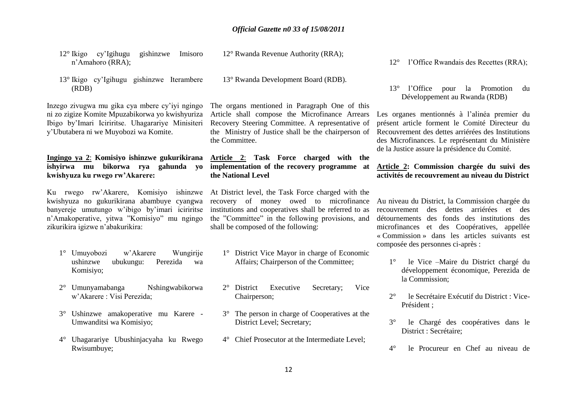- 12° Ikigo cy"Igihugu gishinzwe Imisoro n"Amahoro (RRA);
- 13° Ikigo cy"Igihugu gishinzwe Iterambere (RDB)

Inzego zivugwa mu gika cya mbere cy"iyi ngingo ni zo zigize Komite Mpuzabikorwa yo kwishyuriza Ibigo by"Imari Iciriritse. Uhagarariye Minisiteri y"Ubutabera ni we Muyobozi wa Komite.

# **Ingingo ya 2**: **Komisiyo ishinzwe gukurikirana ishyirwa mu bikorwa rya gahunda yo kwishyuza ku rwego rw'Akarere:**

Ku rwego rw"Akarere, Komisiyo ishinzwe kwishyuza no gukurikirana abambuye cyangwa banyereje umutungo w"ibigo by"imari iciriritse n"Amakoperative, yitwa "Komisiyo" mu ngingo zikurikira igizwe n"abakurikira:

- 1° Umuyobozi w"Akarere Wungirije ushinzwe ubukungu: Perezida wa Komisiyo;
- 2° Umunyamabanga Nshingwabikorwa w"Akarere : Visi Perezida;
- 3° Ushinzwe amakoperative mu Karere Umwanditsi wa Komisiyo;
- 4° Uhagarariye Ubushinjacyaha ku Rwego Rwisumbuye;

13° Rwanda Development Board (RDB).

12° Rwanda Revenue Authority (RRA);

The organs mentioned in Paragraph One of this Article shall compose the Microfinance Arrears Recovery Steering Committee. A representative of the Ministry of Justice shall be the chairperson of the Committee.

# **Article 2**: **Task Force charged with the implementation of the recovery programme at the National Level**

At District level, the Task Force charged with the recovery of money owed to microfinance institutions and cooperatives shall be referred to as the "Committee" in the following provisions, and shall be composed of the following:

- 1° District Vice Mayor in charge of Economic Affairs; Chairperson of the Committee;
- 2° District Executive Secretary; Vice Chairperson;
- 3° The person in charge of Cooperatives at the District Level; Secretary;
- 4° Chief Prosecutor at the Intermediate Level;

12° l"Office Rwandais des Recettes (RRA);

13° l"Office pour la Promotion du Développement au Rwanda (RDB)

Les organes mentionnés à l'alinéa premier du présent article forment le Comité Directeur du Recouvrement des dettes arriérées des Institutions des Microfinances. Le représentant du Ministère de la Justice assure la présidence du Comité.

# **Article 2: Commission chargée du suivi des activités de recouvrement au niveau du District**

Au niveau du District, la Commission chargée du recouvrement des dettes arriérées et des détournements des fonds des institutions des microfinances et des Coopératives, appellée « Commission » dans les articles suivants est composée des personnes ci-après :

- 1° le Vice –Maire du District chargé du développement économique, Perezida de la Commission;
- 2° le Secrétaire Exécutif du District : Vice-Président ;
- 3° le Chargé des coopératives dans le District : Secrétaire;
- 4° le Procureur en Chef au niveau de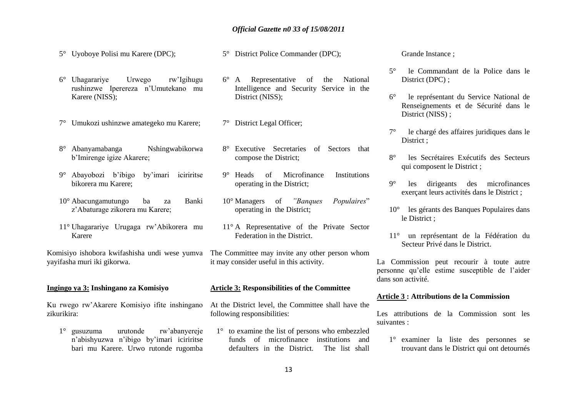# *Official Gazette n0 33 of 15/08/2011*

5° Uyoboye Polisi mu Karere (DPC);

5° District Police Commander (DPC);

- 6° Uhagarariye Urwego rw"Igihugu rushinzwe Iperereza n"Umutekano mu Karere (NISS);
- 7° Umukozi ushinzwe amategeko mu Karere;
- 8° Abanyamabanga Nshingwabikorwa b"Imirenge igize Akarere;
- 9° Abayobozi b"ibigo by"imari iciriritse bikorera mu Karere;
- 10° Abacungamutungo ba za Banki z"Abaturage zikorera mu Karere;
- 11° Uhagarariye Urugaga rw"Abikorera mu Karere

Komisiyo ishobora kwifashisha undi wese yumva The Committee may invite any other person whom yayifasha muri iki gikorwa.

# **Ingingo ya 3: Inshingano za Komisiyo**

Ku rwego rw"Akarere Komisiyo ifite inshingano zikurikira:

1° gusuzuma urutonde rw"abanyereje n"abishyuzwa n"ibigo by"imari iciriritse bari mu Karere. Urwo rutonde rugomba

- 6° A Representative of the National Intelligence and Security Service in the District (NISS);
- 7° District Legal Officer;
- 8° Executive Secretaries of Sectors that compose the District;
- 9° Heads of Microfinance Institutions operating in the District;
- 10° Managers of *"Banques Populaires*" operating in the District;
- 11° A Representative of the Private Sector Federation in the District.
- it may consider useful in this activity.

### **Article 3: Responsibilities of the Committee**

At the District level, the Committee shall have the following responsibilities:

1° to examine the list of persons who embezzled funds of microfinance institutions and defaulters in the District. The list shall

Grande Instance ;

- 5° le Commandant de la Police dans le District (DPC):
- 6° le représentant du Service National de Renseignements et de Sécurité dans le District (NISS):
- le chargé des affaires juridiques dans le District ;
- 8° les Secrétaires Exécutifs des Secteurs qui composent le District ;
- 9° les dirigeants des microfinances exerçant leurs activités dans le District ;
- 10° les gérants des Banques Populaires dans le District ;
- 11° un représentant de la Fédération du Secteur Privé dans le District.

La Commission peut recourir à toute autre personne qu"elle estime susceptible de l"aider dans son activité.

#### **Article 3 : Attributions de la Commission**

Les attributions de la Commission sont les suivantes :

1° examiner la liste des personnes se trouvant dans le District qui ont detournés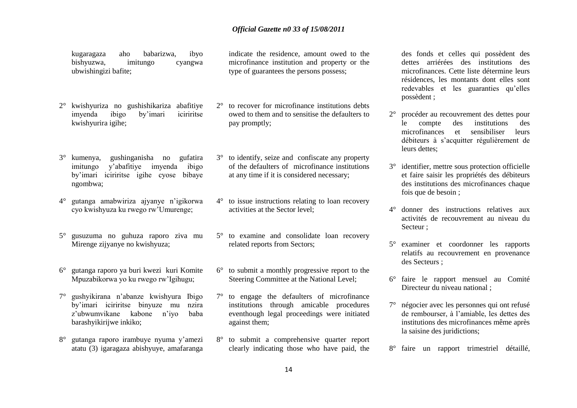kugaragaza aho babarizwa, ibyo bishyuzwa, imitungo cyangwa ubwishingizi bafite;

- 2° kwishyuriza no gushishikariza abafitiye imyenda ibigo by"imari iciriritse kwishyurira igihe;
- 3° kumenya, gushinganisha no gufatira imitungo y"abafitiye imyenda ibigo by"imari iciriritse igihe cyose bibaye ngombwa;
- 4° gutanga amabwiriza ajyanye n"igikorwa cyo kwishyuza ku rwego rw"Umurenge;
- 5° gusuzuma no guhuza raporo ziva mu Mirenge zijyanye no kwishyuza;
- 6° gutanga raporo ya buri kwezi kuri Komite Mpuzabikorwa yo ku rwego rw"Igihugu;
- 7° gushyikirana n"abanze kwishyura Ibigo by"imari iciriritse binyuze mu nzira z"ubwumvikane kabone n"iyo baba barashyikirijwe inkiko;
- 8° gutanga raporo irambuye nyuma y"amezi atatu (3) igaragaza abishyuye, amafaranga

indicate the residence, amount owed to the microfinance institution and property or the type of guarantees the persons possess;

- 2° to recover for microfinance institutions debts owed to them and to sensitise the defaulters to pay promptly;
- 3° to identify, seize and confiscate any property of the defaulters of microfinance institutions at any time if it is considered necessary;
- 4° to issue instructions relating to loan recovery activities at the Sector level;
- 5° to examine and consolidate loan recovery related reports from Sectors;
- 6° to submit a monthly progressive report to the Steering Committee at the National Level;
- 7° to engage the defaulters of microfinance institutions through amicable procedures eventhough legal proceedings were initiated against them;
- 8° to submit a comprehensive quarter report clearly indicating those who have paid, the

des fonds et celles qui possèdent des dettes arriérées des institutions des microfinances. Cette liste détermine leurs résidences, les montants dont elles sont redevables et les guaranties qu"elles possèdent ;

- 2° procéder au recouvrement des dettes pour le compte des institutions des microfinances et sensibiliser leurs débiteurs à s"acquitter régulièrement de leurs dettes:
- 3° identifier, mettre sous protection officielle et faire saisir les propriétés des débiteurs des institutions des microfinances chaque fois que de besoin ;
- 4° donner des instructions relatives aux activités de recouvrement au niveau du Secteur ;
- 5° examiner et coordonner les rapports relatifs au recouvrement en provenance des Secteurs ;
- 6° faire le rapport mensuel au Comité Directeur du niveau national ;
- 7° négocier avec les personnes qui ont refusé de rembourser, à l"amiable, les dettes des institutions des microfinances même après la saisine des juridictions;
- 8° faire un rapport trimestriel détaillé,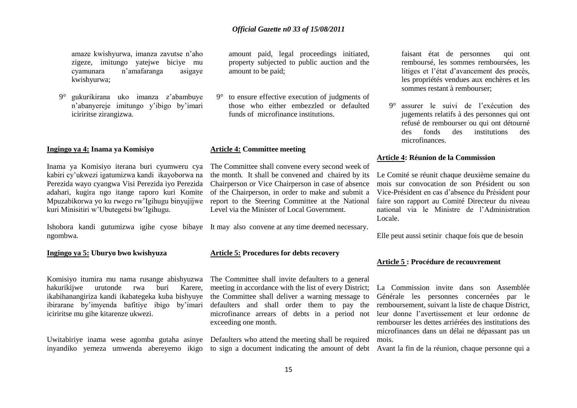amaze kwishyurwa, imanza zavutse n"aho zigeze, imitungo yatejwe biciye mu cyamunara n"amafaranga asigaye kwishyurwa;

9° gukurikirana uko imanza z"abambuye n"abanyereje imitungo y"ibigo by"imari iciriritse zirangizwa.

#### **Ingingo ya 4: Inama ya Komisiyo**

Inama ya Komisiyo iterana buri cyumweru cya kabiri cy"ukwezi igatumizwa kandi ikayoborwa na Perezida wayo cyangwa Visi Perezida iyo Perezida adahari, kugira ngo itange raporo kuri Komite Mpuzabikorwa yo ku rwego rw"Igihugu binyujijwe kuri Minisitiri w"Ubutegetsi bw"Igihugu.

Ishobora kandi gutumizwa igihe cyose bibaye It may also convene at any time deemed necessary. ngombwa.

#### **Ingingo ya 5: Uburyo bwo kwishyuza**

Komisiyo itumira mu nama rusange abishyuzwa hakurikijwe urutonde rwa buri Karere, ikabihanangiriza kandi ikabategeka kuba bishyuye ibirarane by"imyenda bafitiye ibigo by"imari iciriritse mu gihe kitarenze ukwezi.

Uwitabiriye inama wese agomba gutaha asinye Defaulters who attend the meeting shall be required

amount paid, legal proceedings initiated, property subjected to public auction and the amount to be paid;

9° to ensure effective execution of judgments of those who either embezzled or defaulted funds of microfinance institutions.

#### **Article 4: Committee meeting**

The Committee shall convene every second week of the month*.* It shall be convened and chaired by its Chairperson or Vice Chairperson in case of absence of the Chairperson, in order to make and submit a report to the Steering Committee at the National Level via the Minister of Local Government.

# **Article 5: Procedures for debts recovery**

The Committee shall invite defaulters to a general meeting in accordance with the list of every District; the Committee shall deliver a warning message to defaulters and shall order them to pay the microfinance arrears of debts in a period not exceeding one month.

inyandiko yemeza umwenda abereyemo ikigo to sign a document indicating the amount of debt

faisant état de personnes qui ont remboursé, les sommes remboursées, les litiges et l"état d"avancement des procès, les propriétés vendues aux enchères et les sommes restant à rembourser;

9° assurer le suivi de l"exécution des jugements relatifs à des personnes qui ont refusé de rembourser ou qui ont détourné des fonds des institutions des microfinances.

#### **Article 4: Réunion de la Commission**

Le Comité se réunit chaque deuxième semaine du mois sur convocation de son Président ou son Vice-Président en cas d"absence du Président pour faire son rapport au Comité Directeur du niveau national via le Ministre de l"Administration Locale.

Elle peut aussi setinir chaque fois que de besoin

#### **Article 5 : Procédure de recouvrement**

La Commission invite dans son Assemblée Générale les personnes concernées par le remboursement, suivant la liste de chaque District, leur donne l"avertissement et leur ordonne de rembourser les dettes arriérées des institutions des microfinances dans un délai ne dépassant pas un mois.

Avant la fin de la réunion, chaque personne qui a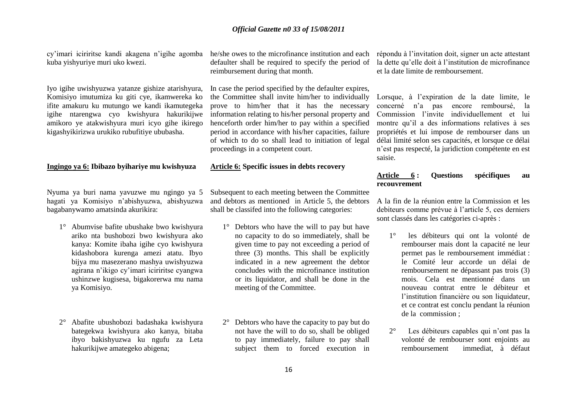cy"imari iciriritse kandi akagena n"igihe agomba he/she owes to the microfinance institution and each kuba yishyuriye muri uko kwezi.

Iyo igihe uwishyuzwa yatanze gishize atarishyura, Komisiyo imutumiza ku giti cye, ikamwereka ko ifite amakuru ku mutungo we kandi ikamutegeka igihe ntarengwa cyo kwishyura hakurikijwe amikoro ye atakwishyura muri icyo gihe ikirego kigashyikirizwa urukiko rubufitiye ububasha.

#### **Ingingo ya 6: Ibibazo byihariye mu kwishyuza**

Nyuma ya buri nama yavuzwe mu ngingo ya 5 hagati ya Komisiyo n"abishyuzwa, abishyuzwa bagabanywamo amatsinda akurikira:

- 1° Abumvise bafite ubushake bwo kwishyura ariko nta bushobozi bwo kwishyura ako kanya: Komite ibaha igihe cyo kwishyura kidashobora kurenga amezi atatu. Ibyo bijya mu masezerano mashya uwishyuzwa agirana n"ikigo cy"imari iciriritse cyangwa ushinzwe kugisesa, bigakorerwa mu nama ya Komisiyo.
- 2° Abafite ubushobozi badashaka kwishyura bategekwa kwishyura ako kanya, bitaba ibyo bakishyuzwa ku ngufu za Leta hakurikijwe amategeko abigena;

defaulter shall be required to specify the period of reimbursement during that month.

In case the period specified by the defaulter expires, the Committee shall invite him/her to individually prove to him/her that it has the necessary information relating to his/her personal property and henceforth order him/her to pay within a specified period in accordance with his/her capacities, failure of which to do so shall lead to initiation of legal proceedings in a competent court.

#### **Article 6: Specific issues in debts recovery**

Subsequent to each meeting between the Committee and debtors as mentioned in Article 5, the debtors shall be classifed into the following categories:

- 1° Debtors who have the will to pay but have no capacity to do so immediately, shall be given time to pay not exceeding a period of three (3) months. This shall be explicitly indicated in a new agreement the debtor concludes with the microfinance institution or its liquidator, and shall be done in the meeting of the Committee.
- 2° Debtors who have the capacity to pay but do not have the will to do so, shall be obliged to pay immediately, failure to pay shall subject them to forced execution in

répondu à l"invitation doit, signer un acte attestant la dette qu"elle doit à l"institution de microfinance et la date limite de remboursement.

Lorsque, à l"expiration de la date limite, le concerné n"a pas encore remboursé, la Commission l"invite individuellement et lui montre qu"il a des informations relatives à ses propriétés et lui impose de rembourser dans un délai limité selon ses capacités, et lorsque ce délai n"est pas respecté, la juridiction compétente en est saisie.

### **Article 6 : Questions spécifiques au recouvrement**

A la fin de la réunion entre la Commission et les debiteurs comme prévue à l"article 5, ces derniers sont classés dans les catégories ci-après :

- 1° les débiteurs qui ont la volonté de rembourser mais dont la capacité ne leur permet pas le remboursement immédiat : le Comité leur accorde un délai de remboursement ne dépassant pas trois (3) mois. Cela est mentionné dans un nouveau contrat entre le débiteur et l'institution financière ou son liquidateur, et ce contrat est conclu pendant la réunion de la commission ;
- 2° Les débiteurs capables qui n"ont pas la volonté de rembourser sont enjoints au remboursement immediat, à défaut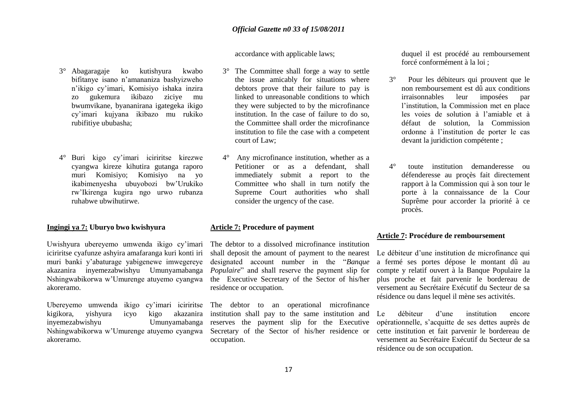accordance with applicable laws;

- 3° Abagaragaje ko kutishyura kwabo bifitanye isano n"amananiza bashyizweho n"ikigo cy"imari, Komisiyo ishaka inzira zo gukemura ikibazo ziciye mu bwumvikane, byananirana igategeka ikigo cy"imari kujyana ikibazo mu rukiko rubifitiye ububasha;
- 4° Buri kigo cy"imari iciriritse kirezwe cyangwa kireze kihutira gutanga raporo muri Komisiyo; Komisiyo na yo ikabimenyesha ubuyobozi bw"Urukiko rw"Ikirenga kugira ngo urwo rubanza ruhabwe ubwihutirwe.

#### **Ingingi ya 7: Uburyo bwo kwishyura**

Uwishyura ubereyemo umwenda ikigo cy"imari iciriritse cyafunze ashyira amafaranga kuri konti iri muri banki y"abaturage yabigenewe imwegereye akazanira inyemezabwishyu Umunyamabanga Nshingwabikorwa w"Umurenge atuyemo cyangwa akoreramo.

Ubereyemo umwenda ikigo cy"imari iciriritse kigikora, yishyura icyo kigo akazanira inyemezabwishyu Umunyamabanga Nshingwabikorwa w"Umurenge atuyemo cyangwa Secretary of the Sector of his/her residence or akoreramo.

- 3° The Committee shall forge a way to settle the issue amicably for situations where debtors prove that their failure to pay is linked to unreasonable conditions to which they were subjected to by the microfinance institution. In the case of failure to do so, the Committee shall order the microfinance institution to file the case with a competent court of Law;
- 4° Any microfinance institution, whether as a Petitioner or as a defendant, shall immediately submit a report to the Committee who shall in turn notify the Supreme Court authorities who shall consider the urgency of the case.

#### **Article 7: Procedure of payment**

The debtor to a dissolved microfinance institution shall deposit the amount of payment to the nearest designated account number in the "*Banque Populaire*" and shall reserve the payment slip for the Executive Secretary of the Sector of his/her residence or occupation.

The debtor to an operational microfinance institution shall pay to the same institution and reserves the payment slip for the Executive occupation.

duquel il est procédé au remboursement forcé conformément à la loi ;

- 3° Pour les débiteurs qui prouvent que le non remboursement est dû aux conditions irraisonnables leur imposées par l"institution, la Commission met en place les voies de solution à l"amiable et à défaut de solution, la Commission ordonne à l"institution de porter le cas devant la juridiction compétente ;
- 4° toute institution demanderesse ou défenderesse au proçès fait directement rapport à la Commission qui à son tour le porte à la connaissance de la Cour Suprême pour accorder la priorité à ce procès.

#### **Article 7: Procédure de remboursement**

Le débiteur d'une institution de microfinance qui a fermé ses portes dépose le montant dû au compte y relatif ouvert à la Banque Populaire la plus proche et fait parvenir le bordereau de versement au Secrétaire Exécutif du Secteur de sa résidence ou dans lequel il mène ses activités.

Le débiteur d'une institution encore opérationnelle, s"acquitte de ses dettes auprès de cette institution et fait parvenir le bordereau de versement au Secrétaire Exécutif du Secteur de sa résidence ou de son occupation.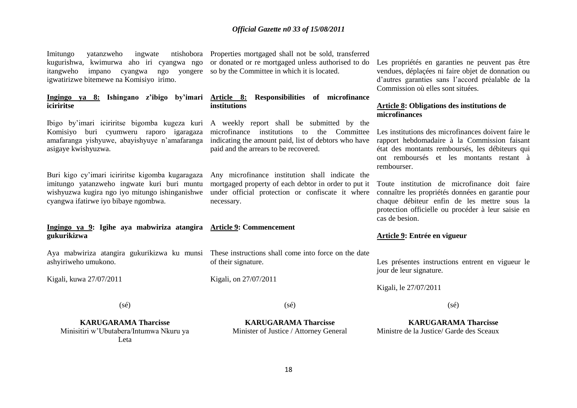# *Official Gazette n0 33 of 15/08/2011*

kugurishwa, kwimurwa aho iri cyangwa ngo itangweho impano cyangwa ngo yongere so by the Committee in which it is located. igwatirizwe bitemewe na Komisiyo irimo.

# **iciriritse**

Komisiyo buri cyumweru raporo igaragaza amafaranga yishyuwe, abayishyuye n'amafaranga indicating the amount paid, list of debtors who have asigaye kwishyuzwa.

Buri kigo cy"imari iciriritse kigomba kugaragaza imitungo yatanzweho ingwate kuri buri muntu wishyuzwa kugira ngo iyo mitungo ishinganishwe cyangwa ifatirwe iyo bibaye ngombwa.

#### **Ingingo ya 9: Igihe aya mabwiriza atangira Article 9: Commencement gukurikizwa**

Aya mabwiriza atangira gukurikizwa ku munsi These instructions shall come into force on the date ashyiriweho umukono.

Kigali, kuwa 27/07/2011

Imitungo yatanzweho ingwate ntishobora Properties mortgaged shall not be sold, transferred or donated or re mortgaged unless authorised to do

# **Ingingo ya 8: Ishingano z'ibigo by'imari Article 8: Responsibilities of microfinance institutions**

Ibigo by"imari iciriritse bigomba kugeza kuri A weekly report shall be submitted by the microfinance institutions to the Committee paid and the arrears to be recovered.

> Any microfinance institution shall indicate the mortgaged property of each debtor in order to put it under official protection or confiscate it where necessary.

of their signature.

(sé)

**KARUGARAMA Tharcisse** Minister of Justice / Attorney General

Kigali, on 27/07/2011

Les propriétés en garanties ne peuvent pas être vendues, déplaçées ni faire objet de donnation ou d"autres garanties sans l"accord préalable de la Commission où elles sont situées.

# **Article 8: Obligations des institutions de microfinances**

Les institutions des microfinances doivent faire le rapport hebdomadaire à la Commission faisant état des montants remboursés, les débiteurs qui ont remboursés et les montants restant à rembourser.

Toute institution de microfinance doit faire connaître les propriétés données en garantie pour chaque débiteur enfin de les mettre sous la protection officielle ou procéder à leur saisie en cas de besion.

#### **Article 9: Entrée en vigueur**

Les présentes instructions entrent en vigueur le jour de leur signature.

Kigali, le 27/07/2011

(sé)

**KARUGARAMA Tharcisse** Ministre de la Justice/ Garde des Sceaux

(sé)

**KARUGARAMA Tharcisse** Minisitiri w"Ubutabera/Intumwa Nkuru ya Leta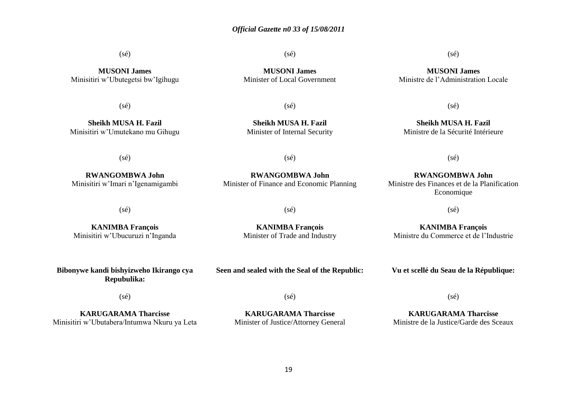# *Official Gazette n0 33 of 15/08/2011*

(sé)

**MUSONI James** Minisitiri w"Ubutegetsi bw"Igihugu

(sé)

**Sheikh MUSA H. Fazil** Minisitiri w"Umutekano mu Gihugu

(sé)

**RWANGOMBWA John** Minisitiri w"Imari n"Igenamigambi

**MUSONI James** Minister of Local Government

(sé)

 $(sé)$ 

**Sheikh MUSA H. Fazil** Minister of Internal Security

 $(s\acute{e})$ 

**RWANGOMBWA John** Minister of Finance and Economic Planning

**RWANGOMBWA John** Ministre des Finances et de la Planification Economique

 $(s\acute{e})$ 

**KANIMBA François** Ministre du Commerce et de l"Industrie

(sé)

 $(s\acute{e})$ 

**KANIMBA François** Minisitiri w"Ubucuruzi n"Inganda **KANIMBA François**

(sé)

Minister of Trade and Industry

**Bibonywe kandi bishyizweho Ikirango cya Repubulika:**

**Seen and sealed with the Seal of the Republic:**

**Vu et scellé du Seau de la République:**

(sé)

**KARUGARAMA Tharcisse** Minisitiri w"Ubutabera/Intumwa Nkuru ya Leta  $(s\acute{e})$ 

**KARUGARAMA Tharcisse** Minister of Justice/Attorney General (sé)

**KARUGARAMA Tharcisse** Ministre de la Justice/Garde des Sceaux

# (sé)

**MUSONI James** Ministre de l"Administration Locale

(sé)

**Sheikh MUSA H. Fazil** Ministre de la Sécurité Intérieure

19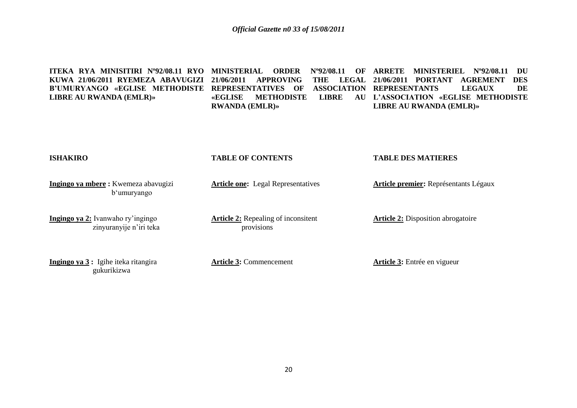**ITEKA RYA MINISITIRI Nº92/08.11 RYO MINISTERIAL ORDER Nº92/08.11 OF ARRETE MINISTERIEL Nº92/08.11 DU KUWA 21/06/2011 RYEMEZA ABAVUGIZI 21/06/2011 APPROVING THE LEGAL 21/06/2011 PORTANT AGREMENT DES B'UMURYANGO «EGLISE METHODISTE REPRESENTATIVES OF ASSOCIATION REPRESENTANTS LEGAUX DE LIBRE AU RWANDA (EMLR)» «EGLISE METHODISTE LIBRE AU L'ASSOCIATION «EGLISE METHODISTE RWANDA (EMLR)» LIBRE AU RWANDA (EMLR)»**

**ISHAKIRO Ingingo ya mbere :** Kwemeza abavugizi b'umuryango **Ingingo ya 2:** Ivanwaho ry"ingingo zinyuranyije n'iri teka **Ingingo ya 3 :** Igihe iteka ritangira gukurikizwa **TABLE OF CONTENTS Article one:** Legal Representatives **Article 2:** Repealing of inconsitent provisions **Article 3:** Commencement **TABLE DES MATIERES Article premier:** Représentants Légaux **Article 2:** Disposition abrogatoire **Article 3:** Entrée en vigueur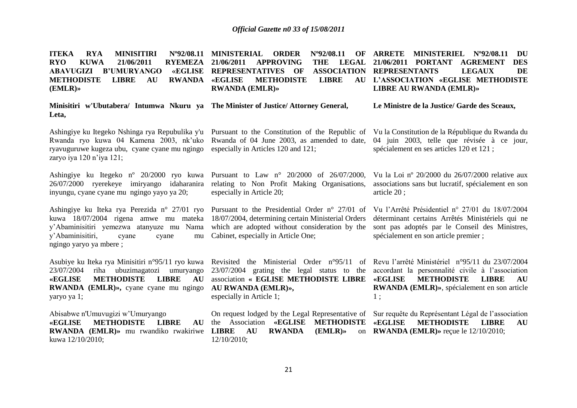**ITEKA RYA MINISITIRI RYO KUWA 21/06/2011 RYEMEZA 21/06/2011 APPROVING THE LEGAL ABAVUGIZI B'UMURYANGO METHODISTE LIBRE AU RWANDA (EMLR)»** Nº92/08.11 MINISTERIAL ORDER *«EGLISE* **REPRESENTATIVES OF METHODISTE LIBRE RWANDA (EMLR)» ARRETE MINISTERIEL Nº92/08.11 DU 21/06/2011 PORTANT AGREMENT DES REPRESENTANTS LEGAUX DE L'ASSOCIATION «EGLISE METHODISTE LIBRE AU RWANDA (EMLR)»**

|       |  |  | Minisitiri w'Ubutabera/ Intumwa Nkuru ya The Minister of Justice/Attorney General, | Le Ministre de la Justice/ Garde des Sceaux, |
|-------|--|--|------------------------------------------------------------------------------------|----------------------------------------------|
| Leta. |  |  |                                                                                    |                                              |

ryavuguruwe kugeza ubu, cyane cyane mu ngingo especially in Articles 120 and 121; zaryo iya 120 n"iya 121;

inyungu, cyane cyane mu ngingo yayo ya 20;

y'Abaminisitiri, cyane cyane ngingo yaryo ya mbere ;

23/07/2004 riha ubuzimagatozi umuryango **«EGLISE METHODISTE LIBRE AU RWANDA (EMLR)»,** cyane cyane mu ngingo **AU RWANDA (EMLR)»,** yaryo ya 1;

Abisabwe n'Umuvugizi w"Umuryango «EGLISE METHODISTE LIBRE **RWANDA (EMLR)»** mu rwandiko rwakiriwe kuwa 12/10/2010;

Rwanda ryo kuwa 04 Kamena 2003, nk'uko Rwanda of 04 June 2003, as amended to date, 04 juin 2003, telle que révisée à ce jour,

Ashingiye ku Itegeko nº 20/2000 ryo kuwa Pursuant to Law n° 20/2000 of 26/07/2000, especially in Article 20;

kuwa 18/07/2004 rigena amwe mu mateka 18/07/2004, determining certain Ministerial Orders Cabinet, especially in Article One;

especially in Article 1;

AU the Association «EGLISE METHODISTE «EGLISE **LIBRE** AU RWANDA (EMLR)» on RWANDA (EMLR)» reçue le 12/10/2010; 12/10/2010;

Ashingiye ku Itegeko Nshinga rya Repubulika y'u Pursuant to the Constitution of the Republic of Vu la Constitution de la République du Rwanda du spécialement en ses articles 120 et 121 ;

26/07/2000 ryerekeye imiryango idaharanira relating to Non Profit Making Organisations, associations sans but lucratif, spécialement en son Vu la Loi nº 20/2000 du 26/07/2000 relative aux article 20 ;

Ashingiye ku Iteka rya Perezida n° 27/01 ryo Pursuant to the Presidential Order n° 27/01 of Vu l"Arrêté Présidentiel n° 27/01 du 18/07/2004 y"Abaminisitiri yemezwa atanyuze mu Nama which are adopted without consideration by the sont pas adoptés par le Conseil des Ministres, déterminant certains Arrêtés Ministériels qui ne spécialement en son article premier ;

Asubiye ku Iteka rya Minisitiri n°95/11 ryo kuwa Revisited the Ministerial Order n°95/11 of Revu l'arrêté Ministériel n°95/11 du 23/07/2004 23/07/2004 grating the legal status to the accordant la personnalité civile à l"association association **« EGLISE METHODISTE LIBRE «EGLISE METHODISTE LIBRE AU RWANDA (EMLR)»**, spécialement en son article 1 ;

> On request lodged by the Legal Representative of Sur requête du Représentant Légal de l'association **METHODISTE LIBRE AU**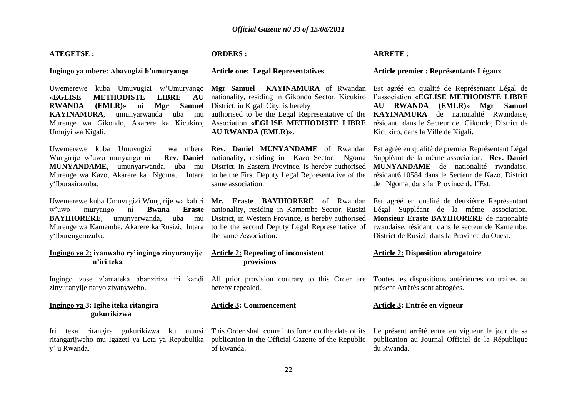# *Official Gazette n0 33 of 15/08/2011*

| <b>ATEGETSE:</b>                                                                                                                                                                                                                                                            | <b>ORDERS:</b>                                                                                                                                                                                                                                 | <b>ARRETE:</b>                                                                                                                                                                                                                                                                   |  |  |
|-----------------------------------------------------------------------------------------------------------------------------------------------------------------------------------------------------------------------------------------------------------------------------|------------------------------------------------------------------------------------------------------------------------------------------------------------------------------------------------------------------------------------------------|----------------------------------------------------------------------------------------------------------------------------------------------------------------------------------------------------------------------------------------------------------------------------------|--|--|
| Ingingo ya mbere: Abavugizi b'umuryango                                                                                                                                                                                                                                     | <b>Article one: Legal Representatives</b>                                                                                                                                                                                                      | Article premier : Représentants Légaux                                                                                                                                                                                                                                           |  |  |
| Uwemerewe kuba Umuvugizi w'Umuryango<br><b>«EGLISE</b><br><b>METHODISTE</b><br><b>LIBRE</b><br>AU<br><b>Samuel</b><br><b>RWANDA</b><br>(EMLR)<br>ni<br>Mgr<br>umunyarwanda<br>uba mu<br><b>KAYINAMURA,</b><br>Murenge wa Gikondo, Akarere ka Kicukiro,<br>Umujyi wa Kigali. | Mgr Samuel KAYINAMURA of Rwandan<br>nationality, residing in Gikondo Sector, Kicukiro<br>District, in Kigali City, is hereby<br>authorised to be the Legal Representative of the<br>Association «EGLISE METHODISTE LIBRE<br>AU RWANDA (EMLR)». | Est agréé en qualité de Représentant Légal de<br>l'association «EGLISE METHODISTE LIBRE<br>$(EMLR)$ » Mgr<br><b>AU RWANDA</b><br><b>Samuel</b><br>KAYINAMURA de nationalité Rwandaise,<br>résidant dans le Secteur de Gikondo, District de<br>Kicukiro, dans la Ville de Kigali. |  |  |
| Uwemerewe kuba Umuvugizi<br>Wungirije w'uwo muryango ni<br>Rev. Daniel<br>MUNYANDAME, umunyarwanda, uba mu<br>Murenge wa Kazo, Akarere ka Ngoma,<br>Intara<br>y'Iburasirazuba.                                                                                              | wa mbere Rev. Daniel MUNYANDAME of Rwandan<br>nationality, residing in Kazo Sector, Ngoma<br>District, in Eastern Province, is hereby authorised<br>to be the First Deputy Legal Representative of the<br>same association.                    | Est agréé en qualité de premier Représentant Légal<br>Suppléant de la même association, Rev. Daniel<br>MUNYANDAME de nationalité rwandaise,<br>résidant6.10584 dans le Secteur de Kazo, District<br>de Ngoma, dans la Province de l'Est.                                         |  |  |
| Uwemerewe kuba Umuvugizi Wungirije wa kabiri<br>w'uwo<br><b>Bwana</b><br><b>Eraste</b><br>muryango<br>ni<br><b>BAYIHORERE,</b><br>umunyarwanda,<br>uba<br>mu<br>Murenge wa Kamembe, Akarere ka Rusizi, Intara<br>y'Iburengerazuba.                                          | Mr. Eraste BAYIHORERE of Rwandan<br>nationality, residing in Kamembe Sector, Rusizi<br>District, in Western Province, is hereby authorised<br>to be the second Deputy Legal Representative of<br>the same Association.                         | Est agréé en qualité de deuxième Représentant<br>Légal Suppléant de la même association,<br>Monsieur Eraste BAYIHORERE de nationalité<br>rwandaise, résidant dans le secteur de Kamembe,<br>District de Rusizi, dans la Province du Ouest.                                       |  |  |
| Ingingo ya 2: ivanwaho ry'ingingo zinyuranyije<br>n'iri teka                                                                                                                                                                                                                | <b>Article 2: Repealing of inconsistent</b><br>provisions                                                                                                                                                                                      | <b>Article 2: Disposition abrogatoire</b>                                                                                                                                                                                                                                        |  |  |
| Ingingo zose z'amateka abanziriza iri kandi<br>zinyuranyije naryo zivanyweho.                                                                                                                                                                                               | All prior provision contrary to this Order are<br>hereby repealed.                                                                                                                                                                             | Toutes les dispositions antérieures contraires au<br>présent Arrêtés sont abrogées.                                                                                                                                                                                              |  |  |
| Ingingo ya 3: Igihe iteka ritangira<br>gukurikizwa                                                                                                                                                                                                                          | <b>Article 3: Commencement</b>                                                                                                                                                                                                                 | Article 3: Entrée en vigueur                                                                                                                                                                                                                                                     |  |  |
| Iri teka ritangira gukurikizwa ku munsi<br>ritangarijweho mu Igazeti ya Leta ya Repubulika<br>y' u Rwanda.                                                                                                                                                                  | This Order shall come into force on the date of its<br>publication in the Official Gazette of the Republic<br>of Rwanda.                                                                                                                       | Le présent arrêté entre en vigueur le jour de sa<br>publication au Journal Officiel de la République<br>du Rwanda.                                                                                                                                                               |  |  |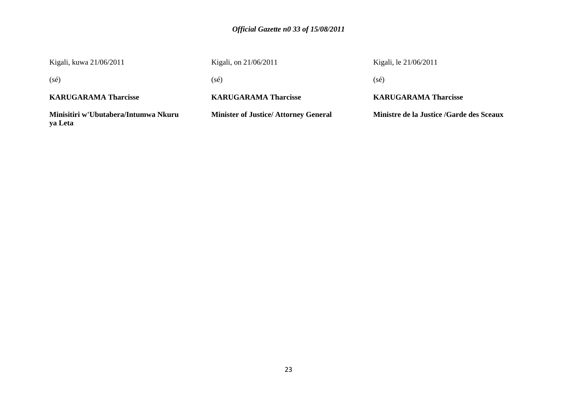# *Official Gazette n0 33 of 15/08/2011*

| Kigali, kuwa 21/06/2011                         | Kigali, on 21/06/2011                       | Kigali, le 21/06/2011                    |
|-------------------------------------------------|---------------------------------------------|------------------------------------------|
| $(s\acute{e})$                                  | (sé)                                        | (sé)                                     |
| <b>KARUGARAMA Tharcisse</b>                     | <b>KARUGARAMA Tharcisse</b>                 | <b>KARUGARAMA Tharcisse</b>              |
| Minisitiri w'Ubutabera/Intumwa Nkuru<br>ya Leta | <b>Minister of Justice/Attorney General</b> | Ministre de la Justice /Garde des Sceaux |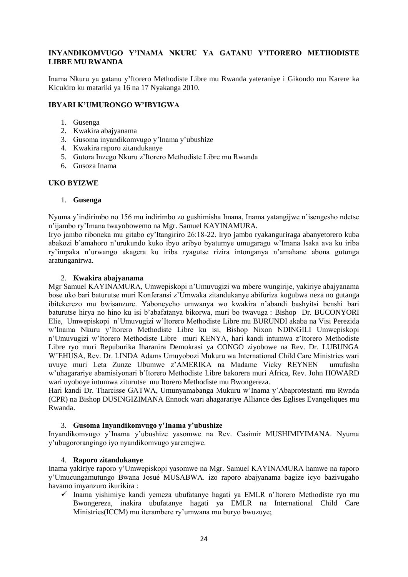# **INYANDIKOMVUGO Y'INAMA NKURU YA GATANU Y'ITORERO METHODISTE LIBRE MU RWANDA**

Inama Nkuru ya gatanu y"Itorero Methodiste Libre mu Rwanda yateraniye i Gikondo mu Karere ka Kicukiro ku matariki ya 16 na 17 Nyakanga 2010.

# **IBYARI K'UMURONGO W'IBYIGWA**

- 1. Gusenga
- 2. Kwakira abajyanama
- 3. Gusoma inyandikomvugo y"Inama y"ubushize
- 4. Kwakira raporo zitandukanye
- 5. Gutora Inzego Nkuru z"Itorero Methodiste Libre mu Rwanda
- 6. Gusoza Inama

# **UKO BYIZWE**

# 1. **Gusenga**

Nyuma y"indirimbo no 156 mu indirimbo zo gushimisha Imana, Inama yatangijwe n"isengesho ndetse n"ijambo ry"Imana twayobowemo na Mgr. Samuel KAYINAMURA.

Iryo jambo riboneka mu gitabo cy"Itangiriro 26:18-22. Iryo jambo ryakanguriraga abanyetorero kuba abakozi b"amahoro n"urukundo kuko ibyo aribyo byatumye umugaragu w"Imana Isaka ava ku iriba ry"impaka n"urwango akagera ku iriba ryagutse rizira intonganya n"amahane abona gutunga aratunganirwa.

# 2. **Kwakira abajyanama**

Mgr Samuel KAYINAMURA, Umwepiskopi n"Umuvugizi wa mbere wungirije, yakiriye abajyanama bose uko bari baturutse muri Konferansi z"Umwaka zitandukanye abifuriza kugubwa neza no gutanga ibitekerezo mu bwisanzure. Yaboneyeho umwanya wo kwakira n"abandi bashyitsi benshi bari baturutse hirya no hino ku isi b"abafatanya bikorwa, muri bo twavuga : Bishop Dr. BUCONYORI Elie, Umwepiskopi n"Umuvugizi w"Itorero Methodiste Libre mu BURUNDI akaba na Visi Perezida w"Inama Nkuru y"Itorero Methodiste Libre ku isi, Bishop Nixon NDINGILI Umwepiskopi n"Umuvugizi w"Itorero Methodiste Libre muri KENYA, hari kandi intumwa z"Itorero Methodiste Libre ryo muri Repuburika Iharanira Demokrasi ya CONGO ziyobowe na Rev. Dr. LUBUNGA W"EHUSA, Rev. Dr. LINDA Adams Umuyobozi Mukuru wa International Child Care Ministries wari uvuye muri Leta Zunze Ubumwe z"AMERIKA na Madame Vicky REYNEN umufasha w"uhagarariye abamisiyonari b"Itorero Methodiste Libre bakorera muri Africa, Rev. John HOWARD wari uyoboye intumwa ziturutse mu Itorero Methodiste mu Bwongereza.

Hari kandi Dr. Tharcisse GATWA, Umunyamabanga Mukuru w"Inama y"Abaprotestanti mu Rwnda (CPR) na Bishop DUSINGIZIMANA Ennock wari ahagarariye Alliance des Eglises Evangeliques mu Rwanda.

# 3. **Gusoma Inyandikomvugo y'Inama y'ubushize**

Inyandikomvugo y"Inama y"ubushize yasomwe na Rev. Casimir MUSHIMIYIMANA. Nyuma y"ubugororangingo iyo nyandikomvugo yaremejwe.

# 4. **Raporo zitandukanye**

Inama yakiriye raporo y"Umwepiskopi yasomwe na Mgr. Samuel KAYINAMURA hamwe na raporo y"Umucungamutungo Bwana Josué MUSABWA. izo raporo abajyanama bagize icyo bazivugaho havamo imyanzuro ikurikira :

 $\checkmark$  Inama vishimiye kandi yemeza ubufatanye hagati ya EMLR n'Itorero Methodiste ryo mu Bwongereza, inakira ubufatanye hagati ya EMLR na International Child Care Ministries(ICCM) mu iterambere ry"umwana mu buryo bwuzuye;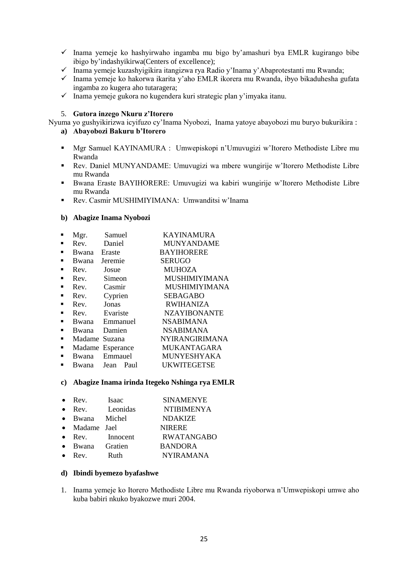- $\checkmark$  Inama yemeje ko hashyirwaho ingamba mu bigo by'amashuri bya EMLR kugirango bibe ibigo by"indashyikirwa(Centers of excellence);
- Inama yemeje kuzashyigikira itangizwa rya Radio y"Inama y"Abaprotestanti mu Rwanda;
- $\checkmark$  Inama yemeje ko hakorwa ikarita y'aho EMLR ikorera mu Rwanda, ibyo bikaduhesha gufata ingamba zo kugera aho tutaragera;
- $\checkmark$  Inama yemeje gukora no kugendera kuri strategic plan y'imyaka itanu.

# 5. **Gutora inzego Nkuru z'Itorero**

Nyuma yo gushyikirizwa icyifuzo cy"Inama Nyobozi, Inama yatoye abayobozi mu buryo bukurikira :

# **a) Abayobozi Bakuru b'Itorero**

- Mgr Samuel KAYINAMURA : Umwepiskopi n"Umuvugizi w"Itorero Methodiste Libre mu Rwanda
- Rev. Daniel MUNYANDAME: Umuvugizi wa mbere wungirije w"Itorero Methodiste Libre mu Rwanda
- Bwana Eraste BAYIHORERE: Umuvugizi wa kabiri wungirije w"Itorero Methodiste Libre mu Rwanda
- Rev. Casmir MUSHIMIYIMANA: Umwanditsi w"Inama

# **b) Abagize Inama Nyobozi**

|                | Mgr.          | Samuel           | <b>KAYINAMURA</b>     |
|----------------|---------------|------------------|-----------------------|
|                | Rev.          | Daniel           | <b>MUNYANDAME</b>     |
| $\blacksquare$ | Bwana         | Eraste           | <b>BAYIHORERE</b>     |
| $\blacksquare$ | Bwana         | Jeremie          | <b>SERUGO</b>         |
|                | Rev.          | Josue            | <b>MUHOZA</b>         |
| $\blacksquare$ | Rev.          | Simeon           | MUSHIMIYIMANA         |
|                | Rev.          | Casmir           | MUSHIMIYIMANA         |
| ٠              | Rev.          | Cyprien          | <b>SEBAGABO</b>       |
|                | Rev.          | Jonas            | <b>RWIHANIZA</b>      |
| $\blacksquare$ | Rev.          | Evariste         | <b>NZAYIBONANTE</b>   |
| $\blacksquare$ |               | Bwana Emmanuel   | <b>NSABIMANA</b>      |
| $\blacksquare$ | Bwana Damien  |                  | <b>NSABIMANA</b>      |
| $\blacksquare$ | Madame Suzana |                  | <b>NYIRANGIRIMANA</b> |
| $\blacksquare$ |               | Madame Esperance | <b>MUKANTAGARA</b>    |
| $\blacksquare$ |               | Bwana Emmauel    | <b>MUNYESHYAKA</b>    |
|                |               | Bwana Jean Paul  | <b>UKWITEGETSE</b>    |
|                |               |                  |                       |

# **c) Abagize Inama irinda Itegeko Nshinga rya EMLR**

| $\bullet$ | Rev.            | Isaac          | <b>SINAMENYE</b>  |
|-----------|-----------------|----------------|-------------------|
| $\bullet$ | Rev.            | Leonidas       | <b>NTIBIMENYA</b> |
|           | Bwana Michel    |                | <b>NDAKIZE</b>    |
|           | • Madame Jael   |                | <b>NIRERE</b>     |
|           | Rev.            | Innocent       | <b>RWATANGABO</b> |
|           | $\bullet$ Bwana | <b>Gratien</b> | <b>BANDORA</b>    |
|           | Rev             | $R$ 11th       | <b>NYIRAMANA</b>  |

# **d) Ibindi byemezo byafashwe**

1. Inama yemeje ko Itorero Methodiste Libre mu Rwanda riyoborwa n"Umwepiskopi umwe aho kuba babiri nkuko byakozwe muri 2004.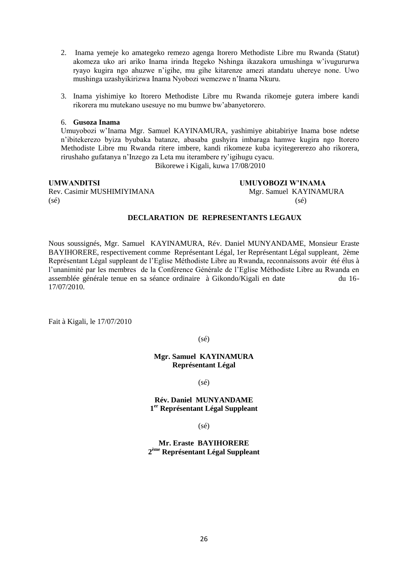- 2. Inama yemeje ko amategeko remezo agenga Itorero Methodiste Libre mu Rwanda (Statut) akomeza uko ari ariko Inama irinda Itegeko Nshinga ikazakora umushinga w"ivugururwa ryayo kugira ngo ahuzwe n"igihe, mu gihe kitarenze amezi atandatu uhereye none. Uwo mushinga uzashyikirizwa Inama Nyobozi wemezwe n"Inama Nkuru.
- 3. Inama yishimiye ko Itorero Methodiste Libre mu Rwanda rikomeje gutera imbere kandi rikorera mu mutekano usesuye no mu bumwe bw"abanyetorero.

#### 6. **Gusoza Inama**

Umuyobozi w"Inama Mgr. Samuel KAYINAMURA, yashimiye abitabiriye Inama bose ndetse n"ibitekerezo byiza byubaka batanze, abasaba gushyira imbaraga hamwe kugira ngo Itorero Methodiste Libre mu Rwanda ritere imbere, kandi rikomeze kuba icyitegererezo aho rikorera, rirushaho gufatanya n"Inzego za Leta mu iterambere ry"igihugu cyacu.

Bikorewe i Kigali, kuwa 17/08/2010

**UMWANDITSI UMUYOBOZI W'INAMA**

Rev. Casimir MUSHIMIYIMANA Mgr. Samuel KAYINAMURA  $(s\acute{e})$  (sé)

# **DECLARATION DE REPRESENTANTS LEGAUX**

Nous soussignés, Mgr. Samuel KAYINAMURA, Rév. Daniel MUNYANDAME, Monsieur Eraste BAYIHORERE, respectivement comme Représentant Légal, 1er Représentant Légal suppleant, 2ème Représentant Légal suppleant de l"Eglise Méthodiste Libre au Rwanda, reconnaissons avoir été élus à l"unanimité par les membres de la Conférence Générale de l"Eglise Méthodiste Libre au Rwanda en assemblée générale tenue en sa séance ordinaire à Gikondo/Kigali en date du 16- 17/07/2010.

Fait à Kigali, le 17/07/2010

# (sé)

# **Mgr. Samuel KAYINAMURA Représentant Légal**

 $(s\acute{e})$ 

# **Rév. Daniel MUNYANDAME 1 er Représentant Légal Suppleant**

(sé)

**Mr. Eraste BAYIHORERE 2 ème Représentant Légal Suppleant**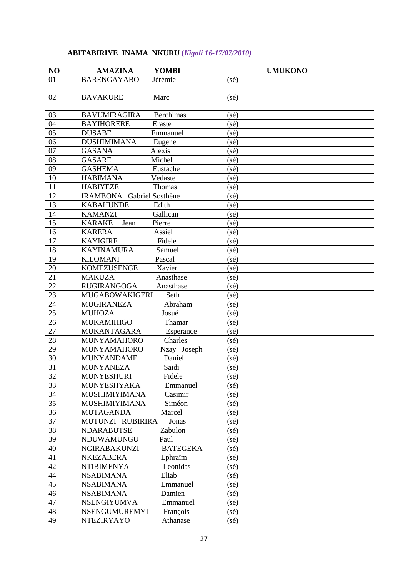# **ABITABIRIYE INAMA NKURU (***Kigali 16-17/07/2010)*

| NO | <b>AMAZINA</b><br><b>YOMBI</b>          | <b>UMUKONO</b>    |
|----|-----------------------------------------|-------------------|
| 01 | <b>BARENGAYABO</b><br>Jérémie           | (sé)              |
| 02 | <b>BAVAKURE</b><br>Marc                 | $(s\acute{e})$    |
| 03 | <b>Berchimas</b><br><b>BAVUMIRAGIRA</b> | $(s\acute{e})$    |
| 04 | <b>BAYIHORERE</b><br>Eraste             | $(s\acute{e})$    |
| 05 | <b>DUSABE</b><br>Emmanuel               | (sé)              |
| 06 | <b>DUSHIMIMANA</b><br>Eugene            | (sé)              |
| 07 | Alexis<br><b>GASANA</b>                 | (sé)              |
| 08 | Michel<br><b>GASARE</b>                 | (sé)              |
| 09 | <b>GASHEMA</b><br>Eustache              | $(s\acute{e})$    |
| 10 | <b>HABIMANA</b><br>Vedaste              | $(s\acute{e})$    |
| 11 | <b>HABIYEZE</b><br>Thomas               | (sé)              |
| 12 | <b>IRAMBONA</b><br>Gabriel Sosthène     | (sé)              |
| 13 | <b>KABAHUNDE</b><br>Edith               | (sé)              |
| 14 | <b>KAMANZI</b><br>Gallican              | $(s\acute{e})$    |
| 15 | <b>KARAKE</b><br>Jean<br>Pierre         | $(s\acute{e})$    |
| 16 | Assiel<br><b>KARERA</b>                 | (sé)              |
| 17 | <b>KAYIGIRE</b><br>Fidele               | (sé)              |
| 18 | <b>KAYINAMURA</b><br>Samuel             | $(s\acute{e})$    |
| 19 | <b>KILOMANI</b><br>Pascal               | $(s\acute{e})$    |
| 20 | <b>KOMEZUSENGE</b><br>Xavier            | (sé)              |
| 21 | <b>MAKUZA</b><br>Anasthase              | (sé)              |
| 22 | <b>RUGIRANGOGA</b><br>Anasthase         | $(s\acute{e})$    |
| 23 | <b>MUGABOWAKIGERI</b><br>Seth           | (sé)              |
| 24 | <b>MUGIRANEZA</b><br>Abraham            | (sé)              |
| 25 | <b>MUHOZA</b><br>Josué                  | (s <sub>é</sub> ) |
| 26 | <b>MUKAMIHIGO</b><br>Thamar             | (sé)              |
| 27 | <b>MUKANTAGARA</b><br>Esperance         | (sé)              |
| 28 | Charles<br><b>MUNYAMAHORO</b>           | $(s\acute{e})$    |
| 29 | <b>MUNYAMAHORO</b><br>Nzay Joseph       | $(s\acute{e})$    |
| 30 | <b>MUNYANDAME</b><br>Daniel             | (sé)              |
| 31 | <b>MUNYANEZA</b><br>Saidi               | $(s\acute{e})$    |
| 32 | Fidele<br><b>MUNYESHURI</b>             | $(s\acute{e})$    |
| 33 | MUNYESHYAKA<br>Emmanuel                 | $(s\acute{e})$    |
| 34 | <b>MUSHIMIYIMANA</b><br>Casimir         | $(s\acute{e})$    |
| 35 | <b>MUSHIMIYIMANA</b><br>Siméon          | $(s\acute{e})$    |
| 36 | <b>MUTAGANDA</b><br>Marcel              | (sé)              |
| 37 | MUTUNZI RUBIRIRA<br>Jonas               | (sé)              |
| 38 | Zabulon<br><b>NDARABUTSE</b>            | $(s\acute{e})$    |
| 39 | NDUWAMUNGU<br>Paul                      | $(s\acute{e})$    |
| 40 | <b>BATEGEKA</b><br><b>NGIRABAKUNZI</b>  | $(s\acute{e})$    |
| 41 | <b>NKEZABERA</b><br>Ephraïm             | (sé)              |
| 42 | <b>NTIBIMENYA</b><br>Leonidas           | (sé)              |
| 44 | Eliab<br><b>NSABIMANA</b>               | $(s\acute{e})$    |
| 45 | <b>NSABIMANA</b><br>Emmanuel            | $(s\acute{e})$    |
| 46 | <b>NSABIMANA</b><br>Damien              | $(s\acute{e})$    |
| 47 | <b>NSENGIYUMVA</b><br>Emmanuel          | $(s\acute{e})$    |
| 48 | <b>NSENGUMUREMYI</b><br>François        | $(s\acute{e})$    |
| 49 | <b>NTEZIRYAYO</b><br>Athanase           | $(s\acute{e})$    |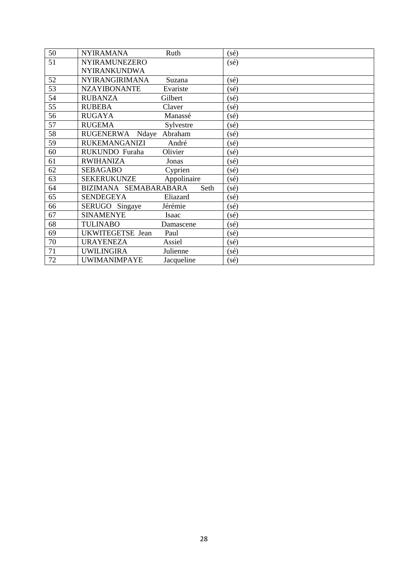| 50 | <b>NYIRAMANA</b>          | Ruth        | $(s\acute{e})$    |
|----|---------------------------|-------------|-------------------|
| 51 | <b>NYIRAMUNEZERO</b>      |             | $(s\acute{e})$    |
|    | <b>NYIRANKUNDWA</b>       |             |                   |
| 52 | <b>NYIRANGIRIMANA</b>     | Suzana      | $(s\acute{e})$    |
| 53 | <b>NZAYIBONANTE</b>       | Evariste    | $(s\acute{e})$    |
| 54 | <b>RUBANZA</b>            | Gilbert     | $(s\acute{e})$    |
| 55 | <b>RUBEBA</b>             | Claver      | $(s\acute{e})$    |
| 56 | <b>RUGAYA</b>             | Manassé     | $(s\acute{e})$    |
| 57 | <b>RUGEMA</b>             | Sylvestre   | $(s\acute{e})$    |
| 58 | <b>RUGENERWA</b><br>Ndaye | Abraham     | (sé)              |
| 59 | <b>RUKEMANGANIZI</b>      | André       | $(s\acute{e})$    |
| 60 | RUKUNDO Furaha            | Olivier     | (s <sub>é</sub> ) |
| 61 | <b>RWIHANIZA</b>          | Jonas       | $(s\acute{e})$    |
| 62 | <b>SEBAGABO</b>           | Cyprien     | $(s\acute{e})$    |
| 63 | <b>SEKERUKUNZE</b>        | Appolinaire | $(s\acute{e})$    |
| 64 | BIZIMANA SEMABARABARA     | Seth        | $(s\acute{e})$    |
| 65 | <b>SENDEGEYA</b>          | Eliazard    | $(s\acute{e})$    |
| 66 | SERUGO<br>Singaye         | Jérémie     | (sé)              |
| 67 | <b>SINAMENYE</b>          | Isaac       | (sé)              |
| 68 | <b>TULINABO</b>           | Damascene   | $(s\acute{e})$    |
| 69 | UKWITEGETSE Jean          | Paul        | $(s\acute{e})$    |
| 70 | <b>URAYENEZA</b>          | Assiel      | $(s\acute{e})$    |
| 71 | <b>UWILINGIRA</b>         | Julienne    | (s <sub>é</sub> ) |
| 72 | <b>UWIMANIMPAYE</b>       | Jacqueline  | $(s\acute{e})$    |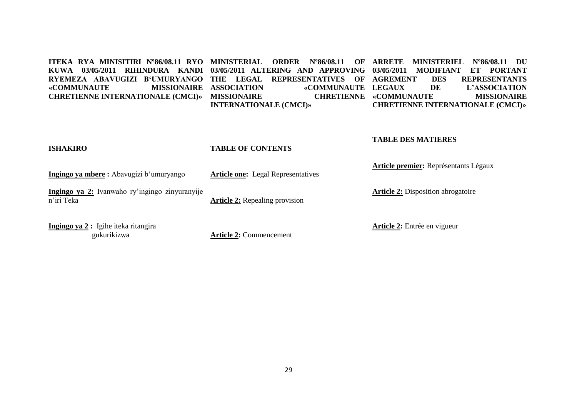**ITEKA RYA MINISITIRI Nº86/08.11 RYO MINISTERIAL ORDER Nº86/08.11 OF ARRETE MINISTERIEL Nº86/08.11 DU KUWA 03/05/2011 RIHINDURA KANDI 03/05/2011 ALTERING AND APPROVING 03/05/2011 MODIFIANT ET PORTANT RYEMEZA ABAVUGIZI B'UMURYANGO THE LEGAL REPRESENTATIVES OF «COMMUNAUTE MISSIONAIRE CHRETIENNE INTERNATIONALE (CMCI)» MISSIONAIRE CHRETIENNE**  «COMMUNAUTE LEGAUX **INTERNATIONALE (CMCI)» DES REPRESENTANTS DE L'ASSOCIATION CHRETIENNE «COMMUNAUTE MISSIONAIRE CHRETIENNE INTERNATIONALE (CMCI)»**

# **ISHAKIRO**

#### **TABLE OF CONTENTS**

**Ingingo ya mbere :** Abavugizi b"umuryango

**Article one:** Legal Representatives

**Ingingo ya 2:** Ivanwaho ry"ingingo zinyuranyije n"iri Teka

**Article 2:** Repealing provision

**Ingingo ya 2 :** Igihe iteka ritangira gukurikizwa

**Article 2:** Commencement

**Article 2:** Disposition abrogatoire

**Article premier:** Représentants Légaux

**Article 2:** Entrée en vigueur

**TABLE DES MATIERES**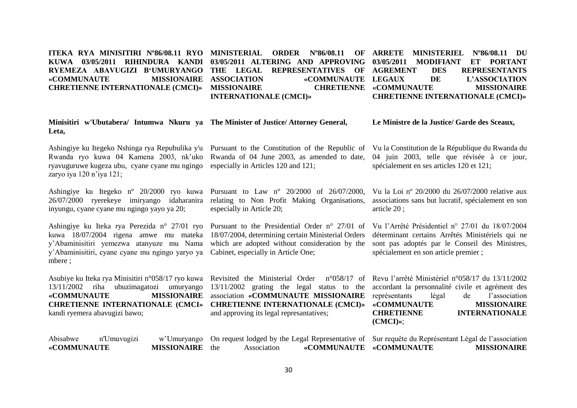#### **ITEKA RYA MINISITIRI Nº86/08.11 RYO MINISTERIAL ORDER Nº86/08.11 OF ARRETE MINISTERIEL Nº86/08.11 DU KUWA 03/05/2011 RIHINDURA KANDI 03/05/2011 ALTERING AND APPROVING 03/05/2011 MODIFIANT ET PORTANT RYEMEZA ABAVUGIZI B'UMURYANGO THE LEGAL REPRESENTATIVES OF «COMMUNAUTE MISSIONAIRE CHRETIENNE INTERNATIONALE (CMCI)» MISSIONAIRE CHRETIENNE**  «COMMUNAUTE LEGAUX **INTERNATIONALE (CMCI)» DES REPRESENTANTS DE L'ASSOCIATION CHRETIENNE «COMMUNAUTE MISSIONAIRE CHRETIENNE INTERNATIONALE (CMCI)»**

| Minisitiri w'Ubutabera/ Intumwa Nkuru ya The Minister of Justice/Attorney General,<br>Leta,                                                                            |                                                                                                                                                                                                                                                                                  | Le Ministre de la Justice/ Garde des Sceaux,                                                                                                                                                  |
|------------------------------------------------------------------------------------------------------------------------------------------------------------------------|----------------------------------------------------------------------------------------------------------------------------------------------------------------------------------------------------------------------------------------------------------------------------------|-----------------------------------------------------------------------------------------------------------------------------------------------------------------------------------------------|
| Ashingiye ku Itegeko Nshinga rya Repubulika y'u<br>Rwanda ryo kuwa 04 Kamena 2003, nk'uko<br>ryavuguruwe kugeza ubu, cyane cyane mu ngingo<br>zaryo iya 120 n'iya 121; | Pursuant to the Constitution of the Republic of<br>Rwanda of 04 June 2003, as amended to date,<br>especially in Articles 120 and 121;                                                                                                                                            | Vu la Constitution de la République du Rwanda du<br>04 juin 2003, telle que révisée à ce jour,<br>spécialement en ses articles 120 et 121;                                                    |
| Ashingiye ku Itegeko n° 20/2000 ryo kuwa<br>26/07/2000 ryerekeye imiryango idaharanira<br>inyungu, cyane cyane mu ngingo yayo ya 20;                                   | Pursuant to Law $n^{\circ}$ 20/2000 of 26/07/2000,<br>relating to Non Profit Making Organisations,<br>especially in Article 20;                                                                                                                                                  | Vu la Loi nº 20/2000 du 26/07/2000 relative aux<br>associations sans but lucratif, spécialement en son<br>article $20$ ;                                                                      |
| y'Abaminisitiri yemezwa atanyuze mu Nama<br>y'Abaminisitiri, cyane cyane mu ngingo yaryo ya<br>mbere;                                                                  | Ashingiye ku Iteka rya Perezida n° 27/01 ryo Pursuant to the Presidential Order n° 27/01 of<br>kuwa 18/07/2004 rigena amwe mu mateka 18/07/2004, determining certain Ministerial Orders<br>which are adopted without consideration by the<br>Cabinet, especially in Article One; | Vu l'Arrêté Présidentiel n° 27/01 du 18/07/2004<br>déterminant certains Arrêtés Ministériels qui ne<br>sont pas adoptés par le Conseil des Ministres,<br>spécialement en son article premier; |
| Asubiye ku Iteka rya Minisitiri n°058/17 ryo kuwa<br>13/11/2002<br>ubuzimagatozi<br>riha<br>umuryango<br>«COMMUNAUTE<br><b>MISSIONAIRE</b>                             | Revisited the Ministerial Order $n^{\circ}058/17$ of Revu l'arrêté Ministériel $n^{\circ}058/17$ du $13/11/2002$<br>association «COMMUNAUTE MISSIONAIRE représentants                                                                                                            | 13/11/2002 grating the legal status to the accordant la personnalité civile et agrément des<br>l'association<br>légal<br>de                                                                   |

kandi ryemera abavugizi bawo;

association **«COMMUNAUTE MISSIONAIRE**  and approving its legal represantatives;

**CHRETIENNE INTERNATIONALE (CMCI» CHRETIENNE INTERNATIONALE (CMCI)» «COMMUNAUTE MISSIONAIRE** représentants légal de l'association **CHRETIENNE INTERNATIONALE (CMCI)»**;

| Abisabwe    | n'Umuvugizi |                        |             |                         | w'Umuryango On request lodged by the Legal Representative of Sur requête du Représentant Légal de l'association |                    |
|-------------|-------------|------------------------|-------------|-------------------------|-----------------------------------------------------------------------------------------------------------------|--------------------|
| «COMMUNAUTE |             | <b>MISSIONAIRE</b> the | Association | «COMMUNAUTE «COMMUNAUTE |                                                                                                                 | <b>MISSIONAIRE</b> |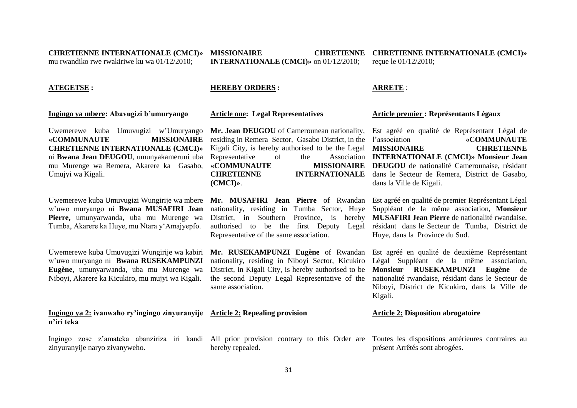**CHRETIENNE INTERNATIONALE (CMCI)»**  mu rwandiko rwe rwakiriwe ku wa 01/12/2010;

**INTERNATIONALE (CMCI)»** on 01/12/2010;

**MISSIONAIRE CHRETIENNE CHRETIENNE INTERNATIONALE (CMCI)»** reçue le 01/12/2010;

#### **ATEGETSE :**

#### **Ingingo ya mbere: Abavugizi b'umuryango**

Uwemerewe kuba Umuvugizi w"Umuryango **«COMMUNAUTE MISSIONAIRE CHRETIENNE INTERNATIONALE (CMCI)»**  ni **Bwana Jean DEUGOU**, umunyakameruni uba mu Murenge wa Remera, Akarere ka Gasabo, Umujyi wa Kigali.

Uwemerewe kuba Umuvugizi Wungirije wa mbere w"uwo muryango ni **Bwana MUSAFIRI Jean Pierre,** umunyarwanda, uba mu Murenge wa Tumba, Akarere ka Huye, mu Ntara y"Amajyepfo.

Uwemerewe kuba Umuvugizi Wungirije wa kabiri w"uwo muryango ni **Bwana RUSEKAMPUNZI Eugène,** umunyarwanda, uba mu Murenge wa Niboyi, Akarere ka Kicukiro, mu mujyi wa Kigali.

**Ingingo ya 2: ivanwaho ry'ingingo zinyuranyije Article 2: Repealing provision n'iri teka**

zinyuranyije naryo zivanyweho.

#### **HEREBY ORDERS :**

**Article one: Legal Representatives** 

**Mr. Jean DEUGOU** of Camerounean nationality, Est agréé en qualité de Représentant Légal de residing in Remera Sector, Gasabo District, in the Representative of the **«COMMUNAUTE MISSIONAIRE (CMCI)»**.

nationality, residing in Tumba Sector, Huye Representative of the same association.

same association.

hereby repealed.

#### **ARRETE** :

#### **Article premier : Représentants Légaux**

Kigali City, is hereby authorised to be the Legal **MISSIONAIRE CHRETIENNE CHRETIENNE INTERNATIONALE**  dans le Secteur de Remera, District de Gasabo, l"association **«COMMUNAUTE INTERNATIONALE (CMCI)» Monsieur Jean MISSIONAIRE** DEUGOU de nationalité Camerounaise, résidant dans la Ville de Kigali.

**Mr. MUSAFIRI Jean Pierre** of Rwandan Est agréé en qualité de premier Représentant Légal District, in Southern Province, is hereby **MUSAFIRI Jean Pierre** de nationalité rwandaise, authorised to be the first Deputy Legal résidant dans le Secteur de Tumba, District de Suppléant de la même association, **Monsieur**  Huye, dans la Province du Sud.

**Mr. RUSEKAMPUNZI Eugène** of Rwandan Est agréé en qualité de deuxième Représentant nationality, residing in Niboyi Sector, Kicukiro Légal Suppléant de la même association, District, in Kigali City, is hereby authorised to be **Monsieur RUSEKAMPUNZI Eugène** de the second Deputy Legal Representative of the nationalité rwandaise, résidant dans le Secteur de Niboyi, District de Kicukiro, dans la Ville de Kigali.

# **Article 2: Disposition abrogatoire**

Ingingo zose z'amateka abanziriza iri kandi All prior provision contrary to this Order are Toutes les dispositions antérieures contraires au présent Arrêtés sont abrogées.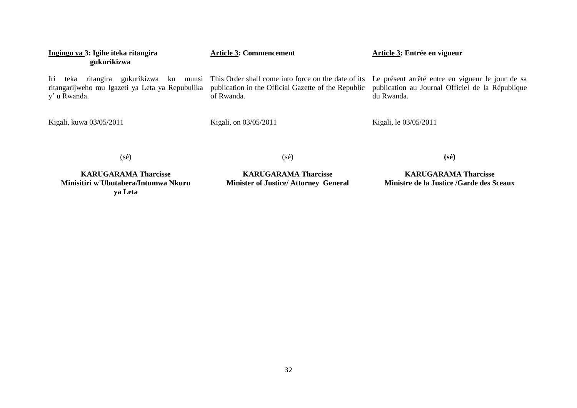| Ingingo ya 3: Igihe iteka ritangira<br>gukurikizwa                                                                        | <b>Article 3: Commencement</b>                                                                                           | Article 3: Entrée en vigueur                                                                                       |
|---------------------------------------------------------------------------------------------------------------------------|--------------------------------------------------------------------------------------------------------------------------|--------------------------------------------------------------------------------------------------------------------|
| gukurikizwa<br>Iri<br>teka<br>ritangira<br>munsi<br>ku<br>ritangarijweho mu Igazeti ya Leta ya Repubulika<br>y' u Rwanda. | This Order shall come into force on the date of its<br>publication in the Official Gazette of the Republic<br>of Rwanda. | Le présent arrêté entre en vigueur le jour de sa<br>publication au Journal Officiel de la République<br>du Rwanda. |
| Kigali, kuwa 03/05/2011                                                                                                   | Kigali, on 03/05/2011                                                                                                    | Kigali, le 03/05/2011                                                                                              |
| (sé)                                                                                                                      | (sé)                                                                                                                     | $(s\acute{e})$                                                                                                     |

**KARUGARAMA Tharcisse Minisitiri w'Ubutabera/Intumwa Nkuru ya Leta**

**KARUGARAMA Tharcisse Minister of Justice/ Attorney General**

**KARUGARAMA Tharcisse Ministre de la Justice /Garde des Sceaux**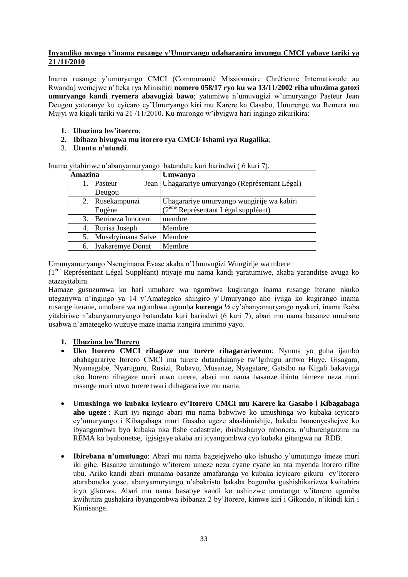# **Inyandiko mvugo y'inama rusange y'Umuryango udaharanira inyungu CMCI yabaye tariki ya 21 /11/2010**

Inama rusange y"umuryango CMCI (Communauté Missionnaire Chrétienne Internationale au Rwanda) wemejwe n"Iteka rya Minisitiri **nomero 058/17 ryo ku wa 13/11/2002 riha ubuzima gatozi umuryango kandi ryemera abavugizi bawo**; yatumiwe n"umuvugizi w"umuryango Pasteur Jean Deugou yateranye ku cyicaro cy"Umuryango kiri mu Karere ka Gasabo, Umurenge wa Remera mu Mujyi wa kigali tariki ya 21 /11/2010. Ku murongo w"ibyigwa hari ingingo zikurikira:

- **1. Ubuzima bw'itorero**;
- **2. Ibibazo bivugwa mu itorero rya CMCI/ Ishami rya Rugalika**;
- 3. **Utuntu n'utundi**.

Inama yitabiriwe n"abanyamuryango batandatu kuri barindwi ( 6 kuri 7).

| Amazina |                     | Umwanya                                           |
|---------|---------------------|---------------------------------------------------|
|         | Pasteur             | Jean   Uhagarariye umuryango (Représentant Légal) |
|         | Deugou              |                                                   |
|         | 2. Rusekampunzi     | Uhagarariye umuryango wungirije wa kabiri         |
|         | Eugène              | $(2eme$ Représentant Légal suppléant)             |
| 3.      | Benineza Innocent   | membre                                            |
|         | 4. Rurisa Joseph    | Membre                                            |
| 5.      | Musabyimana Salve   | Membre                                            |
|         | 6. Iyakaremye Donat | Membre                                            |

Umunyamuryango Nsengimana Evase akaba n"Umuvugizi Wungirije wa mbere

(1ère Représentant Légal Suppléant) ntiyaje mu nama kandi yaratumiwe, akaba yaranditse avuga ko atazayitabira.

Hamaze gusuzumwa ko hari umubare wa ngombwa kugirango inama rusange iterane nkuko uteganywa n"ingingo ya 14 y"Amategeko shingiro y"Umuryango aho ivuga ko kugirango inama rusange iterane, umubare wa ngombwa ugomba **kurenga ½** cy"abanyamuryango nyakuri, inama ikaba yitabiriwe n"abanyamuryango batandatu kuri barindwi (6 kuri 7), abari mu nama basanze umubare usabwa n"amategeko wuzuye maze inama itangira imirimo yayo.

# **1. Ubuzima bw'Itorero**

- **Uko Itorero CMCI rihagaze mu turere rihagarariwemo**: Nyuma yo guha ijambo abahagarariye Itorero CMCI mu turere dutandukanye tw"Igihugu aritwo Huye, Gisagara, Nyamagabe, Nyaruguru, Rusizi, Rubavu, Musanze, Nyagatare, Gatsibo na Kigali bakavuga uko Itorero rihagaze muri utwo turere, abari mu nama basanze ibintu bimeze neza muri rusange muri utwo turere twari duhagarariwe mu nama.
- **Umushinga wo kubaka icyicaro cy'Itorero CMCI mu Karere ka Gasabo i Kibagabaga aho ugeze** : Kuri iyi ngingo abari mu nama babwiwe ko umushinga wo kubaka icyicaro cy"umuryango i Kibagabaga muri Gasabo ugeze ahashimishije, bakaba bamenyeshejwe ko ibyangombwa byo kubaka nka fishe cadastrale, ibishushanyo mbonera, n"uburenganzira na REMA ko byabonetse, igisigaye akaba ari icyangombwa cyo kubaka gitangwa na RDB.
- **Ibirebana n'umutungo**: Abari mu nama bagejejweho uko ishusho y"umutungo imeze muri iki gihe. Basanze umutungo w"itorero umeze neza cyane cyane ko nta myenda itorero rifite ubu. Ariko kandi abari munama basanze amafaranga yo kubaka icyicaro gikuru cy"Itorero ataraboneka yose, abanyamuryango n"abakristo bakaba bagomba gushishikarizwa kwitabira icyo gikorwa. Abari mu nama basabye kandi ko ushinzwe umutungo w"itorero agomba kwihutira gushakira ibyangombwa ibibanza 2 by"Itorero, kimwe kiri i Gikondo, n"ikindi kiri i Kimisange.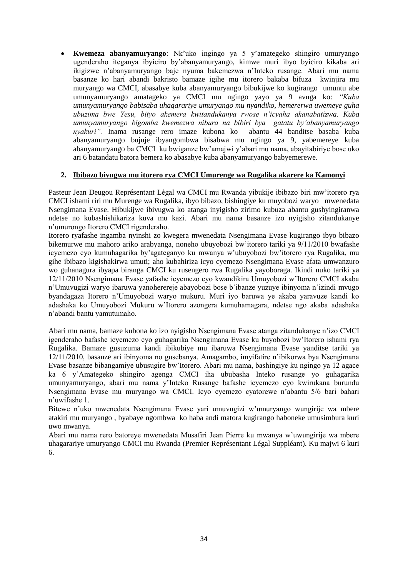**Kwemeza abanyamuryango**: Nk"uko ingingo ya 5 y"amategeko shingiro umuryango ugenderaho iteganya ibyiciro by"abanyamuryango, kimwe muri ibyo byiciro kikaba ari ikigizwe n"abanyamuryango baje nyuma bakemezwa n"Inteko rusange. Abari mu nama basanze ko hari abandi bakristo bamaze igihe mu itorero bakaba bifuza kwinjira mu muryango wa CMCI, abasabye kuba abanyamuryango bibukijwe ko kugirango umuntu abe umunyamuryango amatageko ya CMCI mu ngingo yayo ya 9 avuga ko: *"Kuba umunyamuryango babisaba uhagarariye umuryango mu nyandiko, hemererwa uwemeye guha ubuzima bwe Yesu, bityo akemera kwitandukanya rwose n'icyaha akanabatizwa. Kuba umunyamuryango bigomba kwemezwa nibura na bibiri bya gatatu by'abanyamuryango nyakuri"*. Inama rusange rero imaze kubona ko abanyamuryango bujuje ibyangombwa bisabwa mu ngingo ya 9, yabemereye kuba abanyamuryango ba CMCI ku bwiganze bw"amajwi y"abari mu nama, abayitabiriye bose uko ari 6 batandatu batora bemera ko abasabye kuba abanyamuryango babyemerewe.

# **2. Ibibazo bivugwa mu itorero rya CMCI Umurenge wa Rugalika akarere ka Kamonyi**

Pasteur Jean Deugou Représentant Légal wa CMCI mu Rwanda yibukije ibibazo biri mw"itorero rya CMCI ishami riri mu Murenge wa Rugalika, ibyo bibazo, bishingiye ku muyobozi waryo mwenedata Nsengimana Evase. Hibukijwe ibivugwa ko atanga inyigisho zirimo kubuza abantu gushyingiranwa ndetse no kubashishikariza kuva mu kazi. Abari mu nama basanze izo nyigisho zitandukanye n"umurongo Itorero CMCI rigenderaho.

Itorero ryafashe ingamba nyinshi zo kwegera mwenedata Nsengimana Evase kugirango ibyo bibazo bikemurwe mu mahoro ariko arabyanga, noneho ubuyobozi bw"itorero tariki ya 9/11/2010 bwafashe icyemezo cyo kumuhagarika by"agateganyo ku mwanya w"ubuyobozi bw"itorero rya Rugalika, mu gihe ibibazo kigishakirwa umuti; aho kubahiriza icyo cyemezo Nsengimana Evase afata umwanzuro wo guhanagura ibyapa biranga CMCI ku rusengero rwa Rugalika yayoboraga. Ikindi nuko tariki ya 12/11/2010 Nsengimana Evase yafashe icyemezo cyo kwandikira Umuyobozi w"Itorero CMCI akaba n"Umuvugizi waryo ibaruwa yanoherereje abayobozi bose b"ibanze yuzuye ibinyoma n"izindi mvugo byandagaza Itorero n"Umuyobozi waryo mukuru. Muri iyo baruwa ye akaba yaravuze kandi ko adashaka ko Umuyobozi Mukuru w"Itorero azongera kumuhamagara, ndetse ngo akaba adashaka n"abandi bantu yamutumaho.

Abari mu nama, bamaze kubona ko izo nyigisho Nsengimana Evase atanga zitandukanye n"izo CMCI igenderaho bafashe icyemezo cyo guhagarika Nsengimana Evase ku buyobozi bw"Itorero ishami rya Rugalika. Bamaze gusuzuma kandi ibikubiye mu ibaruwa Nsengimana Evase yanditse tariki ya 12/11/2010, basanze ari ibinyoma no gusebanya. Amagambo, imyifatire n"ibikorwa bya Nsengimana Evase basanze bibangamiye ubusugire bw"Itorero. Abari mu nama, bashingiye ku ngingo ya 12 agace ka 6 y"Amategeko shingiro agenga CMCI iha ububasha Inteko rusange yo guhagarika umunyamuryango, abari mu nama y"Inteko Rusange bafashe icyemezo cyo kwirukana burundu Nsengimana Evase mu muryango wa CMCI. Icyo cyemezo cyatorewe n"abantu 5/6 bari bahari n"uwifashe 1.

Bitewe n"uko mwenedata Nsengimana Evase yari umuvugizi w"umuryango wungirije wa mbere atakiri mu muryango , byabaye ngombwa ko haba andi matora kugirango haboneke umusimbura kuri uwo mwanya.

Abari mu nama rero batoreye mwenedata Musafiri Jean Pierre ku mwanya w"uwungirije wa mbere uhagarariye umuryango CMCI mu Rwanda (Premier Représentant Légal Suppléant). Ku majwi 6 kuri 6.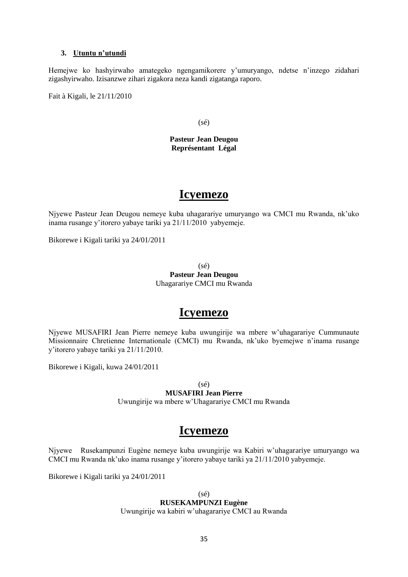# **3. Utuntu n'utundi**

Hemejwe ko hashyirwaho amategeko ngengamikorere y"umuryango, ndetse n"inzego zidahari zigashyirwaho. Izisanzwe zihari zigakora neza kandi zigatanga raporo.

Fait à Kigali, le 21/11/2010

(sé)

**Pasteur Jean Deugou Représentant Légal**

# **Icyemezo**

Njyewe Pasteur Jean Deugou nemeye kuba uhagarariye umuryango wa CMCI mu Rwanda, nk"uko inama rusange y"itorero yabaye tariki ya 21/11/2010 yabyemeje.

Bikorewe i Kigali tariki ya 24/01/2011

(sé) **Pasteur Jean Deugou** Uhagarariye CMCI mu Rwanda

# **Icyemezo**

Njyewe MUSAFIRI Jean Pierre nemeye kuba uwungirije wa mbere w"uhagarariye Cummunaute Missionnaire Chretienne Internationale (CMCI) mu Rwanda, nk"uko byemejwe n"inama rusange y"itorero yabaye tariki ya 21/11/2010.

Bikorewe i Kigali, kuwa 24/01/2011

 $(s\acute{e})$ 

**MUSAFIRI Jean Pierre** Uwungirije wa mbere w"Uhagarariye CMCI mu Rwanda

# **Icyemezo**

Njyewe Rusekampunzi Eugène nemeye kuba uwungirije wa Kabiri w"uhagarariye umuryango wa CMCI mu Rwanda nk"uko inama rusange y"itorero yabaye tariki ya 21/11/2010 yabyemeje.

Bikorewe i Kigali tariki ya 24/01/2011

(sé) **RUSEKAMPUNZI Eugène** Uwungirije wa kabiri w"uhagarariye CMCI au Rwanda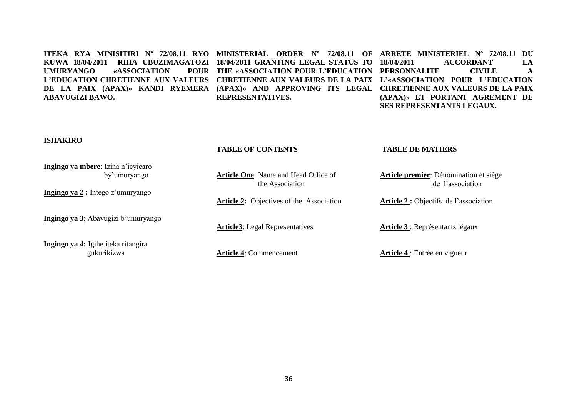#### **ITEKA RYA MINISITIRI Nº 72/08.11 RYO MINISTERIAL ORDER Nº 72/08.11 OF ARRETE MINISTERIEL Nº 72/08.11 DU KUWA 18/04/2011 RIHA UBUZIMAGATOZI 18/04/2011 GRANTING LEGAL STATUS TO**  UMURYANGO «ASSOCIATION L'EDUCATION CHRETIENNE AUX VALEURS CHRETIENNE AUX VALEURS DE LA PAIX L'«ASSOCIATION POUR L'EDUCATION **DE LA PAIX (APAX)» KANDI RYEMERA (APAX)» AND APPROVING ITS LEGAL CHRETIENNE AUX VALEURS DE LA PAIX ABAVUGIZI BAWO. THE «ASSOCIATION POUR L'EDUCATION PERSONNALITE CIVILE A REPRESENTATIVES. 18/04/2011 ACCORDANT LA (APAX)» ET PORTANT AGREMENT DE SES REPRESENTANTS LEGAUX.**

#### **ISHAKIRO**

#### **TABLE OF CONTENTS**

#### **TABLE DE MATIERS**

| Ingingo ya mbere: Izina n'icyicaro          |                                                 |                                        |
|---------------------------------------------|-------------------------------------------------|----------------------------------------|
| by'umuryango                                | <b>Article One:</b> Name and Head Office of     | Article premier: Dénomination et siège |
|                                             | the Association                                 | de l'association                       |
| Ingingo ya 2 : Intego z'umuryango           |                                                 |                                        |
|                                             | <b>Article 2:</b> Objectives of the Association | Article 2 : Objectifs de l'association |
| <b>Ingingo ya 3</b> : Abavugizi b'umuryango |                                                 |                                        |
|                                             | <b>Article3</b> : Legal Representatives         | Article 3 : Représentants légaux       |
|                                             |                                                 |                                        |
| Ingingo ya 4: Igihe iteka ritangira         |                                                 |                                        |
| gukurikizwa                                 | <b>Article 4: Commencement</b>                  | <b>Article 4</b> : Entrée en vigueur   |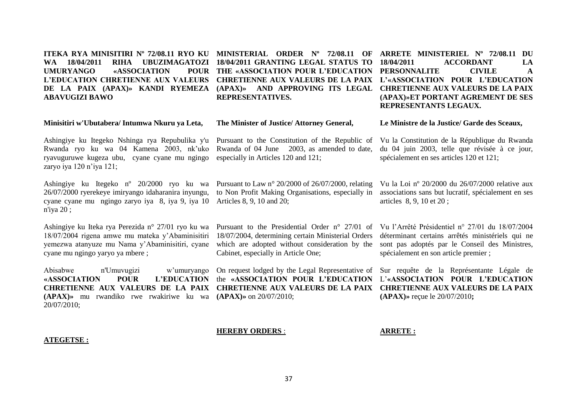**ITEKA RYA MINISITIRI Nº 72/08.11 RYO KU MINISTERIAL ORDER Nº 72/08.11 OF ARRETE MINISTERIEL Nº 72/08.11 DU WA 18/04/2011 RIHA UBUZIMAGATOZI 18/04/2011 GRANTING LEGAL STATUS TO UMURYANGO «ASSOCIATION POUR L'EDUCATION CHRETIENNE AUX VALEURS DE LA PAIX (APAX)» KANDI RYEMEZA (APAX)» AND APPROVING ITS LEGAL CHRETIENNE AUX VALEURS DE LA PAIX ABAVUGIZI BAWO**

**Minisitiri w'Ubutabera/ Intumwa Nkuru ya Leta,**

Ashingiye ku Itegeko Nshinga rya Repubulika y'u Rwanda ryo ku wa 04 Kamena 2003, nk"uko ryavuguruwe kugeza ubu, cyane cyane mu ngingo zaryo iya 120 n'iya 121;

Ashingiye ku Itegeko n<sup>o</sup> 20/2000 ryo ku wa Pursuant to Law n<sup>o</sup> 20/2000 of 26/07/2000, relating 26/07/2000 ryerekeye imiryango idaharanira inyungu, cyane cyane mu ngingo zaryo iya 8, iya 9, iya 10 Articles 8, 9, 10 and 20; n'iya 20 ;

Ashingiye ku Iteka rya Perezida n° 27/01 ryo ku wa 18/07/2004 rigena amwe mu mateka y"Abaminisitiri yemezwa atanyuze mu Nama y"Abaminisitiri, cyane cyane mu ngingo yaryo ya mbere ;

Abisabwe n'Umuvugizi w"umuryango **«ASSOCIATION POUR L'EDUCATION CHRETIENNE AUX VALEURS DE LA PAIX CHRETIENNE AUX VALEURS DE LA PAIX CHRETIENNE AUX VALEURS DE LA PAIX (APAX)»** mu rwandiko rwe rwakiriwe ku wa **(APAX)»** on 20/07/2010; 20/07/2010;

**THE «ASSOCIATION POUR L'EDUCATION PERSONNALITE CIVILE A CHRETIENNE AUX VALEURS DE LA PAIX L'«ASSOCIATION POUR L'EDUCATION REPRESENTATIVES.**

#### **The Minister of Justice/ Attorney General,**

Pursuant to the Constitution of the Republic of Rwanda of 04 June 2003, as amended to date, especially in Articles 120 and 121;

to Non Profit Making Organisations, especially in

18/07/2004, determining certain Ministerial Orders

Cabinet, especially in Article One;

Vu la Loi nº 20/2000 du 26/07/2000 relative aux associations sans but lucratif, spécialement en ses articles 8, 9, 10 et 20 ;

**(APAX)»ET PORTANT AGREMENT DE SES** 

**Le Ministre de la Justice/ Garde des Sceaux,**

spécialement en ses articles 120 et 121;

Vu la Constitution de la République du Rwanda du 04 juin 2003, telle que révisée à ce jour,

**REPRESENTANTS LEGAUX.** 

**18/04/2011 ACCORDANT LA** 

Pursuant to the Presidential Order n° 27/01 of Vu l"Arrêté Présidentiel n° 27/01 du 18/07/2004 which are adopted without consideration by the déterminant certains arrêtés ministériels qui ne sont pas adoptés par le Conseil des Ministres, spécialement en son article premier ;

On request lodged by the Legal Representative of Sur requête de la Représentante Légale de the **«ASSOCIATION POUR L'EDUCATION**  L"**«ASSOCIATION POUR L'EDUCATION (APAX)»** reçue le 20/07/2010**;**

#### **HEREBY ORDERS** :

**ARRETE :**

#### **ATEGETSE :**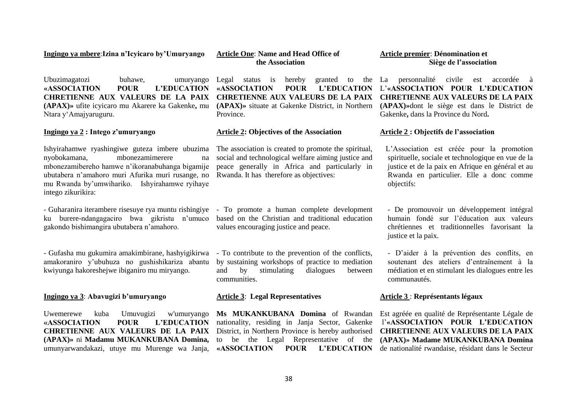**Ingingo ya mbere**:**Izina n'Icyicaro by'Umuryango**

Ubuzimagatozi buhawe, umuryango **«ASSOCIATION POUR L'EDUCATION CHRETIENNE AUX VALEURS DE LA PAIX (APAX)»** ufite icyicaro mu Akarere ka Gakenke**,** mu Ntara y"Amajyaruguru.

### **Ingingo ya 2 : Intego z'umuryango**

Ishyirahamwe ryashingiwe guteza imbere ubuzima nyobokamana, mbonezamimerere na mbonezamibereho hamwe n"ikoranabuhanga bigamije ubutabera n"amahoro muri Afurika muri rusange, no mu Rwanda by"umwihariko. Ishyirahamwe ryihaye intego zikurikira:

- Guharanira iterambere risesuye rya muntu rishingiye ku burere-ndangagaciro bwa gikristu n"umuco gakondo bishimangira ubutabera n"amahoro.

- Gufasha mu gukumira amakimbirane, hashyigikirwa amakoraniro y"ubuhuza no gushishikariza abantu kwiyunga hakoreshejwe ibiganiro mu miryango.

#### **Ingingo ya 3**: **Abavugizi b'umuryango**

Uwemerewe kuba Umuvugizi w'umuryango **«ASSOCIATION POUR L'EDUCATION CHRETIENNE AUX VALEURS DE LA PAIX (APAX)»** ni **Madamu MUKANKUBANA Domina,**  umunyarwandakazi, utuye mu Murenge wa Janja,

**Article One**: **Name and Head Office of the Association**

Legal status is hereby **«ASSOCIATION POUR L'EDUCATION**  L"**«ASSOCIATION POUR L'EDUCATION CHRETIENNE AUX VALEURS DE LA PAIX CHRETIENNE AUX VALEURS DE LA PAIX (APAX)»** situate at Gakenke District, in Northern **(APAX)»**dont le siège est dans le District de Province.

#### **Article 2: Objectives of the Association**

The association is created to promote the spiritual, social and technological welfare aiming justice and peace generally in Africa and particularly in Rwanda. It has therefore as objectives:

- To promote a human complete development based on the Christian and traditional education values encouraging justice and peace.

- To contribute to the prevention of the conflicts, by sustaining workshops of practice to mediation and by stimulating dialogues between communities.

#### **Article 3**: **Legal Representatives**

**Ms MUKANKUBANA Domina** of Rwandan Est agréée en qualité de Représentante Légale de nationality, residing in Janja Sector, Gakenke District, in Northern Province is hereby authorised **CHRETIENNE AUX VALEURS DE LA PAIX**  to be the Legal Representative of the **(APAX)» Madame MUKANKUBANA Domina** 

**Article premier**: **Dénomination et Siège de l'association** 

La personnalité civile est accordée à Gakenke**,** dans la Province du Nord**.**

#### **Article 2 : Objectifs de l'association**

 L"Association est créée pour la promotion spirituelle, sociale et technologique en vue de la justice et de la paix en Afrique en général et au Rwanda en particulier. Elle a donc comme objectifs:

- De promouvoir un développement intégral humain fondé sur l"éducation aux valeurs chrétiennes et traditionnelles favorisant la justice et la paix.

- D"aider à la prévention des conflits, en soutenant des ateliers d"entraînement à la médiation et en stimulant les dialogues entre les communautés.

#### **Article 3** : **Représentants légaux**

**«ASSOCIATION POUR L'EDUCATION**  de nationalité rwandaise, résidant dans le Secteur l"**«ASSOCIATION POUR L'EDUCATION**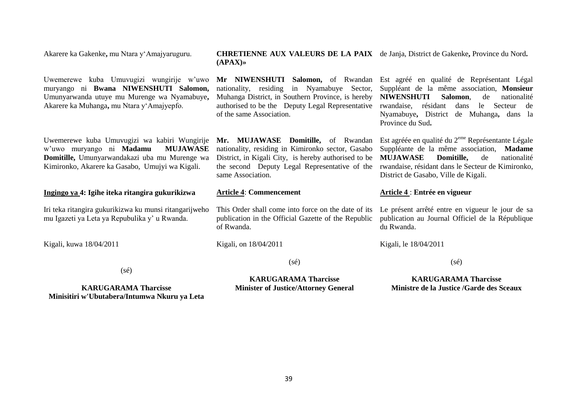Akarere ka Gakenke**,** mu Ntara y"Amajyaruguru.

#### **CHRETIENNE AUX VALEURS DE LA PAIX**  de Janja, District de Gakenke**,** Province du Nord**. (APAX)»**

Uwemerewe kuba Umuvugizi wungirije w"uwo muryango ni **Bwana NIWENSHUTI Salomon,**  Umunyarwanda utuye mu Murenge wa Nyamabuye**,**  Akarere ka Muhanga**,** mu Ntara y"Amajyepfo. Uwemerewe kuba Umuvugizi wa kabiri Wungirije w"uwo muryango ni **Madamu MUJAWASE Domitille,** Umunyarwandakazi uba mu Murenge wa Kimironko, Akarere ka Gasabo, Umujyi wa Kigali. **Ingingo ya 4: Igihe iteka ritangira gukurikizwa**  Iri teka ritangira gukurikizwa ku munsi ritangarijweho mu Igazeti ya Leta ya Repubulika y" u Rwanda. Kigali, kuwa 18/04/2011 (sé) **KARUGARAMA Tharcisse Mr NIWENSHUTI Salomon,** of Rwandan Est agréé en qualité de Représentant Légal nationality, residing in Nyamabuye Sector, Suppléant de la même association, **Monsieur**  Muhanga District, in Southern Province, is hereby **NIWENSHUTI Salomon**, de nationalité authorised to be the Deputy Legal Representative rwandaise, résidant dans le Secteur de of the same Association. Mr. MUJAWASE Domitille, of Rwandan Est agréée en qualité du 2<sup>eme</sup> Représentante Légale nationality, residing in Kimironko sector, Gasabo District, in Kigali City, is hereby authorised to be **MUJAWASE Domitille,** de nationalité the second Deputy Legal Representative of the rwandaise, résidant dans le Secteur de Kimironko, same Association. **Article 4**: **Commencement** This Order shall come into force on the date of its Le présent arrêté entre en vigueur le jour de sa publication in the Official Gazette of the Republic of Rwanda. Kigali, on 18/04/2011 (sé) **KARUGARAMA Tharcisse** Nyamabuye**,** District de Muhanga**,** dans la Province du Sud**.** Suppléante de la même association, **Madame** District de Gasabo, Ville de Kigali. **Article 4** : **Entrée en vigueur** publication au Journal Officiel de la République du Rwanda. Kigali, le 18/04/2011  $(sé)$ **KARUGARAMA Tharcisse Ministre de la Justice /Garde des Sceaux**

**Minisitiri w'Ubutabera/Intumwa Nkuru ya Leta**

**Minister of Justice/Attorney General**

39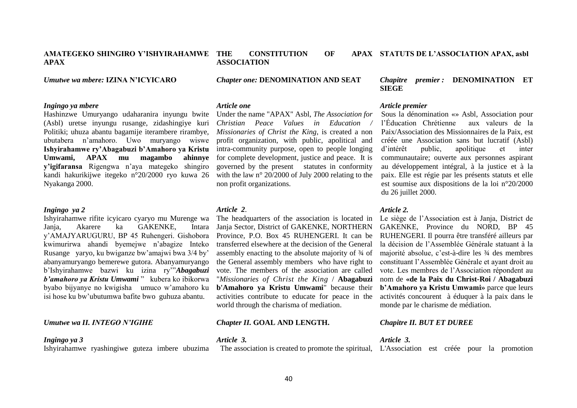#### **AMATEGEKO SHINGIRO Y'ISHYIRAHAMWE APAX**

*Umutwe wa mbere:* **IZINA N'ICYICARO**

# *Ingingo ya mbere*

Hashinzwe Umuryango udaharanira inyungu bwite (Asbl) uretse inyungu rusange, zidashingiye kuri Politiki; uhuza abantu bagamije iterambere rirambye, ubutabera n"amahoro. Uwo muryango wiswe **Ishyirahamwe ry'Abagabuzi b'Amahoro ya Kristu Umwami, APAX mu magambo ahinnye y'igifaransa** Rigengwa n"aya mategeko shingiro kandi hakurikijwe itegeko n°20/2000 ryo kuwa 26 Nyakanga 2000.

#### *Ingingo ya 2*

Ishyirahamwe rifite icyicaro cyaryo mu Murenge wa Janja, Akarere ka GAKENKE, Intara y"AMAJYARUGURU, BP 45 Ruhengeri. Gishobora kwimurirwa ahandi byemejwe n"abagize Inteko Rusange yaryo, ku bwiganze bw"amajwi bwa 3/4 by" abanyamuryango bemerewe gutora. Abanyamuryango b"Ishyirahamwe bazwi ku izina ry""*Abagabuzi b'amahoro ya Kristu Umwami* " kubera ko ibikorwa byabo bijyanye no kwigisha umuco w"amahoro ku isi hose ku bw"ubutumwa bafite bwo guhuza abantu.

#### *Umutwe wa II. INTEGO N'IGIHE*

#### *Ingingo ya 3*

Ishyirahamwe ryashingiwe guteza imbere ubuzima

# *Article 2*.

The headquarters of the association is located in Janja Sector, District of GAKENKE, NORTHERN Province, P.O. Box 45 RUHENGERI. It can be transferred elsewhere at the decision of the General assembly enacting to the absolute majority of ¾ of the General assembly members who have right to vote. The members of the association are called "*Missionaries of Christ the King* / **Abagabuzi b'Amahoro ya Kristu Umwami**" because their activities contribute to educate for peace in the world through the charisma of mediation.

#### *Chapter II.* **GOAL AND LENGTH.**

#### *Article 3.*

The association is created to promote the spiritual, L'Association est créée pour la promotion

40

# *Chapitre premier :* **DENOMINATION ET SIEGE**

#### *Article premier*

Sous la dénomination «» Asbl, Association pour l"Éducation Chrétienne aux valeurs de la Paix/Association des Missionnaires de la Paix, est créée une Association sans but lucratif (Asbl) d"intérêt public, apolitique et inter communautaire; ouverte aux personnes aspirant au développement intégral, à la justice et à la paix. Elle est régie par les présents statuts et elle est soumise aux dispositions de la loi n°20/2000 du 26 juillet 2000.

#### *Article 2.*

Le siège de l"Association est à Janja, District de GAKENKE, Province du NORD, BP 45 RUHENGERI. Il pourra être transféré ailleurs par la décision de l"Assemblée Générale statuant à la majorité absolue, c"est-à-dire les ¾ des membres constituant l"Assemblée Générale et ayant droit au vote. Les membres de l"Association répondent au nom de **«de la Paix du Christ-Roi / Abagabuzi b'Amahoro ya Kristu Umwami»** parce que leurs activités concourent à éduquer à la paix dans le monde par le charisme de médiation.

#### *Chapitre II. BUT ET DUREE*

*Article 3.*

# *Chapter one:* **DENOMINATION AND SEAT**

THE CONSTITUTION OF

#### *Article one*

**ASSOCIATION**

Under the name "APAX" Asbl, *The Association for Christian Peace Values in Education Missionaries of Christ the King*, is created a non profit organization, with public, apolitical and intra-community purpose, open to people longing for complete development, justice and peace. It is governed by the present statutes in conformity with the law n° 20/2000 of July 2000 relating to the non profit organizations.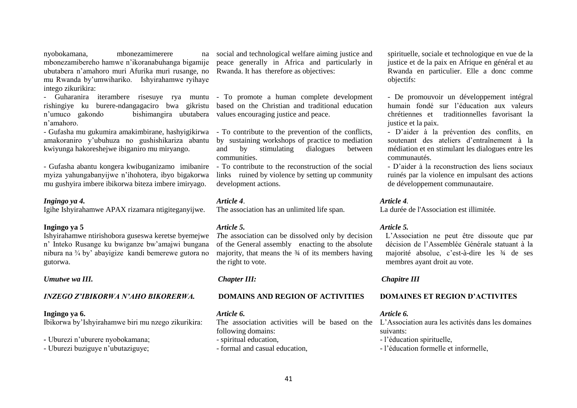nyobokamana. mbonezamimerere mbonezamibereho hamwe n"ikoranabuhanga bigamije ubutabera n"amahoro muri Afurika muri rusange, no mu Rwanda by"umwihariko. Ishyirahamwe ryihaye intego zikurikira:

rishingiye ku burere-ndangagaciro bwa gikristu n"umuco gakondo bishimangira ubutabera values encouraging justice and peace. n"amahoro.

- Gufasha mu gukumira amakimbirane, hashyigikirwa amakoraniro y"ubuhuza no gushishikariza abantu kwiyunga hakoreshejwe ibiganiro mu miryango.

- Gufasha abantu kongera kwibuganizamo imibanire myiza yahungabanyijwe n"ihohotera, ibyo bigakorwa mu gushyira imbere ibikorwa biteza imbere imiryago.

#### *Ingingo ya 4.*

Igihe Ishyirahamwe APAX rizamara ntigiteganyijwe.

#### **Ingingo ya 5**

Ishyirahamwe ntirishobora guseswa keretse byemejwe n" Inteko Rusange ku bwiganze bw"amajwi bungana nibura na ¾ by" abayigize kandi bemerewe gutora no gutorwa.

#### *Umutwe wa III.*

#### *INZEGO Z'IBIKORWA N'AHO BIKORERWA.*

#### **Ingingo ya 6.**

Ibikorwa by"Ishyirahamwe biri mu nzego zikurikira:

# *-* Uburezi n"uburere nyobokamana;

- Uburezi buziguye n"ubutaziguye;

social and technological welfare aiming justice and peace generally in Africa and particularly in Rwanda. It has therefore as objectives:

- Guharanira iterambere risesuye rya muntu - To promote a human complete development based on the Christian and traditional education

> - To contribute to the prevention of the conflicts, by sustaining workshops of practice to mediation and by stimulating dialogues between communities.

> - To contribute to the reconstruction of the social links ruined by violence by setting up community development actions.

#### *Article 4*.

The association has an unlimited life span.

#### *Article 5.*

*T*he association can be dissolved only by decision of the General assembly enacting to the absolute majority, that means the  $\frac{3}{4}$  of its members having the right to vote.

## *Chapter III:*

#### **DOMAINS AND REGION OF ACTIVITIES**

*Article 6.*

The association activities will be based on the L"Association aura les activités dans les domaines following domains: - spiritual education, - formal and casual education,

spirituelle, sociale et technologique en vue de la justice et de la paix en Afrique en général et au Rwanda en particulier. Elle a donc comme objectifs:

- De promouvoir un développement intégral humain fondé sur l"éducation aux valeurs chrétiennes et traditionnelles favorisant la justice et la paix.

- D"aider à la prévention des conflits, en soutenant des ateliers d"entraînement à la médiation et en stimulant les dialogues entre les communautés.

- D"aider à la reconstruction des liens sociaux ruinés par la violence en impulsant des actions de développement communautaire.

#### *Article 4.*

La durée de l'Association est illimitée.

#### *Article 5.*

L"Association ne peut être dissoute que par décision de l"Assemblée Générale statuant à la majorité absolue, c"est-à-dire les ¾ de ses membres ayant droit au vote.

# *Chapitre III*

#### **DOMAINES ET REGION D'ACTIVITES**

#### *Article 6.*

suivants:

- l"éducation spirituelle,
- l"éducation formelle et informelle,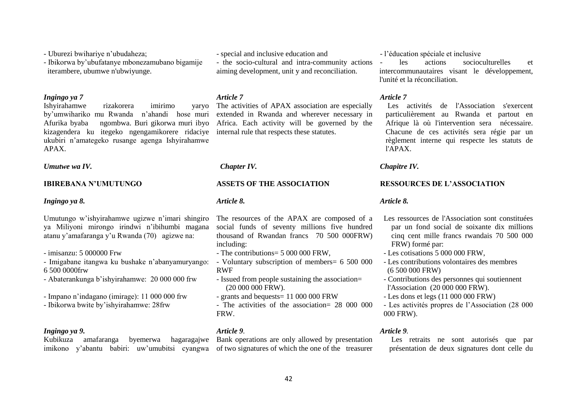- Uburezi bwihariye n"ubudaheza;

- Ibikorwa by"ubufatanye mbonezamubano bigamije iterambere, ubumwe n'ubwiyunge.

## *Ingingo ya 7*

Ishyirahamwe rizakorera imirimo yaryo by"umwihariko mu Rwanda n"ahandi hose muri Afurika byaba ngombwa. Buri gikorwa muri ibyo kizagendera ku itegeko ngengamikorere ridaciye internal rule that respects these statutes. ukubiri n"amategeko rusange agenga Ishyirahamwe APAX.

*Umutwe wa IV.*

# **IBIREBANA N'UMUTUNGO**

#### *Ingingo ya 8.*

Umutungo w"ishyirahamwe ugizwe n"imari shingiro ya Miliyoni mirongo irindwi n"ibihumbi magana atanu y"amafaranga y"u Rwanda (70) agizwe na:

- imisanzu: 5 000000 Frw

- Imigabane itangwa ku bushake n"abanyamuryango: 6 500 0000frw

- Abaterankunga b"ishyirahamwe: 20 000 000 frw

- Impano n"indagano (imirage): 11 000 000 frw
- Ibikorwa bwite by"ishyirahamwe: 28frw

## *Ingingo ya 9.*

Kubikuza amafaranga byemerwa hagaragajwe imikono y'abantu babiri: uw'umubitsi cyangwa of two signatures of which the one of the treasurer

- special and inclusive education and
- the socio-cultural and intra-community actions aiming development, unit y and reconciliation.

## *Article 7*

The activities of APAX association are especially extended in Rwanda and wherever necessary in Africa. Each activity will be governed by the

# *Chapter IV.*

### **ASSETS OF THE ASSOCIATION**

#### *Article 8.*

The resources of the APAX are composed of a social funds of seventy millions five hundred thousand of Rwandan francs 70 500 000FRW) including:

- The contributions= 5 000 000 FRW,
- Voluntary subscription of members= 6 500 000 RWF
- Issued from people sustaining the association= (20 000 000 FRW).
- grants and bequests= 11 000 000 FRW
- The activities of the association= 28 000 000 FRW.

# *Article 9.*

Bank operations are only allowed by presentation

# - l"éducation spéciale et inclusive

les actions socioculturelles et intercommunautaires visant le développement, l'unité et la réconciliation.

# *Article 7*

 Les activités de l'Association s'exercent particulièrement au Rwanda et partout en Afrique là où l'intervention sera nécessaire. Chacune de ces activités sera régie par un règlement interne qui respecte les statuts de l'APAX.

*Chapitre IV.*

# **RESSOURCES DE L'ASSOCIATION**

# *Article 8.*

- Les ressources de l'Association sont constituées par un fond social de soixante dix millions cinq cent mille francs rwandais 70 500 000 FRW) formé par:
- Les cotisations 5 000 000 FRW,
- Les contributions volontaires des membres (6 500 000 FRW)
- Contributions des personnes qui soutiennent l'Association (20 000 000 FRW).
- Les dons et legs (11 000 000 FRW)
- Les activités propres de l"Association (28 000 000 FRW).

# *Article 9.*

 Les retraits ne sont autorisés que par présentation de deux signatures dont celle du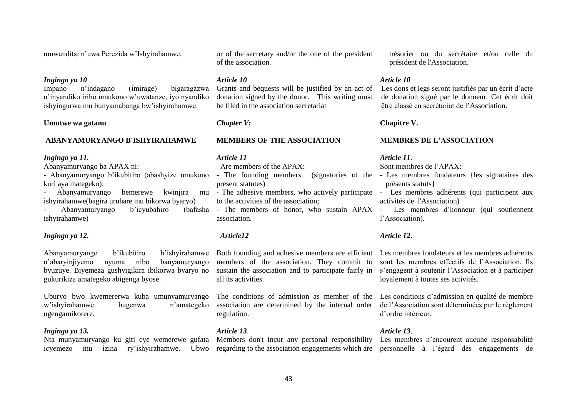umwanditsi n"uwa Perezida w"Ishyirahamwe.

#### *Ingingo ya 10*

Impano n"indagano (imirage) bigaragazwa n"inyandiko iriho umukono w"uwatanze, iyo nyandiko ishyingurwa mu bunyamabanga bw"ishyirahamwe.

#### **Umutwe wa gatanu**

#### **ABANYAMURYANGO B'ISHYIRAHAMWE**

#### *Ingingo ya 11.*

Abanyamuryango ba APAX ni:

kuri aya mategeko);

- Abanyamuryango bemerewe kwinjira ishyirahamwe(bagira uruhare mu bikorwa byaryo) Abanyamuryango b'icyubahiro ishyirahamwe)

#### *Ingingo ya 12.*

Abanyamuryango b"ikubitiro b"ishyirahamwe n"abaryinjiyemo nyuma nibo banyamuryango byuzuye. Biyemeza gushyigikira ibikorwa byaryo no gukurikiza amategeko abigenga byose.

Uburyo bwo kwemererwa kuba umunyamuryango w"ishyirahamwe bugenwa n"amategeko ngengamikorere.

#### *Ingingo ya 13.*

icyemezo mu izina ry"ishyirahamwe. Ubwo regarding to the association engagements which are personnelle à l"égard des engagements de

or of the secretary and/or the one of the president of the association.

#### *Article 10*

Grants and bequests will be justified by an act of donation signed by the donor. This writing must be filed in the association secretariat

# *Chapter V:*

#### **MEMBERS OF THE ASSOCIATION**

#### *Article 11*

Are members of the APAX:

- Abanyamuryango b'ikubitiro (abashyize umukono The founding members (signatories of the present statutes)
	- to the activities of the association;
	- association.

#### *Article12*

Both founding and adhesive members are efficient Les membres fondateurs et les membres adhérents members of the association. They commit to sustain the association and to participate fairly in all its activities.

association are determined by the internal order de l"Association sont déterminées par le règlement regulation.

#### *Article 13*.

Nta munyamuryango ku giti cye wemerewe gufata Members don't incur any personal responsibility Les membres n'encourent aucune responsabilité

trésorier ou du secrétaire et/ou celle du président de l'Association.

#### *Article 10*

Les dons et legs seront justifiés par un écrit d'acte de donation signé par le donneur. Cet écrit doit être classé en secrétariat de l"Association.

#### **Chapitre V.**

#### **MEMBRES DE L'ASSOCIATION**

#### *Article 11*.

Sont membres de l"APAX:

- Les membres fondateurs {les signataires des présents statuts}
- The adhesive members, who actively participate Les membres adhérents (qui participent aux activités de l'Association)
- The members of honor, who sustain APAX Les membres d'honneur (qui soutiennent l"Association).

### *Article 12*.

sont les membres effectifs de l"Association. Ils s"engagent à soutenir l"Association et à participer loyalement à toutes ses activités.

The conditions of admission as member of the Les conditions d"admission en qualité de membre d"ordre intérieur.

#### *Article 13*.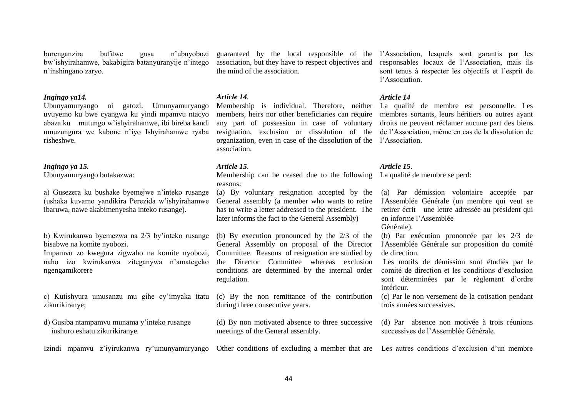burenganzira bufitwe gusa n"ubuyobozi bw"ishyirahamwe, bakabigira batanyuranyije n"intego n"inshingano zaryo.

#### *Ingingo ya14.*

Ubunyamuryango ni gatozi. Umunyamuryango uvuyemo ku bwe cyangwa ku yindi mpamvu ntacyo abaza ku mutungo w"ishyirahamwe, ibi bireba kandi umuzungura we kabone n"iyo Ishyirahamwe ryaba risheshwe.

#### *Ingingo ya 15.*

Ubunyamuryango butakazwa:

a) Gusezera ku bushake byemejwe n"inteko rusange (ushaka kuvamo yandikira Perezida w"ishyirahamwe ibaruwa, nawe akabimenyesha inteko rusange).

b) Kwirukanwa byemezwa na 2/3 by"inteko rusange bisabwe na komite nyobozi.

Impamvu zo kwegura zigwaho na komite nyobozi, naho izo kwirukanwa ziteganywa n"amategeko ngengamikorere

c) Kutishyura umusanzu mu gihe cy"imyaka itatu zikurikiranye;

d) Gusiba ntampamvu munama y"inteko rusange inshuro eshatu zikurikiranye.

association, but they have to respect objectives and the mind of the association.

## *Article 14*.

Membership is individual. Therefore, neither La qualité de membre est personnelle. Les members, heirs nor other beneficiaries can require membres sortants, leurs héritiers ou autres ayant any part of possession in case of voluntary droits ne peuvent réclamer aucune part des biens resignation, exclusion or dissolution of the de l"Association, même en cas de la dissolution de organization, even in case of the dissolution of the l"Association. association.

# *Article 15*.

Membership can be ceased due to the following La qualité de membre se perd: reasons:

(a) By voluntary resignation accepted by the General assembly (a member who wants to retire has to write a letter addressed to the president. The later informs the fact to the General Assembly)

(b) By execution pronounced by the 2/3 of the General Assembly on proposal of the Director Committee. Reasons of resignation are studied by the Director Committee whereas exclusion conditions are determined by the internal order regulation.

(c) By the non remittance of the contribution during three consecutive years.

meetings of the General assembly.

Izindi mpamvu z'iyirukanwa ry'umunyamuryango Other conditions of excluding a member that are Les autres conditions d'exclusion d'un membre

guaranteed by the local responsible of the l"Association, lesquels sont garantis par les responsables locaux de l"Association, mais ils sont tenus à respecter les objectifs et l"esprit de l"Association.

## *Article 14*

# *Article 15*.

(a) Par démission volontaire acceptée par l'Assemblée Générale (un membre qui veut se retirer écrit une lettre adressée au président qui en informe l"Assemblée

Générale).

(b) Par exécution prononcée par les 2/3 de l'Assemblée Générale sur proposition du comité de direction.

Les motifs de démission sont étudiés par le comité de direction et les conditions d"exclusion sont déterminées par le règlement d"ordre intérieur.

(c) Par le non versement de la cotisation pendant trois années successives.

(d) By non motivated absence to three successive (d) Par absence non motivée à trois réunions successives de l"Assemblée Générale.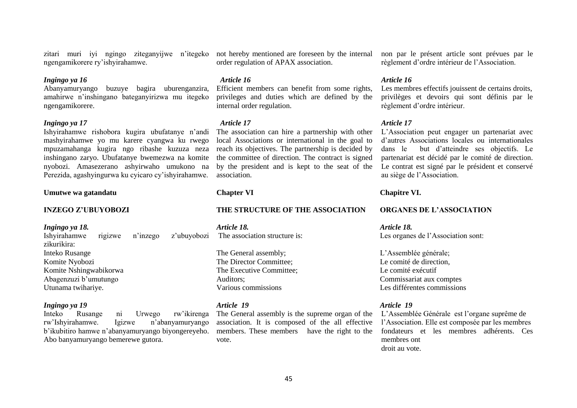zitari muri iyi ngingo ziteganyijwe n"itegeko not hereby mentioned are foreseen by the internal ngengamikorere ry"ishyirahamwe.

# *Ingingo ya 16*

Abanyamuryango buzuye bagira uburenganzira, amahirwe n"inshingano bateganyirizwa mu itegeko ngengamikorere.

### *Ingingo ya 17*

Ishyirahamwe rishobora kugira ubufatanye n"andi mashyirahamwe yo mu karere cyangwa ku rwego mpuzamahanga kugira ngo ribashe kuzuza neza inshingano zaryo. Ubufatanye bwemezwa na komite nyobozi. Amasezerano ashyirwaho umukono na Perezida, agashyingurwa ku cyicaro cy"ishyirahamwe.

### **Umutwe wa gatandatu**

**INZEGO Z'UBUYOBOZI**

#### *Ingingo ya 18.*

Ishyirahamwe rigizwe n"inzego z"ubuyobozi zikurikira: Inteko Rusange Komite Nyobozi Komite Nshingwabikorwa Abagenzuzi b"umutungo

#### *Ingingo ya 19*

Utunama twihariye.

Inteko Rusange ni Urwego rw"ikirenga rw"Ishyirahamwe. Igizwe n"abanyamuryango b"ikubitiro hamwe n"abanyamuryango biyongereyeho. Abo banyamuryango bemerewe gutora.

order regulation of APAX association.

#### *Article 16*

Efficient members can benefit from some rights, privileges and duties which are defined by the internal order regulation.

#### *Article 17*

The association can hire a partnership with other local Associations or international in the goal to reach its objectives. The partnership is decided by the committee of direction. The contract is signed by the president and is kept to the seat of the association.

#### **Chapter VI**

#### **THE STRUCTURE OF THE ASSOCIATION**

*Article 18.* The association structure is:

The General assembly; The Director Committee; The Executive Committee; Auditors; Various commissions

#### *Article 19*

The General assembly is the supreme organ of the L'Assemblée Générale est l'organe suprême de association. It is composed of the all effective members. These members have the right to the fondateurs et les membres adhérents. Ces vote.

non par le présent article sont prévues par le règlement d"ordre intérieur de l"Association.

#### *Article 16*

Les membres effectifs jouissent de certains droits, privilèges et devoirs qui sont définis par le règlement d"ordre intérieur.

#### *Article 17*

L"Association peut engager un partenariat avec d"autres Associations locales ou internationales dans le but d"atteindre ses objectifs. Le partenariat est décidé par le comité de direction. Le contrat est signé par le président et conservé au siège de l"Association.

#### **Chapitre VI.**

#### **ORGANES DE L'ASSOCIATION**

*Article 18.* Les organes de l'Association sont:

L"Assemblée générale; Le comité de direction, Le comité exécutif Commissariat aux comptes Les différentes commissions

#### *Article 19*

l"Association. Elle est composée par les membres membres ont droit au vote.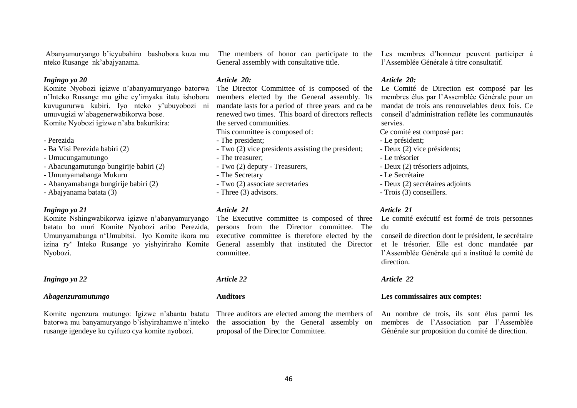Abanyamuryango b"icyubahiro bashobora kuza mu nteko Rusange nk"abajyanama.

# *Ingingo ya 20*

Komite Nyobozi igizwe n"abanyamuryango batorwa n"Inteko Rusange mu gihe cy"imyaka itatu ishobora kuvugururwa kabiri. Iyo nteko y"ubuyobozi ni umuvugizi w"abagenerwabikorwa bose. Komite Nyobozi igizwe n"aba bakurikira:

- Perezida
- Ba Visi Perezida babiri (2)
- Umucungamutungo
- Abacungamutungo bungirije babiri (2)
- Umunyamabanga Mukuru
- Abanyamabanga bungirije babiri (2)
- Abajyanama batata (3)

#### *Ingingo ya 21*

Komite Nshingwabikorwa igizwe n"abanyamuryango batatu bo muri Komite Nyobozi aribo Perezida, Umunyamabanga n"Umubitsi. Iyo Komite ikora mu izina ry" Inteko Rusange yo yishyiriraho Komite Nyobozi.

# *Ingingo ya 22*

#### *Abagenzuramutungo*

Komite ngenzura mutungo: Igizwe n"abantu batatu batorwa mu banyamuryango b"ishyirahamwe n"inteko rusange igendeye ku cyifuzo cya komite nyobozi.

General assembly with consultative title.

# *Article 20:*

The Director Committee of is composed of the members elected by the General assembly. Its mandate lasts for a period of three years and ca be renewed two times. This board of directors reflects the served communities.

This committee is composed of:

- The president;
- Two (2) vice presidents assisting the president;
- The treasurer;
- Two (2) deputy Treasurers,
- The Secretary
- Two (2) associate secretaries
- Three (3) advisors.

# *Article 21*

The Executive committee is composed of three persons from the Director committee. The executive committee is therefore elected by the General assembly that instituted the Director committee.

*Article 22*

#### **Auditors**

Three auditors are elected among the members of the association by the General assembly on proposal of the Director Committee.

The members of honor can participate to the Les membres d"honneur peuvent participer à l"Assemblée Générale à titre consultatif.

# *Article 20:*

Le Comité de Direction est composé par les membres élus par l"Assemblée Générale pour un mandat de trois ans renouvelables deux fois. Ce conseil d"administration reflète les communautés servies.

Ce comité est composé par:

- Le président;
- Deux (2) vice présidents;
- Le trésorier
- Deux (2) trésoriers adjoints,
- Le Secrétaire
- Deux (2) secrétaires adjoints
- Trois (3) conseillers.

#### *Article 21*

Le comité exécutif est formé de trois personnes du

conseil de direction dont le président, le secrétaire et le trésorier. Elle est donc mandatée par l"Assemblée Générale qui a institué le comité de direction.

#### *Article 22*

#### **Les commissaires aux comptes:**

Au nombre de trois, ils sont élus parmi les membres de l"Association par l"Assemblée Générale sur proposition du comité de direction.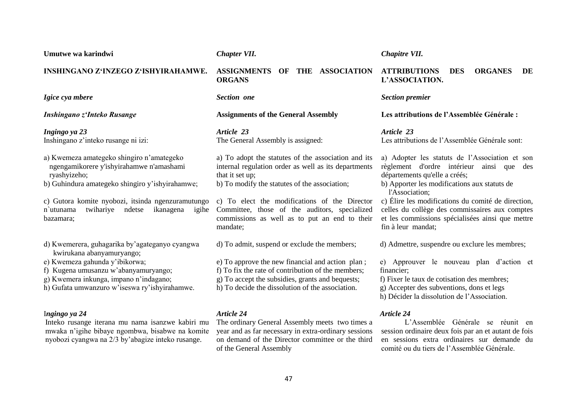*Igice cya mbere Inshingano z'Inteko Rusange Ingingo ya 23* Inshingano z"inteko rusange ni izi: a) Kwemeza amategeko shingiro n"amategeko ngengamikorere y'ishyirahamwe n'amashami ryashyizeho; b) Guhindura amategeko shingiro y"ishyirahamwe; c) Gutora komite nyobozi, itsinda ngenzuramutungo n`utunama twihariye ndetse ikanagena igihe bazamara; d) Kwemerera, guhagarika by"agateganyo cyangwa kwirukana abanyamuryango; e) Kwemeza gahunda y"ibikorwa; f) Kugena umusanzu w"abanyamuryango; g) Kwemera inkunga, impano n"indagano; h) Gufata umwanzuro w"iseswa ry"ishyirahamwe. **ORGANS**  *Section one* **Assignments of the General Assembly** *Article 23* The General Assembly is assigned: a) To adopt the statutes of the association and its internal regulation order as well as its departments that it set up; b) To modify the statutes of the association; c) To elect the modifications of the Director Committee, those of the auditors, specialized commissions as well as to put an end to their mandate; d) To admit, suspend or exclude the members; e) To approve the new financial and action plan ; f) To fix the rate of contribution of the members; g) To accept the subsidies, grants and bequests; h) To decide the dissolution of the association. **L'ASSOCIATION.** *Section premier* **Les attributions de l'Assemblée Générale :** *Article 23* Les attributions de l"Assemblée Générale sont: départements qu'elle a créés; b) Apporter les modifications aux statuts de l'Association; fin à leur mandat; d) Admettre, suspendre ou exclure les membres; financier; f) Fixer le taux de cotisation des membres; g) Accepter des subventions, dons et legs h) Décider la dissolution de l"Association.

# I*ngingo ya 24*

**Umutwe wa karindwi**

**INSHINGANO Z'INZEGO Z'ISHYIRAHAMWE.**

Inteko rusange iterana mu nama isanzwe kabiri mu mwaka n"igihe bibaye ngombwa, bisabwe na komite nyobozi cyangwa na 2/3 by"abagize inteko rusange.

**ASSIGNMENTS OF THE ASSOCIATION** 

# *Article 24*

The ordinary General Assembly meets two times a year and as far necessary in extra-ordinary sessions on demand of the Director committee or the third of the General Assembly

# **ATTRIBUTIONS DES ORGANES DE**

a) Adopter les statuts de l"Association et son règlement d'ordre intérieur ainsi que des

c) Élire les modifications du comité de direction, celles du collège des commissaires aux comptes et les commissions spécialisées ainsi que mettre

e) Approuver le nouveau plan d"action et

# *Article 24*

*Chapitre VII.*

L"Assemblée Générale se réunit en session ordinaire deux fois par an et autant de fois en sessions extra ordinaires sur demande du comité ou du tiers de l"Assemblée Générale.

# *Chapter VII.*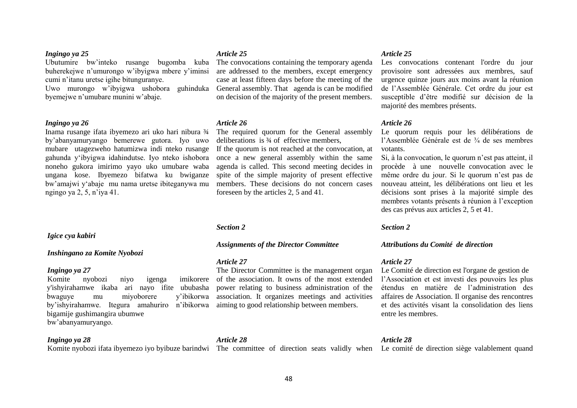#### *Ingingo ya 25*

Ubutumire bw"inteko rusange bugomba kuba buherekejwe n"umurongo w"ibyigwa mbere y"iminsi cumi n"itanu uretse igihe bitunguranye.

Uwo murongo w"ibyigwa ushobora guhinduka byemejwe n"umubare munini w"abaje.

# *Ingingo ya 26*

Inama rusange ifata ibyemezo ari uko hari nibura ¾ by"abanyamuryango bemerewe gutora. Iyo uwo mubare utagezweho hatumizwa indi nteko rusange gahunda y"ibyigwa idahindutse. Iyo nteko ishobora noneho gukora imirimo yayo uko umubare waba ungana kose. Ibyemezo bifatwa ku bwiganze bw"amajwi y"abaje mu nama uretse ibiteganywa mu ngingo ya 2, 5, n"iya 41.

#### *Igice cya kabiri*

#### *Inshingano za Komite Nyobozi*

#### *Ingingo ya 27*

Komite nyobozi niyo igenga imikorere y'ishyirahamwe ikaba ari nayo ifite ububasha bwaguye mu miyoborere y"ibikorwa by"ishyirahamwe. Itegura amahuriro n"ibikorwa bigamije gushimangira ubumwe bw"abanyamuryango.

#### *Ingingo ya 28*

Komite nyobozi ifata ibyemezo iyo byibuze barindwi The committee of direction seats validly when Le comité de direction siège valablement quand

#### *Article 25*

The convocations containing the temporary agenda are addressed to the members, except emergency case at least fifteen days before the meeting of the General assembly. That agenda is can be modified on decision of the majority of the present members.

#### *Article 26*

The required quorum for the General assembly deliberations is ¾ of effective members,

If the quorum is not reached at the convocation, at votants. once a new general assembly within the same agenda is called. This second meeting decides in spite of the simple majority of present effective members. These decisions do not concern cases foreseen by the articles 2, 5 and 41.

#### *Section 2*

#### *Assignments of the Director Committee*

#### *Article 27*

The Director Committee is the management organ of the association. It owns of the most extended power relating to business administration of the association. It organizes meetings and activities aiming to good relationship between members.

#### *Article 25*

Les convocations contenant l'ordre du jour provisoire sont adressées aux membres, sauf urgence quinze jours aux moins avant la réunion de l"Assemblée Générale. Cet ordre du jour est susceptible d"être modifié sur décision de la majorité des membres présents.

#### *Article 26*

Le quorum requis pour les délibérations de l"Assemblée Générale est de ¾ de ses membres

Si, à la convocation, le quorum n"est pas atteint, il procède à une nouvelle convocation avec le même ordre du jour. Si le quorum n"est pas de nouveau atteint, les délibérations ont lieu et les décisions sont prises à la majorité simple des membres votants présents à réunion à l"exception des cas prévus aux articles 2, 5 et 41.

#### *Section 2*

#### *Attributions du Comité de direction*

#### *Article 27*

Le Comité de direction est l'organe de gestion de l"Association et est investi des pouvoirs les plus étendus en matière de l"administration des affaires de Association. Il organise des rencontres et des activités visant la consolidation des liens entre les membres.

#### *Article 28*

#### *Article 28*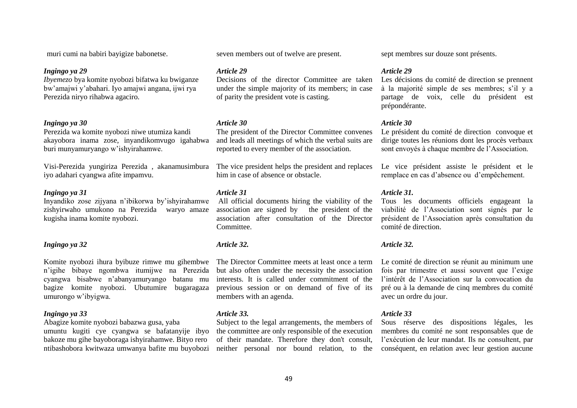muri cumi na babiri bayigize babonetse.

#### *Ingingo ya 29*

*Ibyemezo* bya komite nyobozi bifatwa ku bwiganze bw"amajwi y"abahari. Iyo amajwi angana, ijwi rya Perezida niryo rihabwa agaciro.

#### *Ingingo ya 30*

Perezida wa komite nyobozi niwe utumiza kandi akayobora inama zose, inyandikomvugo igahabwa buri munyamuryango w"ishyirahamwe.

Visi-Perezida yungiriza Perezida , akanamusimbura iyo adahari cyangwa afite impamvu.

# *Ingingo ya 31*

Inyandiko zose zijyana n"ibikorwa by"ishyirahamwe zishyirwaho umukono na Perezida waryo amaze kugisha inama komite nyobozi.

# *Ingingo ya 32*

Komite nyobozi ihura byibuze rimwe mu gihembwe n"igihe bibaye ngombwa itumijwe na Perezida cyangwa bisabwe n"abanyamuryango batanu mu bagize komite nyobozi. Ubutumire bugaragaza umurongo w"ibyigwa.

# *Ingingo ya 33*

Abagize komite nyobozi babazwa gusa, yaba

umuntu kugiti cye cyangwa se bafatanyije ibyo bakoze mu gihe bayoboraga ishyirahamwe. Bityo rero ntibashobora kwitwaza umwanya bafite mu buyobozi seven members out of twelve are present.

#### *Article 29*

Decisions of the director Committee are taken Les décisions du comité de direction se prennent under the simple majority of its members; in case of parity the president vote is casting.

#### *Article 30*

The president of the Director Committee convenes and leads all meetings of which the verbal suits are reported to every member of the association.

The vice president helps the president and replaces him in case of absence or obstacle.

#### *Article 31*

All official documents hiring the viability of the association are signed by the president of the association after consultation of the Director Committee.

### *Article 32.*

The Director Committee meets at least once a term but also often under the necessity the association interests. It is called under commitment of the previous session or on demand of five of its members with an agenda.

# *Article 33.*

Subject to the legal arrangements, the members of the committee are only responsible of the execution of their mandate. Therefore they don't consult, neither personal nor bound relation, to the

sept membres sur douze sont présents.

#### *Article 29*

à la majorité simple de ses membres; s"il y a partage de voix, celle du président est prépondérante.

#### *Article 30*

Le président du comité de direction convoque et dirige toutes les réunions dont les procès verbaux sont envoyés à chaque membre de l"Association.

Le vice président assiste le président et le remplace en cas d"absence ou d"empêchement.

#### *Article 31.*

Tous les documents officiels engageant la viabilité de l"Association sont signés par le président de l"Association après consultation du comité de direction.

### *Article 32.*

Le comité de direction se réunit au minimum une fois par trimestre et aussi souvent que l"exige l"intérêt de l"Association sur la convocation du pré ou à la demande de cinq membres du comité avec un ordre du jour.

#### *Article 33*

Sous réserve des dispositions légales, les membres du comité ne sont responsables que de l"exécution de leur mandat. Ils ne consultent, par conséquent, en relation avec leur gestion aucune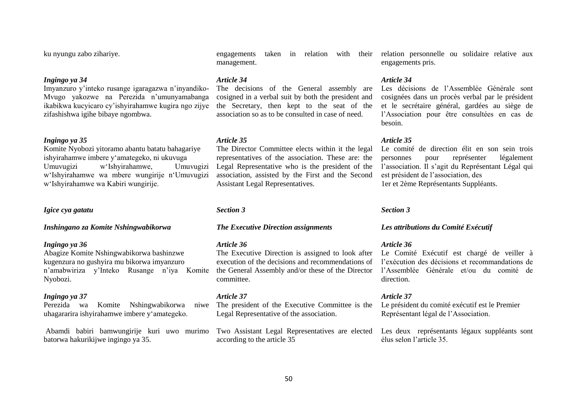ku nyungu zabo zihariye.

# *Ingingo ya 34*

Imyanzuro y"inteko rusange igaragazwa n"inyandiko-Mvugo yakozwe na Perezida n"umunyamabanga ikabikwa kucyicaro cy"ishyirahamwe kugira ngo zijye zifashishwa igihe bibaye ngombwa.

#### *Ingingo ya 35*

Komite Nyobozi yitoramo abantu batatu bahagariye ishyirahamwe imbere y"amategeko, ni ukuvuga Umuvugizi w"Ishyirahamwe, Umuvugizi w"Ishyirahamwe wa mbere wungirije n"Umuvugizi w"Ishyirahamwe wa Kabiri wungirije.

# *Igice cya gatatu*

*Inshingano za Komite Nshingwabikorwa*

#### *Ingingo ya 36*

Abagize Komite Nshingwabikorwa bashinzwe kugenzura no gushyira mu bikorwa imyanzuro n"amabwiriza y"Inteko Rusange n"iya Komite Nyobozi.

#### *Ingingo ya 37*

Perezida wa Komite Nshingwabikorwa niwe uhagararira ishyirahamwe imbere y"amategeko.

Abamdi babiri bamwungirije kuri uwo murimo batorwa hakurikijwe ingingo ya 35.

management.

#### *Article 34*

The decisions of the General assembly are cosigned in a verbal suit by both the president and the Secretary, then kept to the seat of the association so as to be consulted in case of need.

#### *Article 35*

The Director Committee elects within it the legal representatives of the association. These are: the Legal Representative who is the president of the association, assisted by the First and the Second Assistant Legal Representatives.

#### *Section 3*

#### *The Executive Direction assignments*

#### *Article 36*

The Executive Direction is assigned to look after execution of the decisions and recommendations of l"exécution des décisions et recommandations de the General Assembly and/or these of the Director l"Assemblée Générale et/ou du comité de committee.

#### *Article 37*

The president of the Executive Committee is the Legal Representative of the association.

Two Assistant Legal Representatives are elected Les deux représentants légaux suppléants sont according to the article 35

engagements taken in relation with their relation personnelle ou solidaire relative aux engagements pris.

#### *Article 34*

Les décisions de l'Assemblée Générale sont cosignées dans un procès verbal par le président et le secrétaire général, gardées au siège de l"Association pour être consultées en cas de besoin.

#### *Article 35*

Le comité de direction élit en son sein trois personnes pour représenter légalement l'association. Il s'agit du Représentant Légal qui est président de l"association, des 1er et 2ème Représentants Suppléants.

#### *Section 3*

#### *Les attributions du Comité Exécutif*

#### *Article 36*

Le Comité Exécutif est chargé de veiller à direction.

#### *Article 37*

Le président du comité exécutif est le Premier Représentant légal de l"Association.

élus selon l"article 35.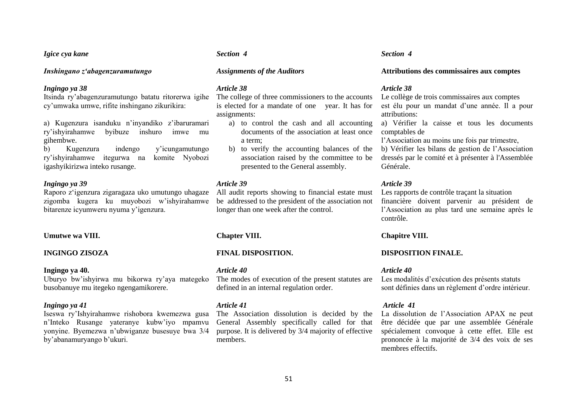#### *Igice cya kane*

#### *Inshingano z'abagenzuramutungo*

#### *Ingingo ya 38*

Itsinda ry"abagenzuramutungo batatu ritorerwa igihe cy"umwaka umwe, rifite inshingano zikurikira:

a) Kugenzura isanduku n'inyandiko z'ibaruramari ry"ishyirahamwe byibuze inshuro imwe mu gihembwe.

b) Kugenzura indengo y"icungamutungo ry"ishyirahamwe itegurwa na komite Nyobozi igashyikirizwa inteko rusange.

#### *Ingingo ya 39*

Raporo z"igenzura zigaragaza uko umutungo uhagaze zigomba kugera ku muyobozi w"ishyirahamwe bitarenze icyumweru nyuma y"igenzura.

#### **Umutwe wa VIII.**

#### **INGINGO ZISOZA**

#### **Ingingo ya 40.**

Uburyo bw"ishyirwa mu bikorwa ry"aya mategeko busobanuye mu itegeko ngengamikorere.

#### *Ingingo ya 41*

Iseswa ry"Ishyirahamwe rishobora kwemezwa gusa n"Inteko Rusange yateranye kubw"iyo mpamvu yonyine. Byemezwa n"ubwiganze busesuye bwa 3/4 by"abanamuryango b"ukuri.

#### *Section 4*

#### *Assignments of the Auditors*

#### *Article 38*

The college of three commissioners to the accounts is elected for a mandate of one year. It has for assignments:

- a) to control the cash and all accounting documents of the association at least once comptables de a term;
- association raised by the committee to be presented to the General assembly.

#### *Article 39*

All audit reports showing to financial estate must be addressed to the president of the association not financière doivent parvenir au président de longer than one week after the control.

### **Chapter VIII.**

## **FINAL DISPOSITION.**

#### *Article 40*

The modes of execution of the present statutes are defined in an internal regulation order.

#### *Article 41*

The Association dissolution is decided by the General Assembly specifically called for that purpose. It is delivered by 3/4 majority of effective members.

#### *Section 4*

#### **Attributions des commissaires aux comptes**

#### *Article 38*

Le collège de trois commissaires aux comptes est élu pour un mandat d"une année. Il a pour attributions:

a) Vérifier la caisse et tous les documents

l"Association au moins une fois par trimestre,

b) to verify the accounting balances of the b) Vérifier les bilans de gestion de l"Association dressés par le comité et à présenter à l'Assemblée Générale.

#### *Article 39*

Les rapports de contrôle traçant la situation l"Association au plus tard une semaine après le contrôle.

### **Chapitre VIII.**

#### **DISPOSITION FINALE.**

#### *Article 40*

Les modalités d'exécution des présents statuts sont définies dans un règlement d'ordre intérieur.

#### *Article 41*

La dissolution de l"Association APAX ne peut être décidée que par une assemblée Générale spécialement convoque à cette effet. Elle est prononcée à la majorité de 3/4 des voix de ses membres effectifs.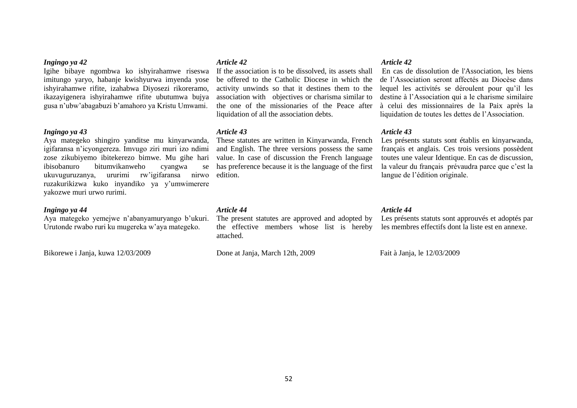# *Ingingo ya 42*

Igihe bibaye ngombwa ko ishyirahamwe riseswa imitungo yaryo, habanje kwishyurwa imyenda yose ishyirahamwe rifite, izahabwa Diyosezi rikoreramo, ikazayigenera ishyirahamwe rifite ubutumwa bujya gusa n"ubw"abagabuzi b"amahoro ya Kristu Umwami.

### *Ingingo ya 43*

Aya mategeko shingiro yanditse mu kinyarwanda, igifaransa n"icyongereza. Imvugo ziri muri izo ndimi zose zikubiyemo ibitekerezo bimwe. Mu gihe hari ibisobanuro bitumvikanweho cyangwa se ukuvuguruzanya, ururimi rw"igifaransa nirwo ruzakurikizwa kuko inyandiko ya y"umwimerere yakozwe muri urwo rurimi.

# *Ingingo ya 44*

Aya mategeko yemejwe n"abanyamuryango b"ukuri. Urutonde rwabo ruri ku mugereka w"aya mategeko.

Bikorewe i Janja, kuwa 12/03/2009

#### *Article 42*

If the association is to be dissolved, its assets shall be offered to the Catholic Diocese in which the activity unwinds so that it destines them to the association with objectives or charisma similar to the one of the missionaries of the Peace after liquidation of all the association debts.

#### *Article 43*

These statutes are written in Kinyarwanda, French and English. The three versions possess the same value. In case of discussion the French language has preference because it is the language of the first edition.

#### *Article 44*

The present statutes are approved and adopted by Les présents statuts sont approuvés et adoptés par the effective members whose list is hereby les membres effectifs dont la liste est en annexe. attached.

Done at Janja, March 12th, 2009

# *Article 42*

En cas de dissolution de l'Association, les biens de l"Association seront affectés au Diocèse dans lequel les activités se déroulent pour qu"il les destine à l"Association qui a le charisme similaire à celui des missionnaires de la Paix après la liquidation de toutes les dettes de l"Association.

#### *Article 43*

Les présents statuts sont établis en kinyarwanda, français et anglais. Ces trois versions possèdent toutes une valeur Identique. En cas de discussion, la valeur du français prévaudra parce que c'est la langue de l"édition originale.

#### *Article 44*

Fait à Janja, le 12/03/2009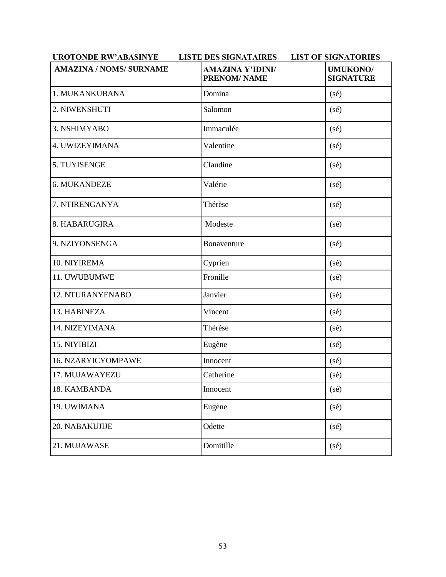| <b>UROTONDE RW'ABASINYE</b>    | <b>LISTE DES SIGNATAIRES</b>                   | <b>LIST OF SIGNATORIES</b>          |
|--------------------------------|------------------------------------------------|-------------------------------------|
| <b>AMAZINA / NOMS/ SURNAME</b> | <b>AMAZINA Y'IDINI/</b><br><b>PRENOM/ NAME</b> | <b>UMUKONO/</b><br><b>SIGNATURE</b> |
| 1. MUKANKUBANA                 | Domina                                         | $(s\acute{e})$                      |
| 2. NIWENSHUTI                  | Salomon                                        | $(s\acute{e})$                      |
| 3. NSHIMYABO                   | Immaculée                                      | (sé)                                |
| 4. UWIZEYIMANA                 | Valentine                                      | (sé)                                |
| 5. TUYISENGE                   | Claudine                                       | (sé)                                |
| 6. MUKANDEZE                   | Valérie                                        | (sé)                                |
| 7. NTIRENGANYA                 | Thérèse                                        | $(s\acute{e})$                      |
| 8. HABARUGIRA                  | Modeste                                        | (sé)                                |
| 9. NZIYONSENGA                 | Bonaventure                                    | (sé)                                |
| 10. NIYIREMA                   | Cyprien                                        | (sé)                                |
| 11. UWUBUMWE                   | Fronille                                       | $(s\acute{e})$                      |
| 12. NTURANYENABO               | Janvier                                        | $(s\acute{e})$                      |
| 13. HABINEZA                   | Vincent                                        | $(s\acute{e})$                      |
| 14. NIZEYIMANA                 | Thérèse                                        | $(s\acute{e})$                      |
| 15. NIYIBIZI                   | Eugène                                         | $(s\acute{e})$                      |
| 16. NZARYICYOMPAWE             | Innocent                                       | $(s\acute{e})$                      |
| 17. MUJAWAYEZU                 | Catherine                                      | (sé)                                |
| 18. KAMBANDA                   | Innocent                                       | (sé)                                |
| 19. UWIMANA                    | Eugène                                         | (sé)                                |
| 20. NABAKUJIJE                 | Odette                                         | $(s\acute{e})$                      |
| 21. MUJAWASE                   | Domitille                                      | $(s\acute{e})$                      |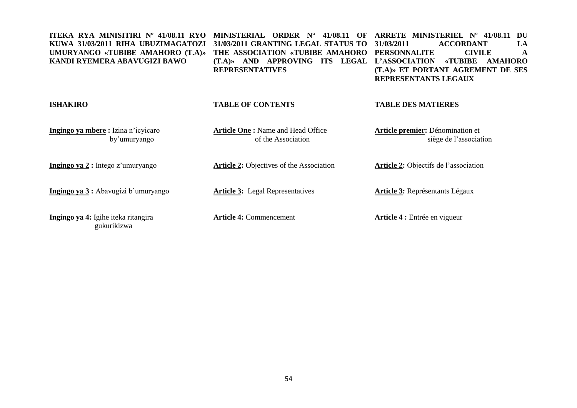| ITEKA RYA MINISITIRI Nº 41/08.11 RYO<br>KUWA 31/03/2011 RIHA UBUZIMAGATOZI<br>UMURYANGO «TUBIBE AMAHORO (T.A)»<br>KANDI RYEMERA ABAVUGIZI BAWO | <b>MINISTERIAL</b><br>ORDER<br>41/08.11<br>$N^{\circ}$<br>OF<br>31/03/2011 GRANTING LEGAL STATUS TO<br>THE ASSOCIATION «TUBIBE AMAHORO<br>APPROVING<br>$(T.A)$ AND<br>ITS LEGAL<br><b>REPRESENTATIVES</b> | <b>ARRETE MINISTERIEL Nº</b><br>41/08.11<br>DU<br>31/03/2011<br><b>ACCORDANT</b><br>LA<br><b>CIVILE</b><br><b>PERSONNALITE</b><br>A<br>L'ASSOCIATION<br><b>«TUBIBE</b><br><b>AMAHORO</b><br>(T.A)» ET PORTANT AGREMENT DE SES<br>REPRESENTANTS LEGAUX |
|------------------------------------------------------------------------------------------------------------------------------------------------|-----------------------------------------------------------------------------------------------------------------------------------------------------------------------------------------------------------|-------------------------------------------------------------------------------------------------------------------------------------------------------------------------------------------------------------------------------------------------------|
| <b>ISHAKIRO</b>                                                                                                                                | <b>TABLE OF CONTENTS</b>                                                                                                                                                                                  | <b>TABLE DES MATIERES</b>                                                                                                                                                                                                                             |
| Ingingo ya mbere: Izina n'icyicaro<br>by'umuryango                                                                                             | <b>Article One: Name and Head Office</b><br>of the Association                                                                                                                                            | Article premier: Dénomination et<br>siège de l'association                                                                                                                                                                                            |
| Ingingo ya 2 : Intego z'umuryango                                                                                                              | <b>Article 2: Objectives of the Association</b>                                                                                                                                                           | <b>Article 2:</b> Objectifs de l'association                                                                                                                                                                                                          |
| Ingingo ya 3 : Abavugizi b'umuryango                                                                                                           | <b>Article 3:</b> Legal Representatives                                                                                                                                                                   | <b>Article 3:</b> Représentants Légaux                                                                                                                                                                                                                |
| Ingingo ya 4: Igihe iteka ritangira                                                                                                            | <b>Article 4: Commencement</b>                                                                                                                                                                            | Article 4 : Entrée en vigueur                                                                                                                                                                                                                         |

gukurikizwa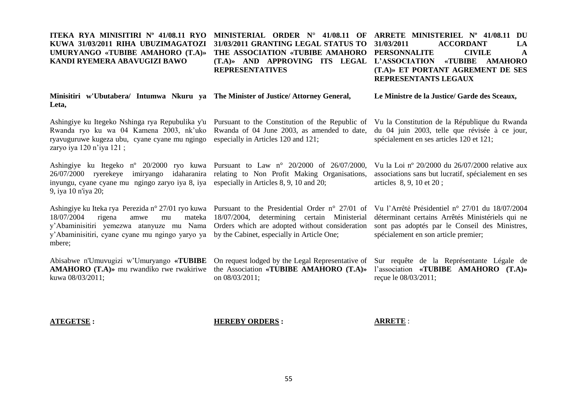#### **ITEKA RYA MINISITIRI Nº 41/08.11 RYO MINISTERIAL ORDER N° 41/08.11 OF ARRETE MINISTERIEL Nº 41/08.11 DU KUWA 31/03/2011 RIHA UBUZIMAGATOZI UMURYANGO «TUBIBE AMAHORO (T.A)» KANDI RYEMERA ABAVUGIZI BAWO 31/03/2011 GRANTING LEGAL STATUS TO THE ASSOCIATION «TUBIBE AMAHORO PERSONNALITE CIVILE A (T.A)» AND APPROVING ITS LEGAL L'ASSOCIATION «TUBIBE AMAHORO REPRESENTATIVES 31/03/2011 ACCORDANT LA (T.A)» ET PORTANT AGREMENT DE SES REPRESENTANTS LEGAUX**

|       |  |  | Minisitiri w'Ubutabera/ Intumwa Nkuru ya The Minister of Justice/Attorney General, | Le Ministre de la Justice/ Garde des Sceaux, |
|-------|--|--|------------------------------------------------------------------------------------|----------------------------------------------|
| Leta, |  |  |                                                                                    |                                              |

Ashingiye ku Itegeko Nshinga rya Repubulika y'u Pursuant to the Constitution of the Republic of Vu la Constitution de la République du Rwanda Rwanda ryo ku wa 04 Kamena 2003, nk'uko Rwanda of 04 June 2003, as amended to date, du 04 juin 2003, telle que révisée à ce jour, ryavuguruwe kugeza ubu, cyane cyane mu ngingo especially in Articles 120 and 121; zaryo iya 120 n"iya 121 ;

26/07/2000 ryerekeye imiryango idaharanira relating to Non Profit Making Organisations, inyungu, cyane cyane mu ngingo zaryo iya 8, iya especially in Articles 8, 9, 10 and 20; 9, iya 10 n'iya 20;

Ashingiye ku Iteka rya Perezida n° 27/01 ryo kuwa Pursuant to the Presidential Order n° 27/01 of 18/07/2004 rigena amwe mu y"Abaminisitiri yemezwa atanyuze mu Nama Orders which are adopted without consideration y"Abaminisitiri, cyane cyane mu ngingo yaryo ya by the Cabinet, especially in Article One; mbere;

Abisabwe n'Umuvugizi w"Umuryango **«TUBIBE**  On request lodged by the Legal Representative of Sur requête de la Représentante Légale de kuwa 08/03/2011;

Ashingiye ku Itegeko nº 20/2000 ryo kuwa Pursuant to Law n° 20/2000 of 26/07/2000,

18/07/2004, determining certain Ministerial

sont pas adoptés par le Conseil des Ministres, spécialement en son article premier;

spécialement en ses articles 120 et 121;

articles 8, 9, 10 et 20 ;

**AMAHORO (T.A)»** mu rwandiko rwe rwakiriwe the Association **«TUBIBE AMAHORO (T.A)»**  on 08/03/2011;

l"association **«TUBIBE AMAHORO (T.A)»** reçue le 08/03/2011;

Vu la Loi nº 20/2000 du 26/07/2000 relative aux associations sans but lucratif, spécialement en ses

Vu l"Arrêté Présidentiel n° 27/01 du 18/07/2004 déterminant certains Arrêtés Ministériels qui ne

#### **ATEGETSE :**

**HEREBY ORDERS :**

**ARRETE** :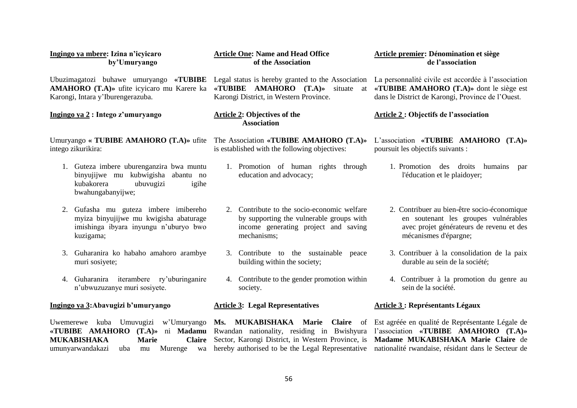|                                                                                          | Ingingo ya mbere: Izina n'icyicaro                                                                                                                                                          | <b>Article One: Name and Head Office</b>                                                                                                                                                         | Article premier: Dénomination et siège                                                                                                                                               |
|------------------------------------------------------------------------------------------|---------------------------------------------------------------------------------------------------------------------------------------------------------------------------------------------|--------------------------------------------------------------------------------------------------------------------------------------------------------------------------------------------------|--------------------------------------------------------------------------------------------------------------------------------------------------------------------------------------|
|                                                                                          | by'Umuryango                                                                                                                                                                                | of the Association                                                                                                                                                                               | de l'association                                                                                                                                                                     |
| Ubuzimagatozi buhawe umuryango «TUBIBE Legal status is hereby granted to the Association |                                                                                                                                                                                             | «TUBIBE AMAHORO $(T.A)$ » situate                                                                                                                                                                | La personnalité civile est accordée à l'association                                                                                                                                  |
| AMAHORO (T.A)» ufite icyicaro mu Karere ka                                               |                                                                                                                                                                                             | at                                                                                                                                                                                               | «TUBIBE AMAHORO (T.A)» dont le siège est                                                                                                                                             |
| Karongi, Intara y'Iburengerazuba.                                                        |                                                                                                                                                                                             | Karongi District, in Western Province.                                                                                                                                                           | dans le District de Karongi, Province de l'Ouest.                                                                                                                                    |
| Ingingo ya 2 : Intego z'umuryango                                                        |                                                                                                                                                                                             | <b>Article 2: Objectives of the</b><br><b>Association</b>                                                                                                                                        | <b>Article 2: Objectifs de l'association</b>                                                                                                                                         |
|                                                                                          | Umuryango « TUBIBE AMAHORO (T.A)» ufite                                                                                                                                                     | The Association «TUBIBE AMAHORO (T.A)»                                                                                                                                                           | L'association «TUBIBE AMAHORO (T.A)»                                                                                                                                                 |
|                                                                                          | intego zikurikira:                                                                                                                                                                          | is established with the following objectives:                                                                                                                                                    | poursuit les objectifs suivants :                                                                                                                                                    |
|                                                                                          | 1. Guteza imbere uburenganzira bwa muntu<br>binyujijwe mu kubwigisha abantu no<br>kubakorera<br>ubuvugizi<br>igihe<br>bwahungabanyijwe;                                                     | 1. Promotion of human rights through<br>education and advocacy;                                                                                                                                  | 1. Promotion des droits<br>humains<br>par<br>l'éducation et le plaidoyer;                                                                                                            |
|                                                                                          | 2. Gufasha mu guteza imbere imibereho                                                                                                                                                       | 2. Contribute to the socio-economic welfare                                                                                                                                                      | 2. Contribuer au bien-être socio-économique                                                                                                                                          |
|                                                                                          | myiza binyujijwe mu kwigisha abaturage                                                                                                                                                      | by supporting the vulnerable groups with                                                                                                                                                         | en soutenant les groupes vulnérables                                                                                                                                                 |
|                                                                                          | imishinga ibyara inyungu n'uburyo bwo                                                                                                                                                       | income generating project and saving                                                                                                                                                             | avec projet générateurs de revenu et des                                                                                                                                             |
|                                                                                          | kuzigama;                                                                                                                                                                                   | mechanisms;                                                                                                                                                                                      | mécanismes d'épargne;                                                                                                                                                                |
|                                                                                          | 3. Guharanira ko habaho amahoro arambye<br>muri sosiyete;                                                                                                                                   | 3. Contribute to the sustainable<br>peace<br>building within the society;                                                                                                                        | 3. Contribuer à la consolidation de la paix<br>durable au sein de la société;                                                                                                        |
|                                                                                          | 4. Guharanira iterambere ry'uburinganire                                                                                                                                                    | 4. Contribute to the gender promotion within                                                                                                                                                     | 4. Contribuer à la promotion du genre au                                                                                                                                             |
|                                                                                          | n'ubwuzuzanye muri sosiyete.                                                                                                                                                                | society.                                                                                                                                                                                         | sein de la société.                                                                                                                                                                  |
|                                                                                          | Ingingo ya 3: Abavugizi b'umuryango                                                                                                                                                         | <b>Article 3: Legal Representatives</b>                                                                                                                                                          | <b>Article 3 : Représentants Légaux</b>                                                                                                                                              |
|                                                                                          | Uwemerewe kuba Umuvugizi w'Umuryango<br>«TUBIBE AMAHORO (T.A)»<br>ni <b>Madamu</b><br><b>MUKABISHAKA</b><br><b>Marie</b><br><b>Claire</b><br>umunyarwandakazi<br>Murenge<br>uba<br>wa<br>mu | Ms. MUKABISHAKA Marie<br><b>Claire</b> of<br>Rwandan nationality, residing in Bwishyura<br>Sector, Karongi District, in Western Province, is<br>hereby authorised to be the Legal Representative | Est agréée en qualité de Représentante Légale de<br>l'association «TUBIBE AMAHORO (T.A)»<br>Madame MUKABISHAKA Marie Claire de<br>nationalité rwandaise, résidant dans le Secteur de |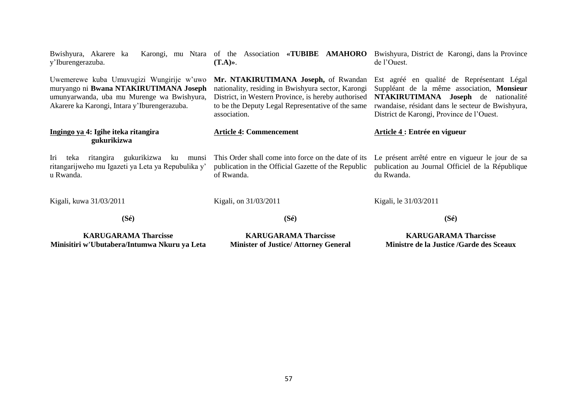| $(S\acute{e})$                                                                                                                                                                   | $(S\acute{e})$                                                                                                                                                                                                         | $(S\acute{e})$                                                                                                                                                                                                                    |
|----------------------------------------------------------------------------------------------------------------------------------------------------------------------------------|------------------------------------------------------------------------------------------------------------------------------------------------------------------------------------------------------------------------|-----------------------------------------------------------------------------------------------------------------------------------------------------------------------------------------------------------------------------------|
| Kigali, kuwa 31/03/2011                                                                                                                                                          | Kigali, on 31/03/2011                                                                                                                                                                                                  | Kigali, le 31/03/2011                                                                                                                                                                                                             |
| gukurikizwa<br>Iri<br>ritangira<br>ku<br>teka<br>munsi<br>ritangarijweho mu Igazeti ya Leta ya Repubulika y'<br>u Rwanda.                                                        | This Order shall come into force on the date of its<br>publication in the Official Gazette of the Republic<br>of Rwanda.                                                                                               | Le présent arrêté entre en vigueur le jour de sa<br>publication au Journal Officiel de la République<br>du Rwanda.                                                                                                                |
| Ingingo ya 4: Igihe iteka ritangira<br>gukurikizwa                                                                                                                               | <b>Article 4: Commencement</b>                                                                                                                                                                                         | Article 4 : Entrée en vigueur                                                                                                                                                                                                     |
| Uwemerewe kuba Umuvugizi Wungirije w'uwo<br>muryango ni Bwana NTAKIRUTIMANA Joseph<br>umunyarwanda, uba mu Murenge wa Bwishyura,<br>Akarere ka Karongi, Intara y'Iburengerazuba. | Mr. NTAKIRUTIMANA Joseph, of Rwandan<br>nationality, residing in Bwishyura sector, Karongi<br>District, in Western Province, is hereby authorised<br>to be the Deputy Legal Representative of the same<br>association. | Est agréé en qualité de Représentant Légal<br>Suppléant de la même association, Monsieur<br>NTAKIRUTIMANA Joseph de nationalité<br>rwandaise, résidant dans le secteur de Bwishyura,<br>District de Karongi, Province de l'Ouest. |
| Bwishyura, Akarere ka<br>y'Iburengerazuba.                                                                                                                                       | Karongi, mu Ntara of the Association «TUBIBE AMAHORO<br>$(T.A)$ ».                                                                                                                                                     | Bwishyura, District de Karongi, dans la Province<br>de l'Ouest.                                                                                                                                                                   |

**KARUGARAMA Tharcisse Minisitiri w'Ubutabera/Intumwa Nkuru ya Leta**

**KARUGARAMA Tharcisse Minister of Justice/ Attorney General**

**KARUGARAMA Tharcisse Ministre de la Justice /Garde des Sceaux**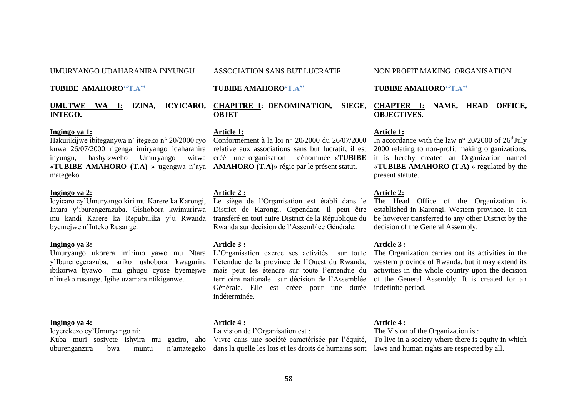UMURYANGO UDAHARANIRA INYUNGU

**TUBIBE AMAHORO''T.A''**

**INTEGO.**

#### **Ingingo ya 1:**

Hakurikijwe ibiteganywa n" itegeko n° 20/2000 ryo Conformément à la loi n° 20/2000 du 26/07/2000 kuwa 26/07/2000 rigenga imiryango idaharanira relative aux associations sans but lucratif, il est **«TUBIBE AMAHORO (T.A) »** ugengwa n"aya **AMAHORO (T.A)»** régie par le présent statut. mategeko.

# **Ingingo ya 2:**

Icyicaro cy"Umuryango kiri mu Karere ka Karongi, Intara y"iburengerazuba. Gishobora kwimurirwa mu kandi Karere ka Repubulika y"u Rwanda byemejwe n"Inteko Rusange.

#### **Ingingo ya 3:**

y"Iburenegerazuba, ariko ushobora kwagurira l"étendue de la province de l"Ouest du Rwanda, ibikorwa byawo mu gihugu cyose byemejwe n"inteko rusange. Igihe uzamara ntikigenwe.

#### **Ingingo ya 4:**

Icyerekezo cy"Umuryango ni:

Kuba muri sosiyete ishyira mu uburenganzira bwa muntu n"amategeko dans la quelle les lois et les droits de humains sont laws and human rights are respected by all.

ASSOCIATION SANS BUT LUCRATIF

#### **TUBIBE AMAHORO'T.A''**

**UMUTWE WA I: IZINA, ICYICARO, CHAPITRE I: DENOMINATION, SIEGE, OBJET**

#### **Article 1:**

#### **Article 2 :**

Le siège de l"Organisation est établi dans le District de Karongi. Cependant, il peut être transféré en tout autre District de la République du Rwanda sur décision de l"Assemblée Générale.

#### **Article 3 :**

territoire nationale sur décision de l"Assemblée Générale. Elle est créée pour une durée indefinite period. indéterminée.

# **Article 4 :**

La vision de l'Organisation est :

#### NON PROFIT MAKING ORGANISATION

#### **TUBIBE AMAHORO''T.A''**

**CHAPTER I: NAME, HEAD OFFICE, OBJECTIVES.**

#### **Article 1:**

inyungu, hashyizweho Umuryango witwa créé une organisation dénommée **«TUBIBE**  it is hereby created an Organization named In accordance with the law n° 20/2000 of  $26<sup>th</sup>$ July 2000 relating to non-profit making organizations, **«TUBIBE AMAHORO (T.A) »** regulated by the present statute.

#### **Article 2:**

The Head Office of the Organization is established in Karongi, Western province. It can be however transferred to any other District by the decision of the General Assembly.

# **Article 3 :**

Umuryango ukorera imirimo yawo mu Ntara L"Organisation exerce ses activités sur toute The Organization carries out its activities in the mais peut les étendre sur toute l"entendue du activities in the whole country upon the decision western province of Rwanda, but it may extend its of the General Assembly. It is created for an

### **Article 4 :**

Vivre dans une société caractérisée par l"équité, To live in a society where there is equity in which The Vision of the Organization is: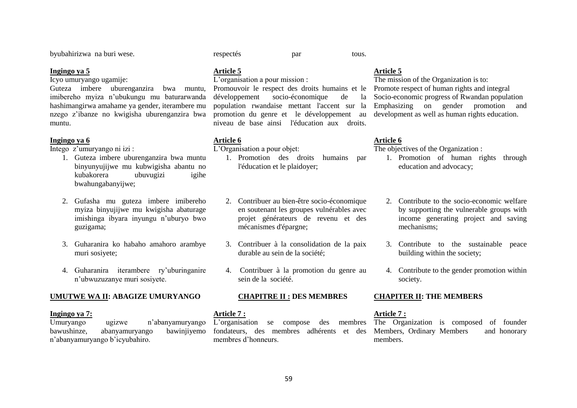byubahirizwa na buri wese.

#### **Ingingo ya 5**

Icyo umuryango ugamije:

Guteza imbere uburenganzira bwa muntu, imibereho myiza n"ubukungu mu baturarwanda hashimangirwa amahame ya gender, iterambere mu nzego z"ibanze no kwigisha uburenganzira bwa muntu.

#### **Ingingo ya 6**

Intego z"umuryango ni izi :

- 1. Guteza imbere uburenganzira bwa muntu binyunyujijwe mu kubwigisha abantu no kubakorera ubuvugizi igihe bwahungabanyijwe;
- 2. Gufasha mu guteza imbere imibereho myiza binyujijwe mu kwigisha abaturage imishinga ibyara inyungu n"uburyo bwo guzigama;
- 3. Guharanira ko habaho amahoro arambye muri sosiyete;
- 4. Guharanira iterambere ry"uburinganire n"ubwuzuzanye muri sosiyete.

#### **UMUTWE WA II: ABAGIZE UMURYANGO**

#### **Ingingo ya 7:**

Umuryango ugizwe n"abanyamuryango bawushinze, abanyamuryango bawinjiyemo n"abanyamuryango b"icyubahiro.

respectés par tous.

# **Article 5**

# L'organisation a pour mission :

Promouvoir le respect des droits humains et le développement socio-économique de la population rwandaise mettant l'accent sur la promotion du genre et le développement au niveau de base ainsi l'éducation aux droits.

#### **Article 6**

L"Organisation a pour objet:

1. Promotion des droits humains par l'éducation et le plaidoyer;

# 2. Contribuer au bien-être socio-économique en soutenant les groupes vulnérables avec projet générateurs de revenu et des mécanismes d'épargne;

- 3. Contribuer à la consolidation de la paix durable au sein de la société;
- 4. Contribuer à la promotion du genre au sein de la société.

#### **CHAPITRE II : DES MEMBRES**

## **Article 7 :**

membres d"honneurs.

# **Article 5**

The mission of the Organization is to: Promote respect of human rights and integral Socio-economic progress of Rwandan population Emphasizing on gender promotion and development as well as human rights education.

# **Article 6**

The objectives of the Organization :

- 1. Promotion of human rights through education and advocacy;
- 2. Contribute to the socio-economic welfare by supporting the vulnerable groups with income generating project and saving mechanisms;
- 3. Contribute to the sustainable peace building within the society;
- 4. Contribute to the gender promotion within society.

#### **CHAPITER II: THE MEMBERS**

#### **Article 7 :**

L"organisation se compose des membres The Organization is composed of founder fondateurs, des membres adhérents et des Members, Ordinary Members and honorary members.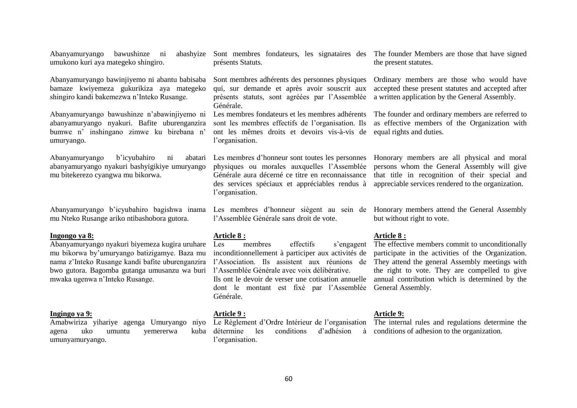Abanyamuryango bawushinze ni umukono kuri aya mategeko shingiro. Abanyamuryango bawinjiyemo ni abantu babisaba bamaze kwiyemeza gukurikiza aya mategeko shingiro kandi bakemezwa n"Inteko Rusange. Abanyamuryango bawushinze n"abawinjiyemo ni abanyamuryango nyakuri. Bafite uburenganzira bumwe n" inshingano zimwe ku birebana n" umuryango. Abanyamuryango b'icyubahiro ni abanyamuryango nyakuri bashyigikiye umuryango mu bitekerezo cyangwa mu bikorwa. Abanyamuryango b'icyubahiro bagishwa inama Les membres d'honneur siègent au sein de Honorary members attend the General Assembly mu Nteko Rusange ariko ntibashobora gutora. **Ingongo ya 8:** Abanyamuryango nyakuri biyemeza kugira uruhare mu bikorwa by"umuryango batizigamye. Baza mu nama z"Inteko Rusange kandi bafite uburenganzira bwo gutora. Bagomba gutanga umusanzu wa buri mwaka ugenwa n"Inteko Rusange. **Ingingo ya 9:** Amabwiriza yihariye agenga Umuryango niyo agena uko umuntu yemererwa kuba umunyamuryango. Sont membres fondateurs, les signataires des The founder Members are those that have signed présents Statuts. Sont membres adhérents des personnes physiques qui, sur demande et après avoir souscrit aux présents statuts, sont agréées par l"Assemblée Générale. Les membres fondateurs et les membres adhérents sont les membres effectifs de l"organisation. Ils ont les mêmes droits et devoirs vis-à-vis de equal rights and duties. l'organisation. Les membres d"honneur sont toutes les personnes Honorary members are all physical and moral physiques ou morales auxquelles l"Assemblée Générale aura décerné ce titre en reconnaissance des services spéciaux et appréciables rendus à l'organisation. l"Assemblée Générale sans droit de vote. **Article 8 :** Les membres effectifs s'engagent inconditionnellement à participer aux activités de l"Association. Ils assistent aux réunions de l"Assemblée Générale avec voix délibérative. Ils ont le devoir de verser une cotisation annuelle dont le montant est fixé par l"Assemblée General Assembly. Générale. **Article 9 :** Le Règlement d'Ordre Intérieur de l'organisation détermine les conditions d'adhésion à conditions of adhesion to the organization. l'organisation. the present statutes. Ordinary members are those who would have accepted these present statutes and accepted after a written application by the General Assembly. The founder and ordinary members are referred to as effective members of the Organization with persons whom the General Assembly will give that title in recognition of their special and appreciable services rendered to the organization. but without right to vote. **Article 8 :** The effective members commit to unconditionally participate in the activities of the Organization. They attend the general Assembly meetings with the right to vote. They are compelled to give annual contribution which is determined by the **Article 9:** The internal rules and regulations determine the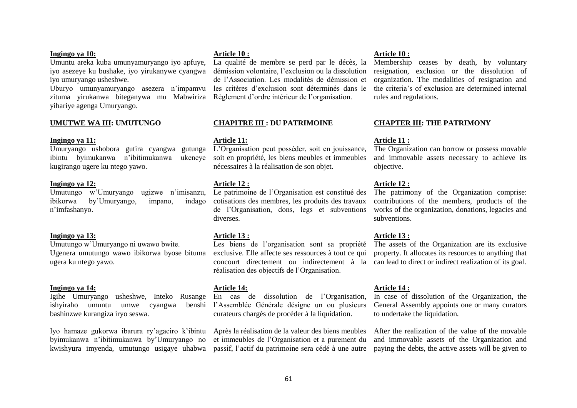#### **Ingingo ya 10:**

Umuntu areka kuba umunyamuryango iyo apfuye, iyo asezeye ku bushake, iyo yirukanywe cyangwa iyo umuryango usheshwe.

Uburyo umunyamuryango asezera n"impamvu zituma yirukanwa biteganywa mu Mabwiriza yihariye agenga Umuryango.

#### **UMUTWE WA III: UMUTUNGO**

#### **Ingingo ya 11:**

Umuryango ushobora gutira cyangwa gutunga ibintu byimukanwa n'ibitimukanwa kugirango ugere ku ntego yawo.

#### **Ingingo ya 12:**

Umutungo w"Umuryango ugizwe n"imisanzu, ibikorwa by"Umuryango, impano, indago n"imfashanyo.

#### **Ingingo ya 13:**

Umutungo w"Umuryango ni uwawo bwite. Ugenera umutungo wawo ibikorwa byose bituma ugera ku ntego yawo.

#### **Ingingo ya 14:**

Igihe Umuryango usheshwe, Inteko Rusange ishyiraho umuntu umwe cyangwa bashinzwe kurangiza iryo seswa.

Iyo hamaze gukorwa ibarura ry"agaciro k"ibintu byimukanwa n"ibitimukanwa by"Umuryango no kwishyura imyenda, umutungo usigaye uhabwa

#### **Article 10 :**

La qualité de membre se perd par le décès, la démission volontaire, l"exclusion ou la dissolution de l"Association. Les modalités de démission et les critères d"exclusion sont déterminés dans le Règlement d"ordre intérieur de l"organisation.

#### **CHAPITRE III : DU PATRIMOINE**

#### **Article 11:**

L"Organisation peut posséder, soit en jouissance, soit en propriété, les biens meubles et immeubles nécessaires à la réalisation de son objet.

#### **Article 12 :**

Le patrimoine de l"Organisation est constitué des cotisations des membres, les produits des travaux de l"Organisation, dons, legs et subventions diverses.

#### **Article 13 :**

Les biens de l"organisation sont sa propriété exclusive. Elle affecte ses ressources à tout ce qui réalisation des objectifs de l"Organisation.

#### **Article 14:**

En cas de dissolution de l"Organisation, l"Assemblée Générale désigne un ou plusieurs curateurs chargés de procéder à la liquidation.

> Après la réalisation de la valeur des biens meubles et immeubles de l"Organisation et a purement du

#### **Article 10 :**

Membership ceases by death, by voluntary resignation, exclusion or the dissolution of organization. The modalities of resignation and the criteria"s of exclusion are determined internal rules and regulations.

#### **CHAPTER III: THE PATRIMONY**

#### **Article 11 :**

The Organization can borrow or possess movable and immovable assets necessary to achieve its objective.

#### **Article 12 :**

The patrimony of the Organization comprise: contributions of the members, products of the works of the organization, donations, legacies and subventions.

#### **Article 13 :**

concourt directement ou indirectement à la can lead to direct or indirect realization of its goal. The assets of the Organization are its exclusive property. It allocates its resources to anything that

#### **Article 14 :**

In case of dissolution of the Organization, the General Assembly appoints one or many curators to undertake the liquidation.

passif, l"actif du patrimoine sera cédé à une autre paying the debts, the active assets will be given to After the realization of the value of the movable and immovable assets of the Organization and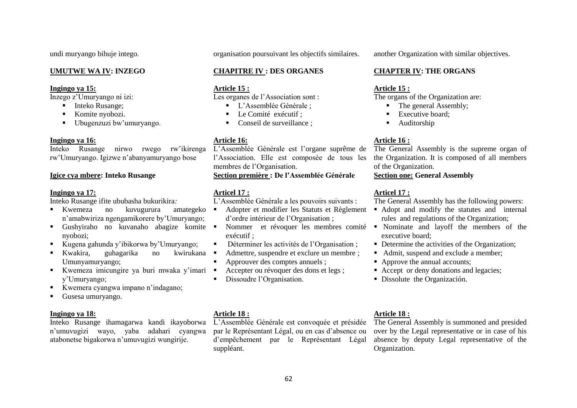undi muryango bihuje intego.

# **UMUTWE WA IV: INZEGO**

#### **Ingingo ya 15:**

Inzego z"Umuryango ni izi:

- Inteko Rusange:
- Komite nyobozi.
- Ubugenzuzi bw'umuryango.

#### **Ingingo ya 16:**

Inteko Rusange nirwo rwego rw"ikirenga rw"Umuryango. Igizwe n"abanyamuryango bose

# **Igice cya mbere: Inteko Rusange**

# **Ingingo ya 17:**

Inteko Rusange ifite ububasha bukurikira*:*

- Kwemeza no kuvugurura amategeko n"amabwiriza ngengamikorere by"Umuryango;
- Gushyiraho no kuvanaho abagize komite nyobozi;
- Kugena gahunda y"ibikorwa by"Umuryango;
- Kwakira, guhagarika no kwirukana kun Umunyamuryango;
- Kwemeza imicungire ya buri mwaka y'imari y"Umuryango;
- Kwemera cyangwa impano n'indagano;
- Gusesa umuryango.

#### **Ingingo ya 18:**

Inteko Rusange ihamagarwa kandi ikayoborwa n"umuvugizi wayo, yaba adahari cyangwa atabonetse bigakorwa n"umuvugizi wungirije.

organisation poursuivant les objectifs similaires.

# **CHAPITRE IV : DES ORGANES**

# **Article 15 :**

Les organes de l'Association sont :

- **L'Assemblée Générale :**
- Le Comité exécutif :
- Conseil de surveillance :

# **Article 16:**

L"Assemblée Générale est l"organe suprême de l"Association. Elle est composée de tous les membres de l"Organisation. **Section première : De l'Assemblée Générale**

# **Articel 17 :**

L"Assemblée Générale a les pouvoirs suivants :

- Adopter et modifier les Statuts et Règlement d"ordre intérieur de l"Organisation ;
- exécutif ;
- Déterminer les activités de l'Organisation;
- Admettre, suspendre et exclure un membre ; Approuver des comptes annuels ;
- Accepter ou révoquer des dons et legs ;
- Dissoudre l"Organisation.

# another Organization with similar objectives.

# **CHAPTER IV: THE ORGANS**

# **Article 15 :**

The organs of the Organization are:

- The general Assembly:
- **Executive board:**
- **Auditorship**

# **Article 16 :**

The General Assembly is the supreme organ of the Organization. It is composed of all members of the Organization.

# **Section one: General Assembly**

# **Articel 17 :**

The General Assembly has the following powers:

- Adopt and modify the statutes and internal rules and regulations of the Organization;
- Nommer et révoquer les membres comité Nominate and layoff the members of the executive board;
	- Determine the activities of the Organization;
	- Admit, suspend and exclude a member;
	- Approve the annual accounts:
	- Accept or deny donations and legacies:
	- Dissolute the Organización.

# **Article 18 :**

L"Assemblée Générale est convoquée et présidée par le Représentant Légal, ou en cas d"absence ou d"empêchement par le Représentant Légal suppléant.

# **Article 18 :**

The General Assembly is summoned and presided over by the Legal representative or in case of his absence by deputy Legal representative of the Organization.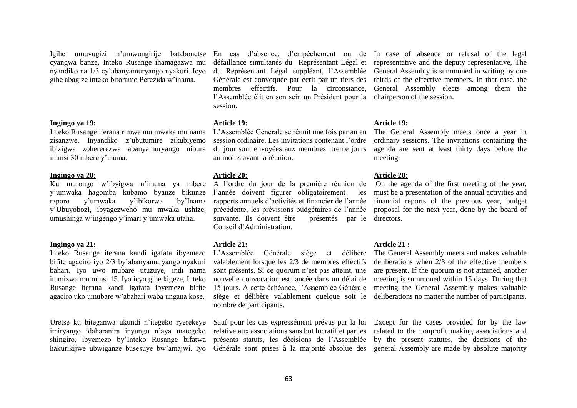Igihe umuvugizi n"umwungirije batabonetse cyangwa banze, Inteko Rusange ihamagazwa mu nyandiko na 1/3 cy"abanyamuryango nyakuri. Icyo gihe abagize inteko bitoramo Perezida w"inama.

#### **Ingingo ya 19:**

Inteko Rusange iterana rimwe mu mwaka mu nama zisanzwe. Inyandiko z"ubutumire zikubiyemo ibizigwa zohererezwa abanyamuryango nibura iminsi 30 mbere y"inama.

#### **Ingingo ya 20:**

y"umwaka hagomba kubamo byanze bikunze raporo y"umwaka y"ibikorwa by"Inama y"Ubuyobozi, ibyagezweho mu mwaka ushize, umushinga w"ingengo y"imari y"umwaka utaha.

#### **Ingingo ya 21:**

Inteko Rusange iterana kandi igafata ibyemezo bifite agaciro iyo 2/3 by"abanyamuryango nyakuri bahari. Iyo uwo mubare utuzuye, indi nama itumizwa mu minsi 15. Iyo icyo gihe kigeze, Inteko Rusange iterana kandi igafata ibyemezo bifite agaciro uko umubare w"abahari waba ungana kose.

Uretse ku biteganwa ukundi n"itegeko ryerekeye imiryango idaharanira inyungu n"aya mategeko shingiro, ibyemezo by"Inteko Rusange bifatwa

membres effectifs. Pour la circonstance, l"Assemblée élit en son sein un Président pour la chairperson of the session. session.

#### **Article 19:**

L"Assemblée Générale se réunit une fois par an en session ordinaire. Les invitations contenant l"ordre du jour sont envoyées aux membres trente jours au moins avant la réunion.

#### **Article 20:**

Ku murongo w"ibyigwa n"inama ya mbere A l"ordre du jour de la première réunion de l"année doivent figurer obligatoirement les rapports annuels d"activités et financier de l"année précédente, les prévisions budgétaires de l"année suivante. Ils doivent être Conseil d"Administration. présentés par le directors.

#### **Article 21:**

L"Assemblée Générale siège et délibère valablement lorsque les 2/3 de membres effectifs sont présents. Si ce quorum n'est pas atteint, une nouvelle convocation est lancée dans un délai de 15 jours. A cette échéance, l"Assemblée Générale siège et délibère valablement quelque soit le nombre de participants.

Sauf pour les cas expressément prévus par la loi relative aux associations sans but lucratif et par les présents statuts, les décisions de l"Assemblée

En cas d"absence, d"empêchement ou de In case of absence or refusal of the legal défaillance simultanés du Représentant Légal et representative and the deputy representative, The du Représentant Légal suppléant, l"Assemblée General Assembly is summoned in writing by one Générale est convoquée par écrit par un tiers des thirds of the effective members. In that case, the General Assembly elects among them the

#### **Article 19:**

The General Assembly meets once a year in ordinary sessions. The invitations containing the agenda are sent at least thirty days before the meeting.

#### **Article 20:**

On the agenda of the first meeting of the year, must be a presentation of the annual activities and financial reports of the previous year, budget proposal for the next year, done by the board of

#### **Article 21 :**

The General Assembly meets and makes valuable deliberations when 2/3 of the effective members are present. If the quorum is not attained, another meeting is summoned within 15 days. During that meeting the General Assembly makes valuable deliberations no matter the number of participants.

hakurikijwe ubwiganze busesuye bw'amajwi. Iyo Générale sont prises à la majorité absolue des general Assembly are made by absolute majority Except for the cases provided for by the law related to the nonprofit making associations and by the present statutes, the decisions of the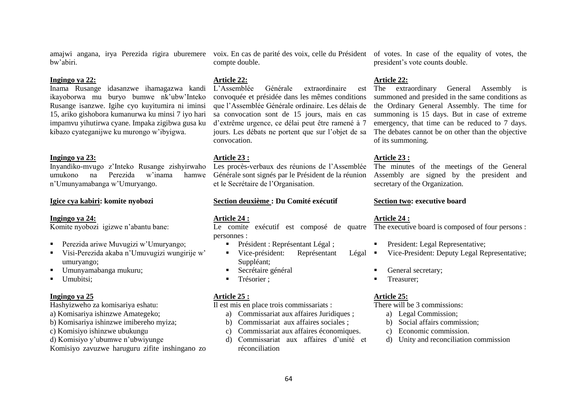amajwi angana, irya Perezida rigira uburemere voix. En cas de parité des voix, celle du Président of votes. In case of the equality of votes, the bw"abiri.

#### **Ingingo ya 22:**

Inama Rusange idasanzwe ihamagazwa kandi ikayoborwa mu buryo bumwe nk"ubw"Inteko Rusange isanzwe. Igihe cyo kuyitumira ni iminsi 15, ariko gishobora kumanurwa ku minsi 7 iyo hari impamvu yihutirwa cyane. Impaka zigibwa gusa ku kibazo cyateganijwe ku murongo w"ibyigwa.

#### **Ingingo ya 23:**

Inyandiko-mvugo z"Inteko Rusange zishyirwaho umukono na Perezida w"inama hamwe n"Umunyamabanga w"Umuryango.

#### **Igice cya kabiri: komite nyobozi**

#### **Ingingo ya 24:**

Komite nyobozi igizwe n"abantu bane:

- **Perezida ariwe Muvugizi w'Umuryango;**
- Visi-Perezida akaba n"Umuvugizi wungirije w" umuryango;
- Umunyamabanga mukuru:
- Umubitsi:

#### **Ingingo ya 25**

Hashyizweho za komisariya eshatu:

- a) Komisariya ishinzwe Amategeko;
- b) Komisariya ishinzwe imibereho myiza;
- c) Komisiyo ishinzwe ubukungu
- d) Komisiyo y"ubumwe n"ubwiyunge

Komisiyo zavuzwe haruguru zifite inshingano zo

compte double.

#### **Article 22:**

L"Assemblée Générale extraordinaire est convoquée et présidée dans les mêmes conditions que l"Assemblée Générale ordinaire. Les délais de sa convocation sont de 15 jours, mais en cas d"extrême urgence, ce délai peut être ramené à 7 jours. Les débats ne portent que sur l"objet de sa convocation.

#### **Article 23 :**

Les procès-verbaux des réunions de l"Assemblée Générale sont signés par le Président de la réunion et le Secrétaire de l"Organisation.

#### **Section deuxième : Du Comité exécutif**

#### **Article 24 :**

personnes :

- Président : Représentant Légal ;
- Vice-président: Représentant Légal Suppléant:
- **Secrétaire général**
- Trésorier ;

#### **Article 25 :**

Il est mis en place trois commissariats :

- a) Commissariat aux affaires Juridiques ;
- b) Commissariat aux affaires sociales ;
- c) Commissariat aux affaires économiques.
- d) Commissariat aux affaires d"unité et réconciliation

president"s vote counts double.

#### **Article 22:**

The extraordinary General Assembly is summoned and presided in the same conditions as the Ordinary General Assembly. The time for summoning is 15 days. But in case of extreme emergency, that time can be reduced to 7 days. The debates cannot be on other than the objective of its summoning.

#### **Article 23 :**

The minutes of the meetings of the General Assembly are signed by the president and secretary of the Organization.

#### **Section two: executive board**

#### **Article 24 :**

Le comite exécutif est composé de quatre The executive board is composed of four persons :

- President: Legal Representative;
- Vice-President: Deputy Legal Representative;
- General secretary;
- Treasurer;

#### **Article 25:**

There will be 3 commissions:

- a) Legal Commission;
- b) Social affairs commission;
- c) Economic commission.
- d) Unity and reconciliation commission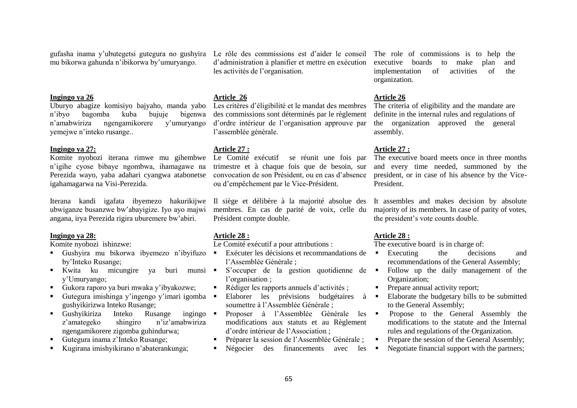gufasha inama y"ubutegetsi gutegura no gushyira mu bikorwa gahunda n"ibikorwa by"umuryango.

#### **Ingingo ya 26**

Uburyo abagize komisiyo bajyaho, manda yabo n"ibyo bagomba kuba bujuje bigenwa n"amabwiriza ngengamikorere y"umuryango yemejwe n"inteko rusange..

#### **Ingingo ya 27:**

n"igihe cyose bibaye ngombwa, ihamagawe na Perezida wayo, yaba adahari cyangwa atabonetse igahamagarwa na Visi-Perezida.

ubwiganze busanzwe bw"abayigize. Iyo ayo majwi angana, irya Perezida rigira uburemere bw"abiri.

#### **Ingingo ya 28:**

Komite nyobozi ishinzwe:

- Gushyira mu bikorwa ibyemezo n'ibyifuzo by"Inteko Rusange;
- Kwita ku micungire ya buri munsi y"Umuryango;
- Gukora raporo ya buri mwaka y"ibyakozwe;
- Gutegura imishinga y'ingengo y'imari igomba  $\blacksquare$ gushyikirizwa Inteko Rusange;
- Gushyikiriza Inteko Rusange ingingo z'amategeko shingiro n'iz'amabwiriza ngengamikorere zigomba guhindurwa;
- Gutegura inama z"Inteko Rusange;
- Kugirana imishyikirano n"abaterankunga;

Le rôle des commissions est d"aider le conseil The role of commissions is to help the d"administration à planifier et mettre en exécution les activités de l'organisation.

#### **Article 26**

Les critères d"éligibilité et le mandat des membres des commissions sont déterminés par le règlement d"ordre intérieur de l"organisation approuve par l"assemblée générale.

#### **Article 27 :**

Komite nyobozi iterana rimwe mu gihembwe Le Comité exécutif se réunit une fois par trimestre et à chaque fois que de besoin, sur convocation de son Président, ou en cas d"absence ou d"empêchement par le Vice-Président.

Iterana kandi igafata ibyemezo hakurikijwe Il siège et délibère à la majorité absolue des membres. En cas de parité de voix, celle du Président compte double.

#### **Article 28 :**

Le Comité exécutif a pour attributions :

- Exécuter les décisions et recommandations de l"Assemblée Générale ;
- S'occuper de la gestion quotidienne de  $\blacksquare$ l'organisation ;
- Rédiger les rapports annuels d"activités ;
- Elaborer les prévisions budgétaires à  $\blacksquare$ soumettre à l"Assemblée Générale ;
- Proposer à l'Assemblée Générale les modifications aux statuts et au Règlement d"ordre intérieur de l"Association ;
- Préparer la session de l"Assemblée Générale ;
- Négocier des financements avec les

executive boards to make plan and implementation of activities of the organization.

# **Article 26**

The criteria of eligibility and the mandate are definite in the internal rules and regulations of the organization approved the general assembly.

# **Article 27 :**

The executive board meets once in three months and every time needed, summoned by the president, or in case of his absence by the Vice-President.

It assembles and makes decision by absolute majority of its members. In case of parity of votes, the president"s vote counts double.

#### **Article 28 :**

The executive board is in charge of:

- Executing the decisions and recommendations of the General Assembly;
- Follow up the daily management of the Organization;
- Prepare annual activity report;
- Elaborate the budgetary bills to be submitted to the General Assembly;
- Propose to the General Assembly the modifications to the statute and the Internal rules and regulations of the Organization.
- **Prepare the session of the General Assembly;**
- Negotiate financial support with the partners;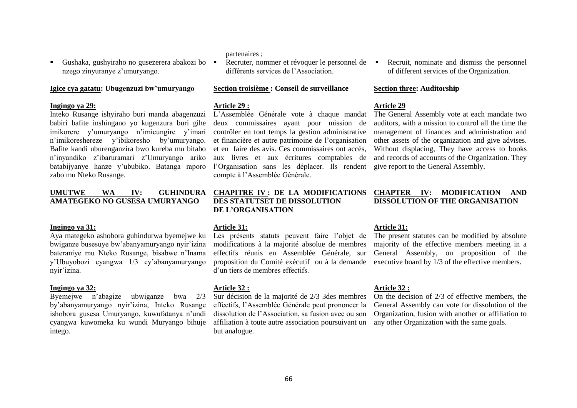partenaires ;

**Article 29 :**

deux commissaires ayant pour mission de contrôler en tout temps la gestion administrative et financière et autre patrimoine de l"organisation et en faire des avis. Ces commissaires ont accès, aux livres et aux écritures comptables de l"Organisation sans les déplacer. Ils rendent compte à l"Assemblée Générale.

L"Assemblée Générale vote à chaque mandat

Recruter, nommer et révoquer le personnel de

différents services de l"Association.

**Section troisième : Conseil de surveillance** 

# **DES STATUTSET DE DISSOLUTION DE L'ORGANISATION**

# **Article 31:**

Les présents statuts peuvent faire l'objet de modifications à la majorité absolue de membres effectifs réunis en Assemblée Générale, sur proposition du Comité exécutif ou à la demande executive board by 1/3 of the effective members. d"un tiers de membres effectifs.

# **Article 32 :**

Sur décision de la majorité de 2/3 3des membres effectifs, l"Assemblée Générale peut prononcer la dissolution de l"Association, sa fusion avec ou son affiliation à toute autre association poursuivant un but analogue.

**Article 32 :**

**Article 31:**

On the decision of 2/3 of effective members, the General Assembly can vote for dissolution of the Organization, fusion with another or affiliation to any other Organization with the same goals.

# **Section three: Auditorship**

# **Article 29**

The General Assembly vote at each mandate two auditors, with a mission to control all the time the management of finances and administration and other assets of the organization and give advises. Without displacing, They have access to books and records of accounts of the Organization. They give report to the General Assembly.

**CHAPTER IV: MODIFICATION AND DISSOLUTION OF THE ORGANISATION**

The present statutes can be modified by absolute majority of the effective members meeting in a General Assembly, on proposition of the

Recruit, nominate and dismiss the personnel of different services of the Organization.

# **Ingingo ya 29:**

Inteko Rusange ishyiraho buri manda abagenzuzi babiri bafite inshingano yo kugenzura buri gihe imikorere y"umuryango n"imicungire y"imari n"imikoreshereze y"ibikoresho by"umuryango. Bafite kandi uburenganzira bwo kureba mu bitabo n"inyandiko z"ibaruramari z"Umuryango ariko batabijyanye hanze y"ububiko. Batanga raporo zabo mu Nteko Rusange.

Gushaka, gushyiraho no gusezerera abakozi bo

nzego zinyuranye z'umuryango.

**Igice cya gatatu: Ubugenzuzi bw'umuryango**

# **UMUTWE WA IV: GUHINDURA CHAPITRE IV : DE LA MODIFICATIONS AMATEGEKO NO GUSESA UMURYANGO**

#### **Ingingo ya 31:**

Aya mategeko ashobora guhindurwa byemejwe ku bwiganze busesuye bw"abanyamuryango nyir"izina bateraniye mu Nteko Rusange, bisabwe n"Inama y"Ubuyobozi cyangwa 1/3 cy"abanyamuryango nyir"izina.

### **Ingingo ya 32:**

Byemejwe n"abagize ubwiganze bwa 2/3 by"abanyamuryango nyir"izina, Inteko Rusange ishobora gusesa Umuryango, kuwufatanya n"undi cyangwa kuwomeka ku wundi Muryango bihuje intego.

# 66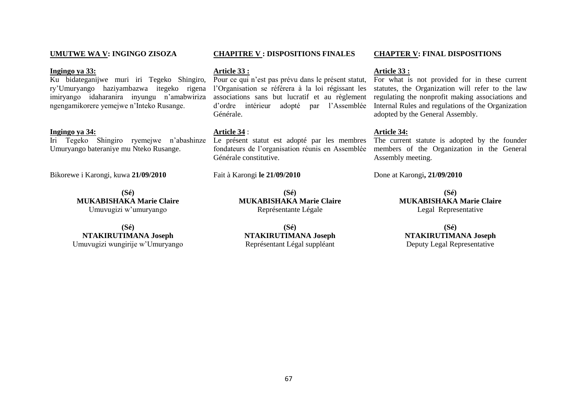#### **UMUTWE WA V: INGINGO ZISOZA**

#### **Ingingo ya 33:**

Ku bidateganijwe muri iri Tegeko Shingiro, ry'Umuryango haziyambazwa itegeko rigena l'Organisation se référera à la loi régissant les imiryango idaharanira inyungu n"amabwiriza ngengamikorere yemejwe n"Inteko Rusange.

#### **Ingingo ya 34:**

Iri Tegeko Shingiro ryemejwe n"abashinze Umuryango bateraniye mu Nteko Rusange.

Bikorewe i Karongi, kuwa **21/09/2010**

**(Sé) MUKABISHAKA Marie Claire** Umuvugizi w"umuryango

**(Sé) NTAKIRUTIMANA Joseph** Umuvugizi wungirije w"Umuryango

#### **CHAPITRE V : DISPOSITIONS FINALES**

#### **Article 33 :**

Pour ce qui n"est pas prévu dans le présent statut, d"ordre intérieur adopté par l"Assemblée Générale.

# **Article 34** :

Le présent statut est adopté par les membres fondateurs de l"organisation réunis en Assemblée Générale constitutive.

Fait à Karongi **le 21/09/2010**

**(Sé) MUKABISHAKA Marie Claire** Représentante Légale

**(Sé) NTAKIRUTIMANA Joseph** Représentant Légal suppléant

#### **Article 33 :**

associations sans but lucratif et au règlement regulating the nonprofit making associations and For what is not provided for in these current statutes, the Organization will refer to the law Internal Rules and regulations of the Organization adopted by the General Assembly.

**CHAPTER V: FINAL DISPOSITIONS**

#### **Article 34:**

The current statute is adopted by the founder members of the Organization in the General Assembly meeting.

Done at Karongi**, 21/09/2010**

**(Sé) MUKABISHAKA Marie Claire** Legal Representative

**(Sé) NTAKIRUTIMANA Joseph** Deputy Legal Representative